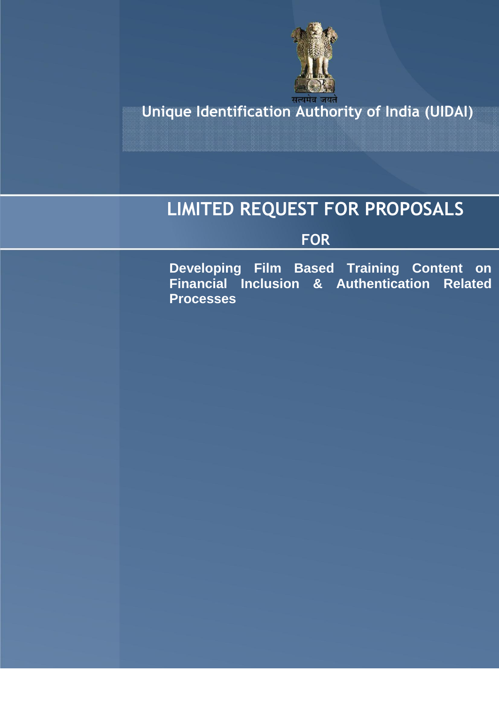

**Unique Identification Authority of India (UIDAI)**

# **LIMITED REQUEST FOR PROPOSALS**

## **FOR**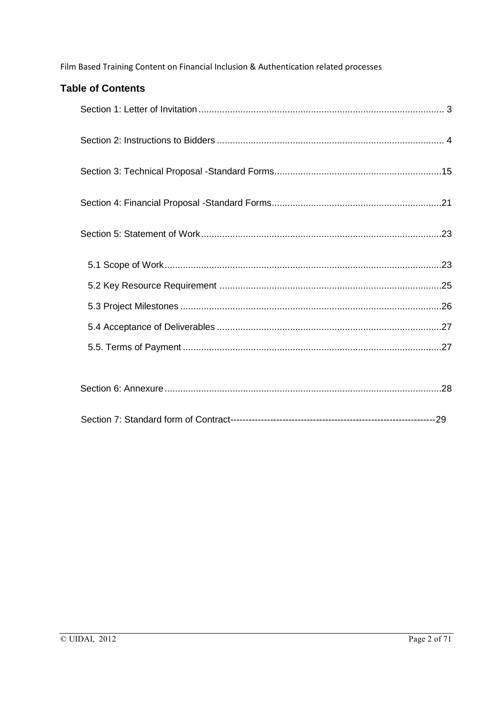| <b>Table of Contents</b> |  |
|--------------------------|--|
|                          |  |
|                          |  |
|                          |  |
|                          |  |
|                          |  |
|                          |  |
|                          |  |
|                          |  |
|                          |  |
|                          |  |
|                          |  |
|                          |  |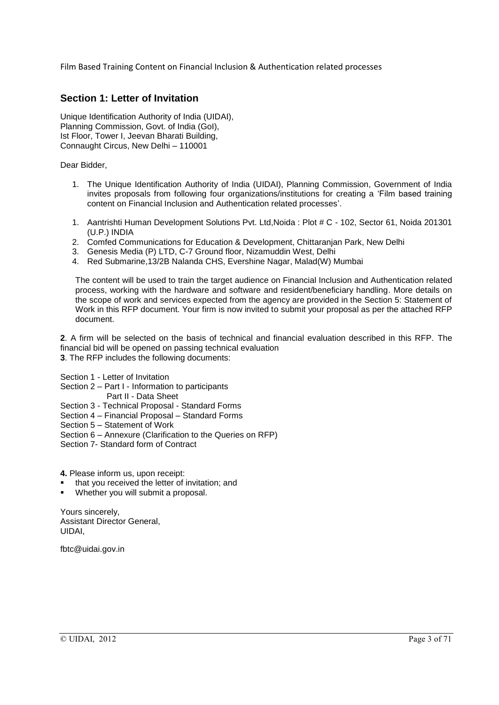### **Section 1: Letter of Invitation**

Unique Identification Authority of India (UIDAI), Planning Commission, Govt. of India (GoI), Ist Floor, Tower I, Jeevan Bharati Building, Connaught Circus, New Delhi – 110001

Dear Bidder,

- 1. The Unique Identification Authority of India (UIDAI), Planning Commission, Government of India invites proposals from following four organizations/institutions for creating a 'Film based training content on Financial Inclusion and Authentication related processes'.
- 1. Aantrishti Human Development Solutions Pvt. Ltd,Noida : Plot # C 102, Sector 61, Noida 201301 (U.P.) INDIA
- 2. Comfed Communications for Education & Development, Chittaranjan Park, New Delhi
- 3. Genesis Media (P) LTD, C-7 Ground floor, Nizamuddin West, Delhi
- 4. Red Submarine,13/2B Nalanda CHS, Evershine Nagar, Malad(W) Mumbai

The content will be used to train the target audience on Financial Inclusion and Authentication related process, working with the hardware and software and resident/beneficiary handling. More details on the scope of work and services expected from the agency are provided in the Section 5: Statement of Work in this RFP document. Your firm is now invited to submit your proposal as per the attached RFP document.

**2**. A firm will be selected on the basis of technical and financial evaluation described in this RFP. The financial bid will be opened on passing technical evaluation

**3**. The RFP includes the following documents:

Section 1 - Letter of Invitation

- Section 2 Part I Information to participants
	- Part II Data Sheet
- Section 3 Technical Proposal Standard Forms
- Section 4 Financial Proposal Standard Forms
- Section 5 Statement of Work
- Section 6 Annexure (Clarification to the Queries on RFP)
- Section 7- Standard form of Contract

**4.** Please inform us, upon receipt:

- that you received the letter of invitation; and
- Whether you will submit a proposal.

Yours sincerely, Assistant Director General, UIDAI,

fbtc@uidai.gov.in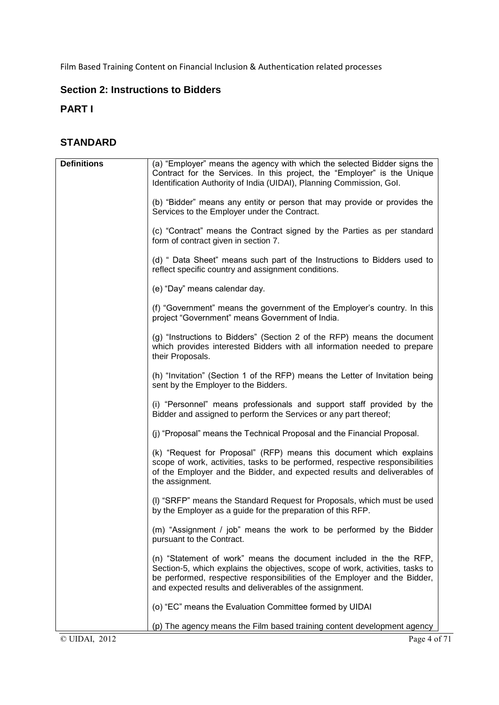## **Section 2: Instructions to Bidders**

## **PART I**

## **STANDARD**

| <b>Definitions</b> | (a) "Employer" means the agency with which the selected Bidder signs the                                                                                                                                                                                                                      |
|--------------------|-----------------------------------------------------------------------------------------------------------------------------------------------------------------------------------------------------------------------------------------------------------------------------------------------|
|                    | Contract for the Services. In this project, the "Employer" is the Unique                                                                                                                                                                                                                      |
|                    | Identification Authority of India (UIDAI), Planning Commission, Gol.                                                                                                                                                                                                                          |
|                    | (b) "Bidder" means any entity or person that may provide or provides the<br>Services to the Employer under the Contract.                                                                                                                                                                      |
|                    | (c) "Contract" means the Contract signed by the Parties as per standard<br>form of contract given in section 7.                                                                                                                                                                               |
|                    | (d) " Data Sheet" means such part of the Instructions to Bidders used to<br>reflect specific country and assignment conditions.                                                                                                                                                               |
|                    | (e) "Day" means calendar day.                                                                                                                                                                                                                                                                 |
|                    | (f) "Government" means the government of the Employer's country. In this<br>project "Government" means Government of India.                                                                                                                                                                   |
|                    | (g) "Instructions to Bidders" (Section 2 of the RFP) means the document<br>which provides interested Bidders with all information needed to prepare<br>their Proposals.                                                                                                                       |
|                    | (h) "Invitation" (Section 1 of the RFP) means the Letter of Invitation being<br>sent by the Employer to the Bidders.                                                                                                                                                                          |
|                    | (i) "Personnel" means professionals and support staff provided by the<br>Bidder and assigned to perform the Services or any part thereof;                                                                                                                                                     |
|                    | (j) "Proposal" means the Technical Proposal and the Financial Proposal.                                                                                                                                                                                                                       |
|                    | (k) "Request for Proposal" (RFP) means this document which explains<br>scope of work, activities, tasks to be performed, respective responsibilities<br>of the Employer and the Bidder, and expected results and deliverables of<br>the assignment.                                           |
|                    | (I) "SRFP" means the Standard Request for Proposals, which must be used<br>by the Employer as a guide for the preparation of this RFP.                                                                                                                                                        |
|                    | (m) "Assignment / job" means the work to be performed by the Bidder<br>pursuant to the Contract.                                                                                                                                                                                              |
|                    | (n) "Statement of work" means the document included in the the RFP,<br>Section-5, which explains the objectives, scope of work, activities, tasks to<br>be performed, respective responsibilities of the Employer and the Bidder,<br>and expected results and deliverables of the assignment. |
|                    | (o) "EC" means the Evaluation Committee formed by UIDAI                                                                                                                                                                                                                                       |
|                    | (p) The agency means the Film based training content development agency                                                                                                                                                                                                                       |
| © UIDAI, 2012      | Page 4 of 71                                                                                                                                                                                                                                                                                  |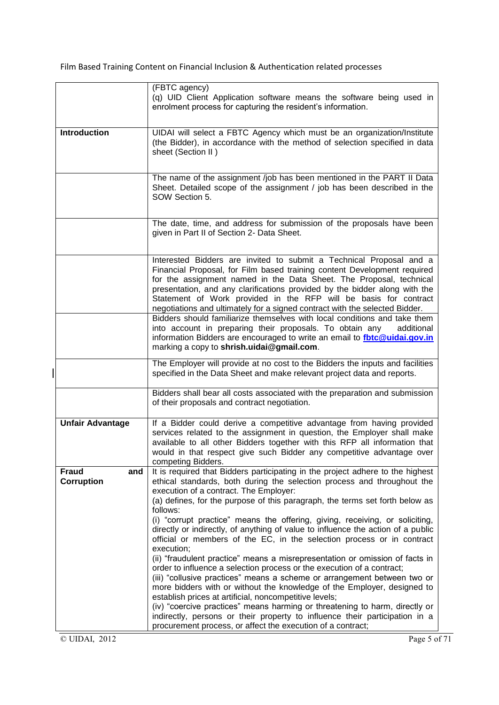|                                          | (FBTC agency)<br>(q) UID Client Application software means the software being used in<br>enrolment process for capturing the resident's information.                                                                                                                                                                                                                                                                                                    |  |  |
|------------------------------------------|---------------------------------------------------------------------------------------------------------------------------------------------------------------------------------------------------------------------------------------------------------------------------------------------------------------------------------------------------------------------------------------------------------------------------------------------------------|--|--|
| <b>Introduction</b>                      | UIDAI will select a FBTC Agency which must be an organization/Institute<br>(the Bidder), in accordance with the method of selection specified in data<br>sheet (Section II)                                                                                                                                                                                                                                                                             |  |  |
|                                          | The name of the assignment /job has been mentioned in the PART II Data<br>Sheet. Detailed scope of the assignment / job has been described in the<br>SOW Section 5.                                                                                                                                                                                                                                                                                     |  |  |
|                                          | The date, time, and address for submission of the proposals have been<br>given in Part II of Section 2- Data Sheet.                                                                                                                                                                                                                                                                                                                                     |  |  |
|                                          | Interested Bidders are invited to submit a Technical Proposal and a<br>Financial Proposal, for Film based training content Development required<br>for the assignment named in the Data Sheet. The Proposal, technical<br>presentation, and any clarifications provided by the bidder along with the<br>Statement of Work provided in the RFP will be basis for contract<br>negotiations and ultimately for a signed contract with the selected Bidder. |  |  |
|                                          | Bidders should familiarize themselves with local conditions and take them<br>into account in preparing their proposals. To obtain any<br>additional<br>information Bidders are encouraged to write an email to fbtc@uidai.gov.in<br>marking a copy to shrish.uidai@gmail.com.                                                                                                                                                                           |  |  |
|                                          | The Employer will provide at no cost to the Bidders the inputs and facilities<br>specified in the Data Sheet and make relevant project data and reports.                                                                                                                                                                                                                                                                                                |  |  |
|                                          | Bidders shall bear all costs associated with the preparation and submission<br>of their proposals and contract negotiation.                                                                                                                                                                                                                                                                                                                             |  |  |
| <b>Unfair Advantage</b>                  | If a Bidder could derive a competitive advantage from having provided<br>services related to the assignment in question, the Employer shall make<br>available to all other Bidders together with this RFP all information that<br>would in that respect give such Bidder any competitive advantage over<br>competing Bidders.                                                                                                                           |  |  |
| <b>Fraud</b><br>and<br><b>Corruption</b> | It is required that Bidders participating in the project adhere to the highest<br>ethical standards, both during the selection process and throughout the<br>execution of a contract. The Employer:<br>(a) defines, for the purpose of this paragraph, the terms set forth below as                                                                                                                                                                     |  |  |
|                                          | follows:<br>(i) "corrupt practice" means the offering, giving, receiving, or soliciting,<br>directly or indirectly, of anything of value to influence the action of a public<br>official or members of the EC, in the selection process or in contract<br>execution;                                                                                                                                                                                    |  |  |
|                                          | (ii) "fraudulent practice" means a misrepresentation or omission of facts in<br>order to influence a selection process or the execution of a contract;<br>(iii) "collusive practices" means a scheme or arrangement between two or<br>more bidders with or without the knowledge of the Employer, designed to<br>establish prices at artificial, noncompetitive levels;                                                                                 |  |  |
|                                          | (iv) "coercive practices" means harming or threatening to harm, directly or<br>indirectly, persons or their property to influence their participation in a<br>procurement process, or affect the execution of a contract;                                                                                                                                                                                                                               |  |  |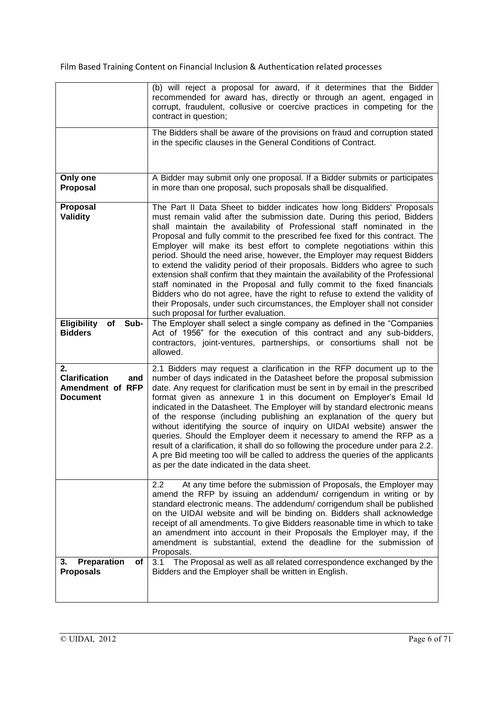|                                                                          | (b) will reject a proposal for award, if it determines that the Bidder<br>recommended for award has, directly or through an agent, engaged in<br>corrupt, fraudulent, collusive or coercive practices in competing for the<br>contract in question;                                                                                                                                                                                                                                                                                                                                                                                                                                                                                                                                                                                                                                                                      |
|--------------------------------------------------------------------------|--------------------------------------------------------------------------------------------------------------------------------------------------------------------------------------------------------------------------------------------------------------------------------------------------------------------------------------------------------------------------------------------------------------------------------------------------------------------------------------------------------------------------------------------------------------------------------------------------------------------------------------------------------------------------------------------------------------------------------------------------------------------------------------------------------------------------------------------------------------------------------------------------------------------------|
|                                                                          | The Bidders shall be aware of the provisions on fraud and corruption stated<br>in the specific clauses in the General Conditions of Contract.                                                                                                                                                                                                                                                                                                                                                                                                                                                                                                                                                                                                                                                                                                                                                                            |
| Only one<br>Proposal                                                     | A Bidder may submit only one proposal. If a Bidder submits or participates<br>in more than one proposal, such proposals shall be disqualified.                                                                                                                                                                                                                                                                                                                                                                                                                                                                                                                                                                                                                                                                                                                                                                           |
| Proposal<br><b>Validity</b>                                              | The Part II Data Sheet to bidder indicates how long Bidders' Proposals<br>must remain valid after the submission date. During this period, Bidders<br>shall maintain the availability of Professional staff nominated in the<br>Proposal and fully commit to the prescribed fee fixed for this contract. The<br>Employer will make its best effort to complete negotiations within this<br>period. Should the need arise, however, the Employer may request Bidders<br>to extend the validity period of their proposals. Bidders who agree to such<br>extension shall confirm that they maintain the availability of the Professional<br>staff nominated in the Proposal and fully commit to the fixed financials<br>Bidders who do not agree, have the right to refuse to extend the validity of<br>their Proposals, under such circumstances, the Employer shall not consider<br>such proposal for further evaluation. |
| Sub-<br><b>Eligibility</b><br>of<br><b>Bidders</b>                       | The Employer shall select a single company as defined in the "Companies"<br>Act of 1956" for the execution of this contract and any sub-bidders,<br>contractors, joint-ventures, partnerships, or consortiums shall not be<br>allowed.                                                                                                                                                                                                                                                                                                                                                                                                                                                                                                                                                                                                                                                                                   |
| 2.<br><b>Clarification</b><br>and<br>Amendment of RFP<br><b>Document</b> | 2.1 Bidders may request a clarification in the RFP document up to the<br>number of days indicated in the Datasheet before the proposal submission<br>date. Any request for clarification must be sent in by email in the prescribed<br>format given as annexure 1 in this document on Employer's Email Id<br>indicated in the Datasheet. The Employer will by standard electronic means<br>of the response (including publishing an explanation of the query but<br>without identifying the source of inquiry on UIDAI website) answer the<br>queries. Should the Employer deem it necessary to amend the RFP as a<br>result of a clarification, it shall do so following the procedure under para 2.2.<br>A pre Bid meeting too will be called to address the queries of the applicants<br>as per the date indicated in the data sheet.                                                                                 |
|                                                                          | 2.2<br>At any time before the submission of Proposals, the Employer may<br>amend the RFP by issuing an addendum/ corrigendum in writing or by<br>standard electronic means. The addendum/corrigendum shall be published<br>on the UIDAI website and will be binding on. Bidders shall acknowledge<br>receipt of all amendments. To give Bidders reasonable time in which to take<br>an amendment into account in their Proposals the Employer may, if the<br>amendment is substantial, extend the deadline for the submission of<br>Proposals.                                                                                                                                                                                                                                                                                                                                                                           |
| Preparation<br>3.<br>οf<br><b>Proposals</b>                              | The Proposal as well as all related correspondence exchanged by the<br>3.1<br>Bidders and the Employer shall be written in English.                                                                                                                                                                                                                                                                                                                                                                                                                                                                                                                                                                                                                                                                                                                                                                                      |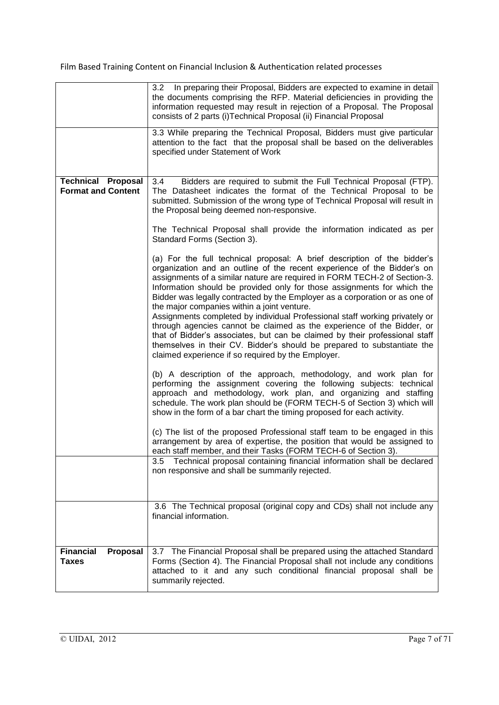|                                                        | 3.2 In preparing their Proposal, Bidders are expected to examine in detail<br>the documents comprising the RFP. Material deficiencies in providing the<br>information requested may result in rejection of a Proposal. The Proposal<br>consists of 2 parts (i)Technical Proposal (ii) Financial Proposal<br>3.3 While preparing the Technical Proposal, Bidders must give particular                                                                                                                                                                                                                                                                                                                                                                                                                               |
|--------------------------------------------------------|--------------------------------------------------------------------------------------------------------------------------------------------------------------------------------------------------------------------------------------------------------------------------------------------------------------------------------------------------------------------------------------------------------------------------------------------------------------------------------------------------------------------------------------------------------------------------------------------------------------------------------------------------------------------------------------------------------------------------------------------------------------------------------------------------------------------|
|                                                        | attention to the fact that the proposal shall be based on the deliverables<br>specified under Statement of Work                                                                                                                                                                                                                                                                                                                                                                                                                                                                                                                                                                                                                                                                                                    |
| <b>Technical Proposal</b><br><b>Format and Content</b> | Bidders are required to submit the Full Technical Proposal (FTP).<br>3.4<br>The Datasheet indicates the format of the Technical Proposal to be<br>submitted. Submission of the wrong type of Technical Proposal will result in<br>the Proposal being deemed non-responsive.                                                                                                                                                                                                                                                                                                                                                                                                                                                                                                                                        |
|                                                        | The Technical Proposal shall provide the information indicated as per<br>Standard Forms (Section 3).                                                                                                                                                                                                                                                                                                                                                                                                                                                                                                                                                                                                                                                                                                               |
|                                                        | (a) For the full technical proposal: A brief description of the bidder's<br>organization and an outline of the recent experience of the Bidder's on<br>assignments of a similar nature are required in FORM TECH-2 of Section-3.<br>Information should be provided only for those assignments for which the<br>Bidder was legally contracted by the Employer as a corporation or as one of<br>the major companies within a joint venture.<br>Assignments completed by individual Professional staff working privately or<br>through agencies cannot be claimed as the experience of the Bidder, or<br>that of Bidder's associates, but can be claimed by their professional staff<br>themselves in their CV. Bidder's should be prepared to substantiate the<br>claimed experience if so required by the Employer. |
|                                                        | (b) A description of the approach, methodology, and work plan for<br>performing the assignment covering the following subjects: technical<br>approach and methodology, work plan, and organizing and staffing<br>schedule. The work plan should be (FORM TECH-5 of Section 3) which will<br>show in the form of a bar chart the timing proposed for each activity.                                                                                                                                                                                                                                                                                                                                                                                                                                                 |
|                                                        | (c) The list of the proposed Professional staff team to be engaged in this<br>arrangement by area of expertise, the position that would be assigned to<br>each staff member, and their Tasks (FORM TECH-6 of Section 3).                                                                                                                                                                                                                                                                                                                                                                                                                                                                                                                                                                                           |
|                                                        | Technical proposal containing financial information shall be declared<br>3.5<br>non responsive and shall be summarily rejected.                                                                                                                                                                                                                                                                                                                                                                                                                                                                                                                                                                                                                                                                                    |
|                                                        | 3.6 The Technical proposal (original copy and CDs) shall not include any<br>financial information.                                                                                                                                                                                                                                                                                                                                                                                                                                                                                                                                                                                                                                                                                                                 |
| <b>Financial</b><br>Proposal<br><b>Taxes</b>           | 3.7 The Financial Proposal shall be prepared using the attached Standard<br>Forms (Section 4). The Financial Proposal shall not include any conditions<br>attached to it and any such conditional financial proposal shall be<br>summarily rejected.                                                                                                                                                                                                                                                                                                                                                                                                                                                                                                                                                               |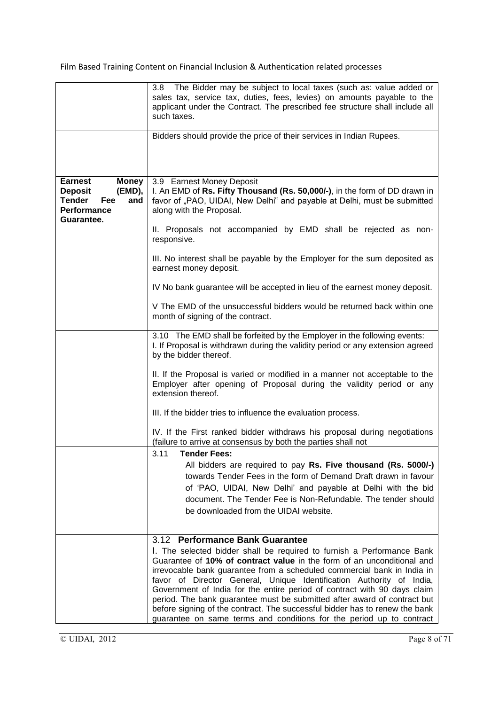| The Bidder may be subject to local taxes (such as: value added or<br>3.8 <sub>1</sub><br>sales tax, service tax, duties, fees, levies) on amounts payable to the<br>applicant under the Contract. The prescribed fee structure shall include all<br>such taxes.<br>Bidders should provide the price of their services in Indian Rupees.<br><b>Earnest</b><br><b>Money</b><br>3.9 Earnest Money Deposit<br>I. An EMD of Rs. Fifty Thousand (Rs. 50,000/-), in the form of DD drawn in<br><b>Deposit</b><br>(EMD),<br>favor of "PAO, UIDAI, New Delhi" and payable at Delhi, must be submitted<br><b>Tender</b><br>Fee<br>and<br>Performance<br>along with the Proposal.<br>Guarantee.<br>II. Proposals not accompanied by EMD shall be rejected as non-<br>responsive.<br>III. No interest shall be payable by the Employer for the sum deposited as<br>earnest money deposit.<br>IV No bank guarantee will be accepted in lieu of the earnest money deposit.<br>V The EMD of the unsuccessful bidders would be returned back within one<br>month of signing of the contract.<br>3.10 The EMD shall be forfeited by the Employer in the following events:<br>I. If Proposal is withdrawn during the validity period or any extension agreed<br>by the bidder thereof.<br>II. If the Proposal is varied or modified in a manner not acceptable to the<br>Employer after opening of Proposal during the validity period or any<br>extension thereof.<br>III. If the bidder tries to influence the evaluation process.<br>IV. If the First ranked bidder withdraws his proposal during negotiations<br>(failure to arrive at consensus by both the parties shall not<br>3.11 Tender Fees:<br>All bidders are required to pay Rs. Five thousand (Rs. 5000/-)<br>towards Tender Fees in the form of Demand Draft drawn in favour<br>of 'PAO, UIDAI, New Delhi' and payable at Delhi with the bid<br>document. The Tender Fee is Non-Refundable. The tender should<br>be downloaded from the UIDAI website.<br>3.12 Performance Bank Guarantee<br>I. The selected bidder shall be required to furnish a Performance Bank |                                                                      |
|-------------------------------------------------------------------------------------------------------------------------------------------------------------------------------------------------------------------------------------------------------------------------------------------------------------------------------------------------------------------------------------------------------------------------------------------------------------------------------------------------------------------------------------------------------------------------------------------------------------------------------------------------------------------------------------------------------------------------------------------------------------------------------------------------------------------------------------------------------------------------------------------------------------------------------------------------------------------------------------------------------------------------------------------------------------------------------------------------------------------------------------------------------------------------------------------------------------------------------------------------------------------------------------------------------------------------------------------------------------------------------------------------------------------------------------------------------------------------------------------------------------------------------------------------------------------------------------------------------------------------------------------------------------------------------------------------------------------------------------------------------------------------------------------------------------------------------------------------------------------------------------------------------------------------------------------------------------------------------------------------------------------------------------------------------------------------------------------------------------------|----------------------------------------------------------------------|
|                                                                                                                                                                                                                                                                                                                                                                                                                                                                                                                                                                                                                                                                                                                                                                                                                                                                                                                                                                                                                                                                                                                                                                                                                                                                                                                                                                                                                                                                                                                                                                                                                                                                                                                                                                                                                                                                                                                                                                                                                                                                                                                   |                                                                      |
|                                                                                                                                                                                                                                                                                                                                                                                                                                                                                                                                                                                                                                                                                                                                                                                                                                                                                                                                                                                                                                                                                                                                                                                                                                                                                                                                                                                                                                                                                                                                                                                                                                                                                                                                                                                                                                                                                                                                                                                                                                                                                                                   |                                                                      |
|                                                                                                                                                                                                                                                                                                                                                                                                                                                                                                                                                                                                                                                                                                                                                                                                                                                                                                                                                                                                                                                                                                                                                                                                                                                                                                                                                                                                                                                                                                                                                                                                                                                                                                                                                                                                                                                                                                                                                                                                                                                                                                                   |                                                                      |
|                                                                                                                                                                                                                                                                                                                                                                                                                                                                                                                                                                                                                                                                                                                                                                                                                                                                                                                                                                                                                                                                                                                                                                                                                                                                                                                                                                                                                                                                                                                                                                                                                                                                                                                                                                                                                                                                                                                                                                                                                                                                                                                   |                                                                      |
|                                                                                                                                                                                                                                                                                                                                                                                                                                                                                                                                                                                                                                                                                                                                                                                                                                                                                                                                                                                                                                                                                                                                                                                                                                                                                                                                                                                                                                                                                                                                                                                                                                                                                                                                                                                                                                                                                                                                                                                                                                                                                                                   |                                                                      |
|                                                                                                                                                                                                                                                                                                                                                                                                                                                                                                                                                                                                                                                                                                                                                                                                                                                                                                                                                                                                                                                                                                                                                                                                                                                                                                                                                                                                                                                                                                                                                                                                                                                                                                                                                                                                                                                                                                                                                                                                                                                                                                                   |                                                                      |
|                                                                                                                                                                                                                                                                                                                                                                                                                                                                                                                                                                                                                                                                                                                                                                                                                                                                                                                                                                                                                                                                                                                                                                                                                                                                                                                                                                                                                                                                                                                                                                                                                                                                                                                                                                                                                                                                                                                                                                                                                                                                                                                   |                                                                      |
|                                                                                                                                                                                                                                                                                                                                                                                                                                                                                                                                                                                                                                                                                                                                                                                                                                                                                                                                                                                                                                                                                                                                                                                                                                                                                                                                                                                                                                                                                                                                                                                                                                                                                                                                                                                                                                                                                                                                                                                                                                                                                                                   |                                                                      |
|                                                                                                                                                                                                                                                                                                                                                                                                                                                                                                                                                                                                                                                                                                                                                                                                                                                                                                                                                                                                                                                                                                                                                                                                                                                                                                                                                                                                                                                                                                                                                                                                                                                                                                                                                                                                                                                                                                                                                                                                                                                                                                                   |                                                                      |
|                                                                                                                                                                                                                                                                                                                                                                                                                                                                                                                                                                                                                                                                                                                                                                                                                                                                                                                                                                                                                                                                                                                                                                                                                                                                                                                                                                                                                                                                                                                                                                                                                                                                                                                                                                                                                                                                                                                                                                                                                                                                                                                   |                                                                      |
|                                                                                                                                                                                                                                                                                                                                                                                                                                                                                                                                                                                                                                                                                                                                                                                                                                                                                                                                                                                                                                                                                                                                                                                                                                                                                                                                                                                                                                                                                                                                                                                                                                                                                                                                                                                                                                                                                                                                                                                                                                                                                                                   |                                                                      |
|                                                                                                                                                                                                                                                                                                                                                                                                                                                                                                                                                                                                                                                                                                                                                                                                                                                                                                                                                                                                                                                                                                                                                                                                                                                                                                                                                                                                                                                                                                                                                                                                                                                                                                                                                                                                                                                                                                                                                                                                                                                                                                                   |                                                                      |
|                                                                                                                                                                                                                                                                                                                                                                                                                                                                                                                                                                                                                                                                                                                                                                                                                                                                                                                                                                                                                                                                                                                                                                                                                                                                                                                                                                                                                                                                                                                                                                                                                                                                                                                                                                                                                                                                                                                                                                                                                                                                                                                   |                                                                      |
|                                                                                                                                                                                                                                                                                                                                                                                                                                                                                                                                                                                                                                                                                                                                                                                                                                                                                                                                                                                                                                                                                                                                                                                                                                                                                                                                                                                                                                                                                                                                                                                                                                                                                                                                                                                                                                                                                                                                                                                                                                                                                                                   |                                                                      |
|                                                                                                                                                                                                                                                                                                                                                                                                                                                                                                                                                                                                                                                                                                                                                                                                                                                                                                                                                                                                                                                                                                                                                                                                                                                                                                                                                                                                                                                                                                                                                                                                                                                                                                                                                                                                                                                                                                                                                                                                                                                                                                                   |                                                                      |
|                                                                                                                                                                                                                                                                                                                                                                                                                                                                                                                                                                                                                                                                                                                                                                                                                                                                                                                                                                                                                                                                                                                                                                                                                                                                                                                                                                                                                                                                                                                                                                                                                                                                                                                                                                                                                                                                                                                                                                                                                                                                                                                   |                                                                      |
|                                                                                                                                                                                                                                                                                                                                                                                                                                                                                                                                                                                                                                                                                                                                                                                                                                                                                                                                                                                                                                                                                                                                                                                                                                                                                                                                                                                                                                                                                                                                                                                                                                                                                                                                                                                                                                                                                                                                                                                                                                                                                                                   |                                                                      |
|                                                                                                                                                                                                                                                                                                                                                                                                                                                                                                                                                                                                                                                                                                                                                                                                                                                                                                                                                                                                                                                                                                                                                                                                                                                                                                                                                                                                                                                                                                                                                                                                                                                                                                                                                                                                                                                                                                                                                                                                                                                                                                                   |                                                                      |
|                                                                                                                                                                                                                                                                                                                                                                                                                                                                                                                                                                                                                                                                                                                                                                                                                                                                                                                                                                                                                                                                                                                                                                                                                                                                                                                                                                                                                                                                                                                                                                                                                                                                                                                                                                                                                                                                                                                                                                                                                                                                                                                   |                                                                      |
| Guarantee of 10% of contract value in the form of an unconditional and                                                                                                                                                                                                                                                                                                                                                                                                                                                                                                                                                                                                                                                                                                                                                                                                                                                                                                                                                                                                                                                                                                                                                                                                                                                                                                                                                                                                                                                                                                                                                                                                                                                                                                                                                                                                                                                                                                                                                                                                                                            |                                                                      |
| irrevocable bank guarantee from a scheduled commercial bank in India in                                                                                                                                                                                                                                                                                                                                                                                                                                                                                                                                                                                                                                                                                                                                                                                                                                                                                                                                                                                                                                                                                                                                                                                                                                                                                                                                                                                                                                                                                                                                                                                                                                                                                                                                                                                                                                                                                                                                                                                                                                           |                                                                      |
| favor of Director General, Unique Identification Authority of India,<br>Government of India for the entire period of contract with 90 days claim                                                                                                                                                                                                                                                                                                                                                                                                                                                                                                                                                                                                                                                                                                                                                                                                                                                                                                                                                                                                                                                                                                                                                                                                                                                                                                                                                                                                                                                                                                                                                                                                                                                                                                                                                                                                                                                                                                                                                                  |                                                                      |
| period. The bank guarantee must be submitted after award of contract but                                                                                                                                                                                                                                                                                                                                                                                                                                                                                                                                                                                                                                                                                                                                                                                                                                                                                                                                                                                                                                                                                                                                                                                                                                                                                                                                                                                                                                                                                                                                                                                                                                                                                                                                                                                                                                                                                                                                                                                                                                          |                                                                      |
| before signing of the contract. The successful bidder has to renew the bank                                                                                                                                                                                                                                                                                                                                                                                                                                                                                                                                                                                                                                                                                                                                                                                                                                                                                                                                                                                                                                                                                                                                                                                                                                                                                                                                                                                                                                                                                                                                                                                                                                                                                                                                                                                                                                                                                                                                                                                                                                       | guarantee on same terms and conditions for the period up to contract |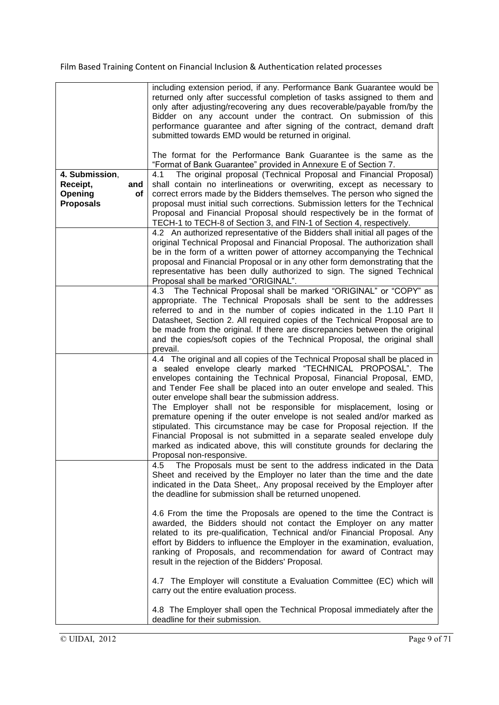|                                                                        | including extension period, if any. Performance Bank Guarantee would be<br>returned only after successful completion of tasks assigned to them and<br>only after adjusting/recovering any dues recoverable/payable from/by the<br>Bidder on any account under the contract. On submission of this<br>performance guarantee and after signing of the contract, demand draft<br>submitted towards EMD would be returned in original.                                                                                                                                                                                                                                                                                                                                         |
|------------------------------------------------------------------------|----------------------------------------------------------------------------------------------------------------------------------------------------------------------------------------------------------------------------------------------------------------------------------------------------------------------------------------------------------------------------------------------------------------------------------------------------------------------------------------------------------------------------------------------------------------------------------------------------------------------------------------------------------------------------------------------------------------------------------------------------------------------------|
| 4. Submission,<br>Receipt,<br>and<br>Opening<br>οf<br><b>Proposals</b> | The format for the Performance Bank Guarantee is the same as the<br>"Format of Bank Guarantee" provided in Annexure E of Section 7.<br>The original proposal (Technical Proposal and Financial Proposal)<br>4.1<br>shall contain no interlineations or overwriting, except as necessary to<br>correct errors made by the Bidders themselves. The person who signed the<br>proposal must initial such corrections. Submission letters for the Technical<br>Proposal and Financial Proposal should respectively be in the format of<br>TECH-1 to TECH-8 of Section 3, and FIN-1 of Section 4, respectively.<br>4.2 An authorized representative of the Bidders shall initial all pages of the<br>original Technical Proposal and Financial Proposal. The authorization shall |
|                                                                        | be in the form of a written power of attorney accompanying the Technical<br>proposal and Financial Proposal or in any other form demonstrating that the<br>representative has been dully authorized to sign. The signed Technical<br>Proposal shall be marked "ORIGINAL".                                                                                                                                                                                                                                                                                                                                                                                                                                                                                                  |
|                                                                        | The Technical Proposal shall be marked "ORIGINAL" or "COPY" as<br>4.3<br>appropriate. The Technical Proposals shall be sent to the addresses<br>referred to and in the number of copies indicated in the 1.10 Part II<br>Datasheet, Section 2. All required copies of the Technical Proposal are to<br>be made from the original. If there are discrepancies between the original<br>and the copies/soft copies of the Technical Proposal, the original shall<br>prevail.                                                                                                                                                                                                                                                                                                  |
|                                                                        | 4.4 The original and all copies of the Technical Proposal shall be placed in<br>a sealed envelope clearly marked "TECHNICAL PROPOSAL". The<br>envelopes containing the Technical Proposal, Financial Proposal, EMD,<br>and Tender Fee shall be placed into an outer envelope and sealed. This<br>outer envelope shall bear the submission address.<br>The Employer shall not be responsible for misplacement, losing or<br>premature opening if the outer envelope is not sealed and/or marked as<br>stipulated. This circumstance may be case for Proposal rejection. If the<br>Financial Proposal is not submitted in a separate sealed envelope duly<br>marked as indicated above, this will constitute grounds for declaring the<br>Proposal non-responsive.           |
|                                                                        | The Proposals must be sent to the address indicated in the Data<br>4.5<br>Sheet and received by the Employer no later than the time and the date<br>indicated in the Data Sheet,. Any proposal received by the Employer after<br>the deadline for submission shall be returned unopened.                                                                                                                                                                                                                                                                                                                                                                                                                                                                                   |
|                                                                        | 4.6 From the time the Proposals are opened to the time the Contract is<br>awarded, the Bidders should not contact the Employer on any matter<br>related to its pre-qualification, Technical and/or Financial Proposal. Any<br>effort by Bidders to influence the Employer in the examination, evaluation,<br>ranking of Proposals, and recommendation for award of Contract may<br>result in the rejection of the Bidders' Proposal.                                                                                                                                                                                                                                                                                                                                       |
|                                                                        | 4.7 The Employer will constitute a Evaluation Committee (EC) which will<br>carry out the entire evaluation process.                                                                                                                                                                                                                                                                                                                                                                                                                                                                                                                                                                                                                                                        |
|                                                                        | 4.8 The Employer shall open the Technical Proposal immediately after the<br>deadline for their submission.                                                                                                                                                                                                                                                                                                                                                                                                                                                                                                                                                                                                                                                                 |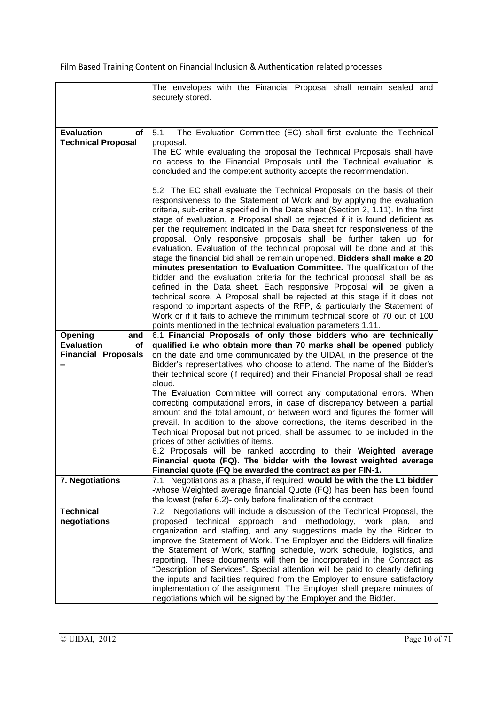|                                                      | The envelopes with the Financial Proposal shall remain sealed and<br>securely stored.                                                                                                                                                                                                                                                                                                                                                                                                                                                                                                                                                                                                                                                                                                                                                                                                                                                                                                                                                                                                                                                                                        |
|------------------------------------------------------|------------------------------------------------------------------------------------------------------------------------------------------------------------------------------------------------------------------------------------------------------------------------------------------------------------------------------------------------------------------------------------------------------------------------------------------------------------------------------------------------------------------------------------------------------------------------------------------------------------------------------------------------------------------------------------------------------------------------------------------------------------------------------------------------------------------------------------------------------------------------------------------------------------------------------------------------------------------------------------------------------------------------------------------------------------------------------------------------------------------------------------------------------------------------------|
|                                                      |                                                                                                                                                                                                                                                                                                                                                                                                                                                                                                                                                                                                                                                                                                                                                                                                                                                                                                                                                                                                                                                                                                                                                                              |
|                                                      |                                                                                                                                                                                                                                                                                                                                                                                                                                                                                                                                                                                                                                                                                                                                                                                                                                                                                                                                                                                                                                                                                                                                                                              |
| <b>Evaluation</b><br>of<br><b>Technical Proposal</b> | The Evaluation Committee (EC) shall first evaluate the Technical<br>5.1<br>proposal.                                                                                                                                                                                                                                                                                                                                                                                                                                                                                                                                                                                                                                                                                                                                                                                                                                                                                                                                                                                                                                                                                         |
|                                                      | The EC while evaluating the proposal the Technical Proposals shall have<br>no access to the Financial Proposals until the Technical evaluation is<br>concluded and the competent authority accepts the recommendation.                                                                                                                                                                                                                                                                                                                                                                                                                                                                                                                                                                                                                                                                                                                                                                                                                                                                                                                                                       |
|                                                      | 5.2 The EC shall evaluate the Technical Proposals on the basis of their<br>responsiveness to the Statement of Work and by applying the evaluation<br>criteria, sub-criteria specified in the Data sheet (Section 2, 1.11). In the first<br>stage of evaluation, a Proposal shall be rejected if it is found deficient as<br>per the requirement indicated in the Data sheet for responsiveness of the<br>proposal. Only responsive proposals shall be further taken up for<br>evaluation. Evaluation of the technical proposal will be done and at this<br>stage the financial bid shall be remain unopened. Bidders shall make a 20<br>minutes presentation to Evaluation Committee. The qualification of the<br>bidder and the evaluation criteria for the technical proposal shall be as<br>defined in the Data sheet. Each responsive Proposal will be given a<br>technical score. A Proposal shall be rejected at this stage if it does not<br>respond to important aspects of the RFP, & particularly the Statement of<br>Work or if it fails to achieve the minimum technical score of 70 out of 100<br>points mentioned in the technical evaluation parameters 1.11. |
| Opening<br>and                                       | 6.1 Financial Proposals of only those bidders who are technically                                                                                                                                                                                                                                                                                                                                                                                                                                                                                                                                                                                                                                                                                                                                                                                                                                                                                                                                                                                                                                                                                                            |
| <b>Evaluation</b><br><b>of</b>                       | qualified i.e who obtain more than 70 marks shall be opened publicly                                                                                                                                                                                                                                                                                                                                                                                                                                                                                                                                                                                                                                                                                                                                                                                                                                                                                                                                                                                                                                                                                                         |
| <b>Financial Proposals</b>                           | on the date and time communicated by the UIDAI, in the presence of the<br>Bidder's representatives who choose to attend. The name of the Bidder's<br>their technical score (if required) and their Financial Proposal shall be read                                                                                                                                                                                                                                                                                                                                                                                                                                                                                                                                                                                                                                                                                                                                                                                                                                                                                                                                          |
|                                                      | aloud.<br>The Evaluation Committee will correct any computational errors. When<br>correcting computational errors, in case of discrepancy between a partial<br>amount and the total amount, or between word and figures the former will<br>prevail. In addition to the above corrections, the items described in the<br>Technical Proposal but not priced, shall be assumed to be included in the                                                                                                                                                                                                                                                                                                                                                                                                                                                                                                                                                                                                                                                                                                                                                                            |
|                                                      | prices of other activities of items.<br>6.2 Proposals will be ranked according to their Weighted average                                                                                                                                                                                                                                                                                                                                                                                                                                                                                                                                                                                                                                                                                                                                                                                                                                                                                                                                                                                                                                                                     |
|                                                      | Financial quote (FQ). The bidder with the lowest weighted average                                                                                                                                                                                                                                                                                                                                                                                                                                                                                                                                                                                                                                                                                                                                                                                                                                                                                                                                                                                                                                                                                                            |
|                                                      | Financial quote (FQ be awarded the contract as per FIN-1.                                                                                                                                                                                                                                                                                                                                                                                                                                                                                                                                                                                                                                                                                                                                                                                                                                                                                                                                                                                                                                                                                                                    |
| 7. Negotiations                                      | 7.1 Negotiations as a phase, if required, would be with the the L1 bidder<br>-whose Weighted average financial Quote (FQ) has been has been found                                                                                                                                                                                                                                                                                                                                                                                                                                                                                                                                                                                                                                                                                                                                                                                                                                                                                                                                                                                                                            |
|                                                      | the lowest (refer 6.2)- only before finalization of the contract                                                                                                                                                                                                                                                                                                                                                                                                                                                                                                                                                                                                                                                                                                                                                                                                                                                                                                                                                                                                                                                                                                             |
| <b>Technical</b>                                     | Negotiations will include a discussion of the Technical Proposal, the<br>7.2                                                                                                                                                                                                                                                                                                                                                                                                                                                                                                                                                                                                                                                                                                                                                                                                                                                                                                                                                                                                                                                                                                 |
| negotiations                                         | proposed technical approach and methodology, work plan, and                                                                                                                                                                                                                                                                                                                                                                                                                                                                                                                                                                                                                                                                                                                                                                                                                                                                                                                                                                                                                                                                                                                  |
|                                                      | organization and staffing, and any suggestions made by the Bidder to<br>improve the Statement of Work. The Employer and the Bidders will finalize                                                                                                                                                                                                                                                                                                                                                                                                                                                                                                                                                                                                                                                                                                                                                                                                                                                                                                                                                                                                                            |
|                                                      | the Statement of Work, staffing schedule, work schedule, logistics, and                                                                                                                                                                                                                                                                                                                                                                                                                                                                                                                                                                                                                                                                                                                                                                                                                                                                                                                                                                                                                                                                                                      |
|                                                      | reporting. These documents will then be incorporated in the Contract as                                                                                                                                                                                                                                                                                                                                                                                                                                                                                                                                                                                                                                                                                                                                                                                                                                                                                                                                                                                                                                                                                                      |
|                                                      | "Description of Services". Special attention will be paid to clearly defining                                                                                                                                                                                                                                                                                                                                                                                                                                                                                                                                                                                                                                                                                                                                                                                                                                                                                                                                                                                                                                                                                                |
|                                                      | the inputs and facilities required from the Employer to ensure satisfactory<br>implementation of the assignment. The Employer shall prepare minutes of                                                                                                                                                                                                                                                                                                                                                                                                                                                                                                                                                                                                                                                                                                                                                                                                                                                                                                                                                                                                                       |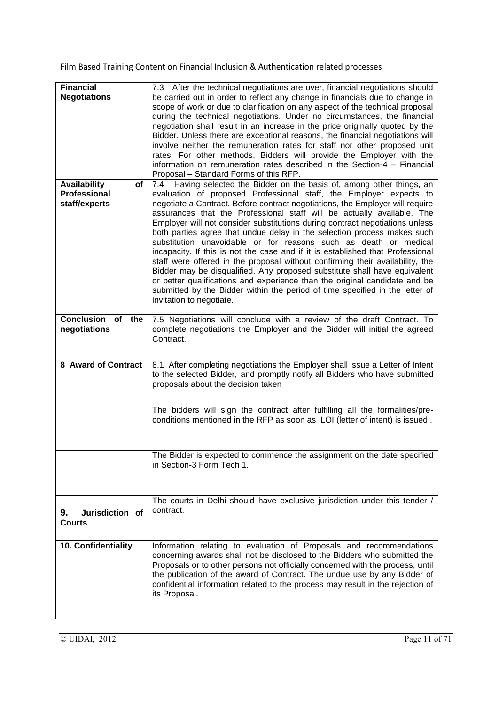| <b>Financial</b><br><b>Negotiations</b>                           | 7.3 After the technical negotiations are over, financial negotiations should<br>be carried out in order to reflect any change in financials due to change in<br>scope of work or due to clarification on any aspect of the technical proposal<br>during the technical negotiations. Under no circumstances, the financial<br>negotiation shall result in an increase in the price originally quoted by the<br>Bidder. Unless there are exceptional reasons, the financial negotiations will<br>involve neither the remuneration rates for staff nor other proposed unit<br>rates. For other methods, Bidders will provide the Employer with the<br>information on remuneration rates described in the Section-4 - Financial<br>Proposal - Standard Forms of this RFP.                                                                                                                                                                                                            |
|-------------------------------------------------------------------|----------------------------------------------------------------------------------------------------------------------------------------------------------------------------------------------------------------------------------------------------------------------------------------------------------------------------------------------------------------------------------------------------------------------------------------------------------------------------------------------------------------------------------------------------------------------------------------------------------------------------------------------------------------------------------------------------------------------------------------------------------------------------------------------------------------------------------------------------------------------------------------------------------------------------------------------------------------------------------|
| <b>Availability</b><br>of<br><b>Professional</b><br>staff/experts | 7.4 Having selected the Bidder on the basis of, among other things, an<br>evaluation of proposed Professional staff, the Employer expects to<br>negotiate a Contract. Before contract negotiations, the Employer will require<br>assurances that the Professional staff will be actually available. The<br>Employer will not consider substitutions during contract negotiations unless<br>both parties agree that undue delay in the selection process makes such<br>substitution unavoidable or for reasons such as death or medical<br>incapacity. If this is not the case and if it is established that Professional<br>staff were offered in the proposal without confirming their availability, the<br>Bidder may be disqualified. Any proposed substitute shall have equivalent<br>or better qualifications and experience than the original candidate and be<br>submitted by the Bidder within the period of time specified in the letter of<br>invitation to negotiate. |
| <b>Conclusion</b><br>of the<br>negotiations                       | 7.5 Negotiations will conclude with a review of the draft Contract. To<br>complete negotiations the Employer and the Bidder will initial the agreed<br>Contract.                                                                                                                                                                                                                                                                                                                                                                                                                                                                                                                                                                                                                                                                                                                                                                                                                 |
| 8 Award of Contract                                               | 8.1 After completing negotiations the Employer shall issue a Letter of Intent<br>to the selected Bidder, and promptly notify all Bidders who have submitted<br>proposals about the decision taken                                                                                                                                                                                                                                                                                                                                                                                                                                                                                                                                                                                                                                                                                                                                                                                |
|                                                                   | The bidders will sign the contract after fulfilling all the formalities/pre-<br>conditions mentioned in the RFP as soon as LOI (letter of intent) is issued.                                                                                                                                                                                                                                                                                                                                                                                                                                                                                                                                                                                                                                                                                                                                                                                                                     |
|                                                                   | The Bidder is expected to commence the assignment on the date specified<br>in Section-3 Form Tech 1.                                                                                                                                                                                                                                                                                                                                                                                                                                                                                                                                                                                                                                                                                                                                                                                                                                                                             |
| Jurisdiction of<br>9.<br><b>Courts</b>                            | The courts in Delhi should have exclusive jurisdiction under this tender /<br>contract.                                                                                                                                                                                                                                                                                                                                                                                                                                                                                                                                                                                                                                                                                                                                                                                                                                                                                          |
| 10. Confidentiality                                               | Information relating to evaluation of Proposals and recommendations<br>concerning awards shall not be disclosed to the Bidders who submitted the<br>Proposals or to other persons not officially concerned with the process, until<br>the publication of the award of Contract. The undue use by any Bidder of<br>confidential information related to the process may result in the rejection of<br>its Proposal.                                                                                                                                                                                                                                                                                                                                                                                                                                                                                                                                                                |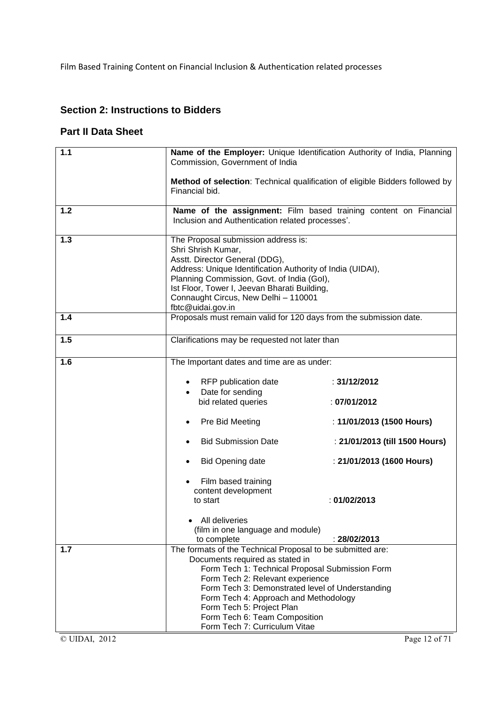## **Section 2: Instructions to Bidders**

## **Part II Data Sheet**

| $1.1$ | Name of the Employer: Unique Identification Authority of India, Planning<br>Commission, Government of India                             |                                                                                                                                                                                                                                                                                                                      |                                                                              |  |
|-------|-----------------------------------------------------------------------------------------------------------------------------------------|----------------------------------------------------------------------------------------------------------------------------------------------------------------------------------------------------------------------------------------------------------------------------------------------------------------------|------------------------------------------------------------------------------|--|
|       | Financial bid.                                                                                                                          |                                                                                                                                                                                                                                                                                                                      | Method of selection: Technical qualification of eligible Bidders followed by |  |
| $1.2$ |                                                                                                                                         | Inclusion and Authentication related processes'.                                                                                                                                                                                                                                                                     | Name of the assignment: Film based training content on Financial             |  |
| 1.3   |                                                                                                                                         | The Proposal submission address is:<br>Shri Shrish Kumar,<br>Asstt. Director General (DDG),<br>Address: Unique Identification Authority of India (UIDAI),<br>Planning Commission, Govt. of India (Gol),<br>Ist Floor, Tower I, Jeevan Bharati Building,<br>Connaught Circus, New Delhi - 110001<br>fbtc@uidai.gov.in |                                                                              |  |
| 1.4   |                                                                                                                                         | Proposals must remain valid for 120 days from the submission date.                                                                                                                                                                                                                                                   |                                                                              |  |
| 1.5   |                                                                                                                                         | Clarifications may be requested not later than                                                                                                                                                                                                                                                                       |                                                                              |  |
| 1.6   | The Important dates and time are as under:                                                                                              |                                                                                                                                                                                                                                                                                                                      |                                                                              |  |
|       |                                                                                                                                         | RFP publication date                                                                                                                                                                                                                                                                                                 | : 31/12/2012                                                                 |  |
|       |                                                                                                                                         | Date for sending<br>bid related queries                                                                                                                                                                                                                                                                              | :07/01/2012                                                                  |  |
|       |                                                                                                                                         | Pre Bid Meeting                                                                                                                                                                                                                                                                                                      | : 11/01/2013 (1500 Hours)                                                    |  |
|       |                                                                                                                                         | <b>Bid Submission Date</b>                                                                                                                                                                                                                                                                                           | : 21/01/2013 (till 1500 Hours)                                               |  |
|       |                                                                                                                                         | <b>Bid Opening date</b>                                                                                                                                                                                                                                                                                              | : 21/01/2013 (1600 Hours)                                                    |  |
|       |                                                                                                                                         | Film based training                                                                                                                                                                                                                                                                                                  |                                                                              |  |
|       |                                                                                                                                         | content development<br>to start                                                                                                                                                                                                                                                                                      | : 01/02/2013                                                                 |  |
|       |                                                                                                                                         |                                                                                                                                                                                                                                                                                                                      |                                                                              |  |
|       |                                                                                                                                         | All deliveries<br>(film in one language and module)                                                                                                                                                                                                                                                                  |                                                                              |  |
|       |                                                                                                                                         | to complete                                                                                                                                                                                                                                                                                                          | : 28/02/2013                                                                 |  |
| 1.7   |                                                                                                                                         | The formats of the Technical Proposal to be submitted are:                                                                                                                                                                                                                                                           |                                                                              |  |
|       |                                                                                                                                         | Documents required as stated in                                                                                                                                                                                                                                                                                      |                                                                              |  |
|       | Form Tech 1: Technical Proposal Submission Form<br>Form Tech 2: Relevant experience<br>Form Tech 3: Demonstrated level of Understanding |                                                                                                                                                                                                                                                                                                                      |                                                                              |  |
|       |                                                                                                                                         |                                                                                                                                                                                                                                                                                                                      |                                                                              |  |
|       |                                                                                                                                         | Form Tech 4: Approach and Methodology                                                                                                                                                                                                                                                                                |                                                                              |  |
|       |                                                                                                                                         | Form Tech 5: Project Plan                                                                                                                                                                                                                                                                                            |                                                                              |  |
|       |                                                                                                                                         | Form Tech 6: Team Composition                                                                                                                                                                                                                                                                                        |                                                                              |  |
|       |                                                                                                                                         | Form Tech 7: Curriculum Vitae                                                                                                                                                                                                                                                                                        |                                                                              |  |

© UIDAI, 2012 Page 12 of 71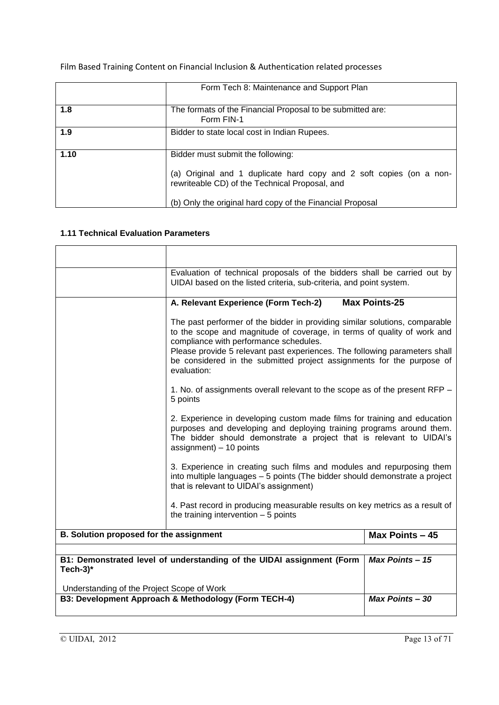| Film Based Training Content on Financial Inclusion & Authentication related processes |  |
|---------------------------------------------------------------------------------------|--|
|---------------------------------------------------------------------------------------|--|

|      | Form Tech 8: Maintenance and Support Plan                                                                                                                  |
|------|------------------------------------------------------------------------------------------------------------------------------------------------------------|
| 1.8  | The formats of the Financial Proposal to be submitted are:<br>Form FIN-1                                                                                   |
| 1.9  | Bidder to state local cost in Indian Rupees.                                                                                                               |
| 1.10 | Bidder must submit the following:<br>(a) Original and 1 duplicate hard copy and 2 soft copies (on a non-<br>rewriteable CD) of the Technical Proposal, and |
|      | (b) Only the original hard copy of the Financial Proposal                                                                                                  |

#### **1.11 Technical Evaluation Parameters**

|                                            | Evaluation of technical proposals of the bidders shall be carried out by<br>UIDAI based on the listed criteria, sub-criteria, and point system.                                                                                                    |                        |  |
|--------------------------------------------|----------------------------------------------------------------------------------------------------------------------------------------------------------------------------------------------------------------------------------------------------|------------------------|--|
|                                            | A. Relevant Experience (Form Tech-2)                                                                                                                                                                                                               | <b>Max Points-25</b>   |  |
|                                            | The past performer of the bidder in providing similar solutions, comparable<br>to the scope and magnitude of coverage, in terms of quality of work and<br>compliance with performance schedules.                                                   |                        |  |
|                                            | Please provide 5 relevant past experiences. The following parameters shall<br>be considered in the submitted project assignments for the purpose of<br>evaluation:                                                                                 |                        |  |
|                                            | 1. No. of assignments overall relevant to the scope as of the present RFP –<br>5 points                                                                                                                                                            |                        |  |
|                                            | 2. Experience in developing custom made films for training and education<br>purposes and developing and deploying training programs around them.<br>The bidder should demonstrate a project that is relevant to UIDAI's<br>assignment) - 10 points |                        |  |
|                                            | 3. Experience in creating such films and modules and repurposing them<br>into multiple languages - 5 points (The bidder should demonstrate a project<br>that is relevant to UIDAI's assignment)                                                    |                        |  |
|                                            | 4. Past record in producing measurable results on key metrics as a result of<br>the training intervention $-5$ points                                                                                                                              |                        |  |
| B. Solution proposed for the assignment    |                                                                                                                                                                                                                                                    | Max Points - 45        |  |
|                                            |                                                                                                                                                                                                                                                    | <b>Max Points - 15</b> |  |
| Tech-3 $*$                                 | B1: Demonstrated level of understanding of the UIDAI assignment (Form                                                                                                                                                                              |                        |  |
| Understanding of the Project Scope of Work | B3: Development Approach & Methodology (Form TECH-4)                                                                                                                                                                                               |                        |  |
|                                            | <b>Max Points - 30</b>                                                                                                                                                                                                                             |                        |  |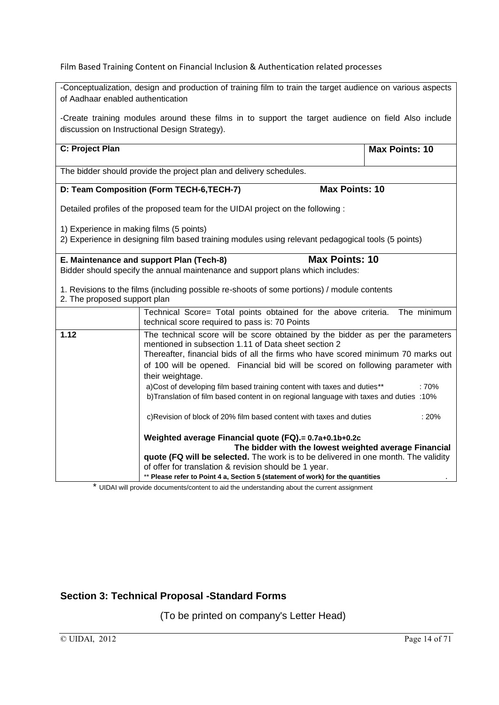| -Conceptualization, design and production of training film to train the target audience on various aspects |                                                                                                                                                                                                                                                    |                       |  |  |  |
|------------------------------------------------------------------------------------------------------------|----------------------------------------------------------------------------------------------------------------------------------------------------------------------------------------------------------------------------------------------------|-----------------------|--|--|--|
| of Aadhaar enabled authentication                                                                          |                                                                                                                                                                                                                                                    |                       |  |  |  |
|                                                                                                            | -Create training modules around these films in to support the target audience on field Also include<br>discussion on Instructional Design Strategy).                                                                                               |                       |  |  |  |
| C: Project Plan                                                                                            |                                                                                                                                                                                                                                                    | <b>Max Points: 10</b> |  |  |  |
|                                                                                                            | The bidder should provide the project plan and delivery schedules.                                                                                                                                                                                 |                       |  |  |  |
|                                                                                                            | <b>Max Points: 10</b><br>D: Team Composition (Form TECH-6, TECH-7)                                                                                                                                                                                 |                       |  |  |  |
|                                                                                                            | Detailed profiles of the proposed team for the UIDAI project on the following :                                                                                                                                                                    |                       |  |  |  |
| 1) Experience in making films (5 points)                                                                   |                                                                                                                                                                                                                                                    |                       |  |  |  |
|                                                                                                            | 2) Experience in designing film based training modules using relevant pedagogical tools (5 points)                                                                                                                                                 |                       |  |  |  |
|                                                                                                            | <b>Max Points: 10</b><br>E. Maintenance and support Plan (Tech-8)<br>Bidder should specify the annual maintenance and support plans which includes:<br>1. Revisions to the films (including possible re-shoots of some portions) / module contents |                       |  |  |  |
| 2. The proposed support plan                                                                               |                                                                                                                                                                                                                                                    |                       |  |  |  |
|                                                                                                            | Technical Score= Total points obtained for the above criteria.<br>technical score required to pass is: 70 Points                                                                                                                                   | The minimum           |  |  |  |
| 1.12                                                                                                       | The technical score will be score obtained by the bidder as per the parameters<br>mentioned in subsection 1.11 of Data sheet section 2<br>Thereafter, financial bids of all the firms who have scored minimum 70 marks out                         |                       |  |  |  |
|                                                                                                            | of 100 will be opened. Financial bid will be scored on following parameter with<br>their weightage.                                                                                                                                                |                       |  |  |  |
|                                                                                                            | a)Cost of developing film based training content with taxes and duties**<br>:70%<br>b)Translation of film based content in on regional language with taxes and duties :10%                                                                         |                       |  |  |  |
| c)Revision of block of 20% film based content with taxes and duties<br>:20%                                |                                                                                                                                                                                                                                                    |                       |  |  |  |
|                                                                                                            | Weighted average Financial quote (FQ).= 0.7a+0.1b+0.2c<br>The bidder with the lowest weighted average Financial<br>quote (FQ will be selected. The work is to be delivered in one month. The validity                                              |                       |  |  |  |
|                                                                                                            | of offer for translation & revision should be 1 year.<br>** Please refer to Point 4 a, Section 5 (statement of work) for the quantities                                                                                                            |                       |  |  |  |

\* UIDAI will provide documents/content to aid the understanding about the current assignment

## **Section 3: Technical Proposal -Standard Forms**

(To be printed on company's Letter Head)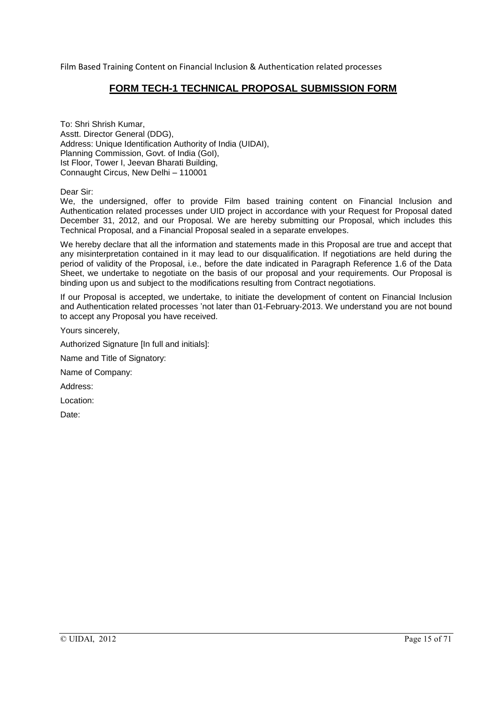### **FORM TECH-1 TECHNICAL PROPOSAL SUBMISSION FORM**

To: Shri Shrish Kumar, Asstt. Director General (DDG), Address: Unique Identification Authority of India (UIDAI), Planning Commission, Govt. of India (GoI), Ist Floor, Tower I, Jeevan Bharati Building, Connaught Circus, New Delhi – 110001

Dear Sir:

We, the undersigned, offer to provide Film based training content on Financial Inclusion and Authentication related processes under UID project in accordance with your Request for Proposal dated December 31, 2012, and our Proposal. We are hereby submitting our Proposal, which includes this Technical Proposal, and a Financial Proposal sealed in a separate envelopes.

We hereby declare that all the information and statements made in this Proposal are true and accept that any misinterpretation contained in it may lead to our disqualification. If negotiations are held during the period of validity of the Proposal, i.e., before the date indicated in Paragraph Reference 1.6 of the Data Sheet, we undertake to negotiate on the basis of our proposal and your requirements. Our Proposal is binding upon us and subject to the modifications resulting from Contract negotiations.

If our Proposal is accepted, we undertake, to initiate the development of content on Financial Inclusion and Authentication related processes 'not later than 01-February-2013. We understand you are not bound to accept any Proposal you have received.

Yours sincerely,

Authorized Signature [In full and initials]:

Name and Title of Signatory:

Name of Company:

Address:

Location:

Date: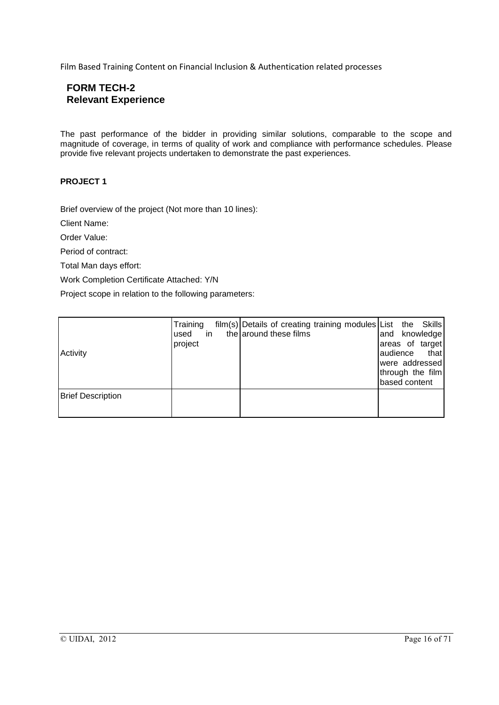## **FORM TECH-2 Relevant Experience**

The past performance of the bidder in providing similar solutions, comparable to the scope and magnitude of coverage, in terms of quality of work and compliance with performance schedules. Please provide five relevant projects undertaken to demonstrate the past experiences.

#### **PROJECT 1**

Brief overview of the project (Not more than 10 lines):

Client Name:

Order Value:

Period of contract:

Total Man days effort:

Work Completion Certificate Attached: Y/N

Project scope in relation to the following parameters:

| Activity                 | Training<br>used<br>project | in |  | film(s) Details of creating training modules List the Skills<br>the around these films |  | and<br>audience<br>based content | knowledge<br>areas of target<br>that<br>were addressed<br>through the film |
|--------------------------|-----------------------------|----|--|----------------------------------------------------------------------------------------|--|----------------------------------|----------------------------------------------------------------------------|
| <b>Brief Description</b> |                             |    |  |                                                                                        |  |                                  |                                                                            |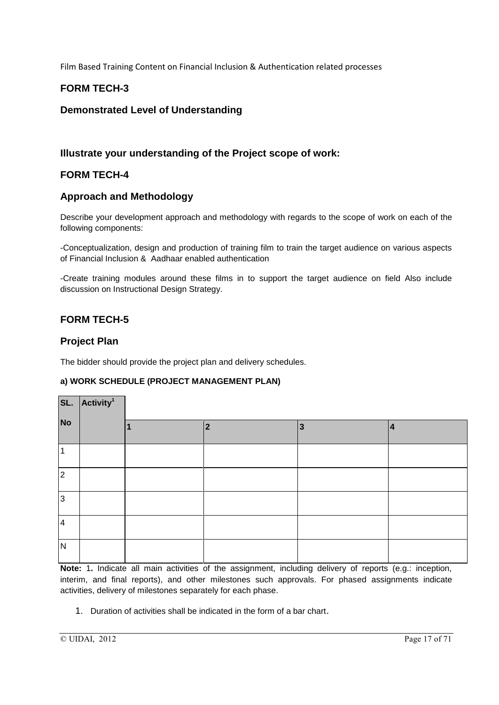## **FORM TECH-3**

### **Demonstrated Level of Understanding**

### **Illustrate your understanding of the Project scope of work:**

### **FORM TECH-4**

### **Approach and Methodology**

Describe your development approach and methodology with regards to the scope of work on each of the following components:

-Conceptualization, design and production of training film to train the target audience on various aspects of Financial Inclusion & Aadhaar enabled authentication

-Create training modules around these films in to support the target audience on field Also include discussion on Instructional Design Strategy.

## **FORM TECH-5**

### **Project Plan**

The bidder should provide the project plan and delivery schedules.

#### **a) WORK SCHEDULE (PROJECT MANAGEMENT PLAN)**

|                         | SL. Activity <sup>1</sup> |  |   |   |   |  |  |
|-------------------------|---------------------------|--|---|---|---|--|--|
| <b>No</b>               |                           |  | 2 | 3 | 4 |  |  |
| 1                       |                           |  |   |   |   |  |  |
| $\overline{2}$          |                           |  |   |   |   |  |  |
| $\overline{3}$          |                           |  |   |   |   |  |  |
| $\overline{\mathbf{4}}$ |                           |  |   |   |   |  |  |
| $\overline{\mathsf{N}}$ |                           |  |   |   |   |  |  |

**Note:** 1**.** Indicate all main activities of the assignment, including delivery of reports (e.g.: inception, interim, and final reports), and other milestones such approvals. For phased assignments indicate activities, delivery of milestones separately for each phase.

1. Duration of activities shall be indicated in the form of a bar chart.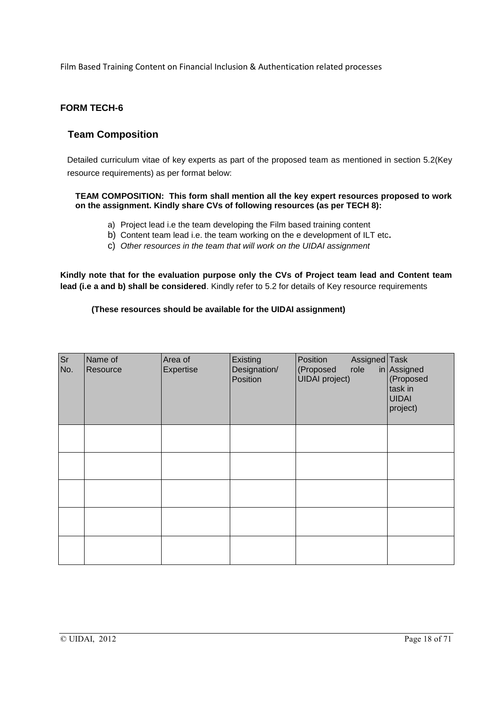### **FORM TECH-6**

### **Team Composition**

Detailed curriculum vitae of key experts as part of the proposed team as mentioned in section 5.2(Key resource requirements) as per format below:

#### **TEAM COMPOSITION: This form shall mention all the key expert resources proposed to work on the assignment. Kindly share CVs of following resources (as per TECH 8):**

- a) Project lead i.e the team developing the Film based training content
- b) Content team lead i.e. the team working on the e development of ILT etc**.**
- c) *Other resources in the team that will work on the UIDAI assignment*

**Kindly note that for the evaluation purpose only the CVs of Project team lead and Content team lead (i.e a and b) shall be considered**. Kindly refer to 5.2 for details of Key resource requirements

#### **(These resources should be available for the UIDAI assignment)**

| <b>Sr</b><br>No. | Name of<br>Resource | Area of<br><b>Expertise</b> | Existing<br>Designation/<br>Position | Assigned Task<br>Position<br>role<br>(Proposed<br><b>UIDAI</b> project) | in Assigned<br>(Proposed<br>task in<br><b>UIDAI</b><br>project) |
|------------------|---------------------|-----------------------------|--------------------------------------|-------------------------------------------------------------------------|-----------------------------------------------------------------|
|                  |                     |                             |                                      |                                                                         |                                                                 |
|                  |                     |                             |                                      |                                                                         |                                                                 |
|                  |                     |                             |                                      |                                                                         |                                                                 |
|                  |                     |                             |                                      |                                                                         |                                                                 |
|                  |                     |                             |                                      |                                                                         |                                                                 |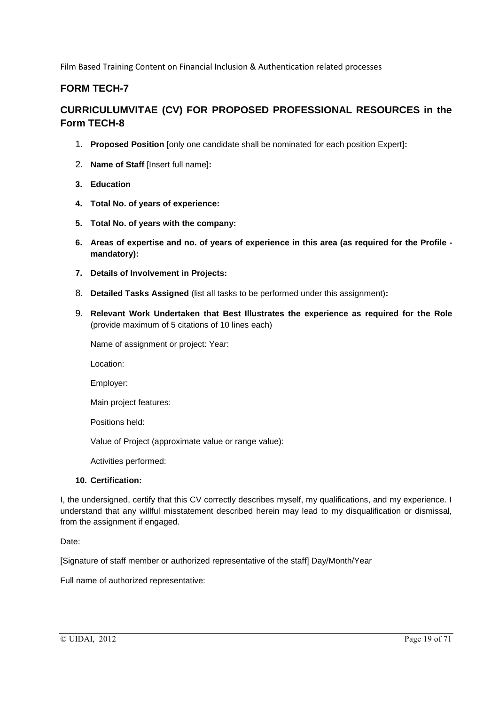## **FORM TECH-7**

## **CURRICULUMVITAE (CV) FOR PROPOSED PROFESSIONAL RESOURCES in the Form TECH-8**

- 1. **Proposed Position** [only one candidate shall be nominated for each position Expert]**:**
- 2. **Name of Staff** [Insert full name]**:**
- **3. Education**
- **4. Total No. of years of experience:**
- **5. Total No. of years with the company:**
- **6. Areas of expertise and no. of years of experience in this area (as required for the Profile mandatory):**
- **7. Details of Involvement in Projects:**
- 8. **Detailed Tasks Assigned** (list all tasks to be performed under this assignment)**:**
- 9. **Relevant Work Undertaken that Best Illustrates the experience as required for the Role**  (provide maximum of 5 citations of 10 lines each)

Name of assignment or project: Year:

Location:

Employer:

Main project features:

Positions held:

Value of Project (approximate value or range value):

Activities performed:

#### **10. Certification:**

I, the undersigned, certify that this CV correctly describes myself, my qualifications, and my experience. I understand that any willful misstatement described herein may lead to my disqualification or dismissal, from the assignment if engaged.

Date:

[Signature of staff member or authorized representative of the staff] Day/Month/Year

Full name of authorized representative: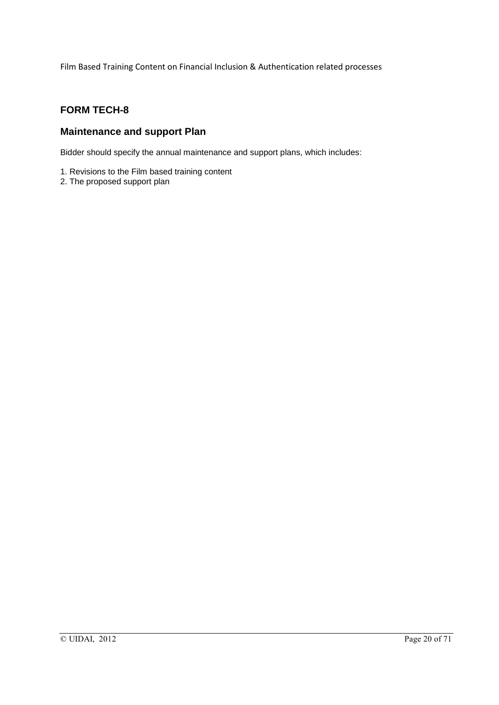## **FORM TECH-8**

### **Maintenance and support Plan**

Bidder should specify the annual maintenance and support plans, which includes:

- 1. Revisions to the Film based training content
- 2. The proposed support plan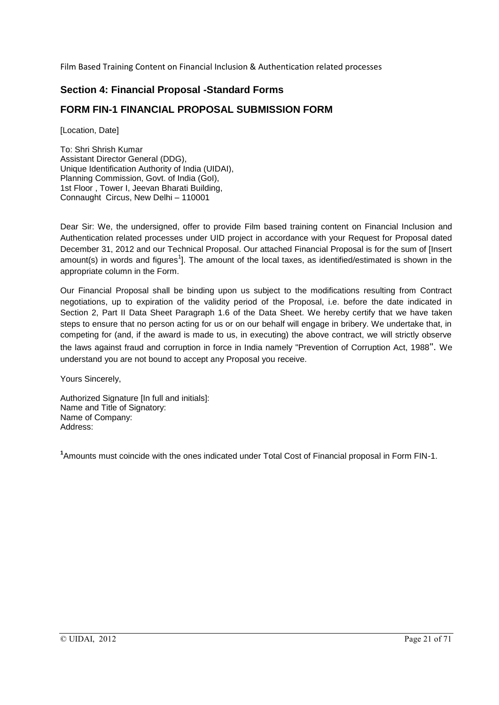## **Section 4: Financial Proposal -Standard Forms**

## **FORM FIN-1 FINANCIAL PROPOSAL SUBMISSION FORM**

[Location, Date]

To: Shri Shrish Kumar Assistant Director General (DDG), Unique Identification Authority of India (UIDAI), Planning Commission, Govt. of India (GoI), 1st Floor , Tower I, Jeevan Bharati Building, Connaught Circus, New Delhi – 110001

Dear Sir: We, the undersigned, offer to provide Film based training content on Financial Inclusion and Authentication related processes under UID project in accordance with your Request for Proposal dated December 31, 2012 and our Technical Proposal. Our attached Financial Proposal is for the sum of [Insert amount(s) in words and figures<sup>1</sup>]. The amount of the local taxes, as identified/estimated is shown in the appropriate column in the Form.

Our Financial Proposal shall be binding upon us subject to the modifications resulting from Contract negotiations, up to expiration of the validity period of the Proposal, i.e. before the date indicated in Section 2, Part II Data Sheet Paragraph 1.6 of the Data Sheet. We hereby certify that we have taken steps to ensure that no person acting for us or on our behalf will engage in bribery. We undertake that, in competing for (and, if the award is made to us, in executing) the above contract, we will strictly observe the laws against fraud and corruption in force in India namely "Prevention of Corruption Act, 1988". We understand you are not bound to accept any Proposal you receive.

Yours Sincerely,

Authorized Signature [In full and initials]: Name and Title of Signatory: Name of Company: Address:

**1** Amounts must coincide with the ones indicated under Total Cost of Financial proposal in Form FIN-1.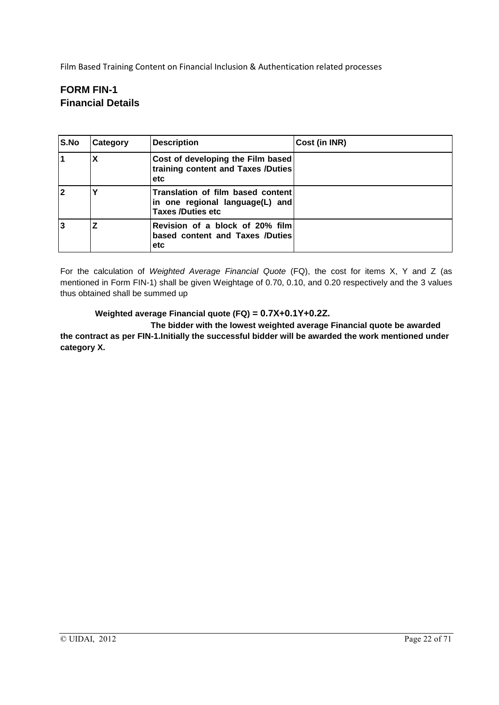## **FORM FIN-1 Financial Details**

| S.No           | Category | <b>Description</b>                                                                                | Cost (in INR) |
|----------------|----------|---------------------------------------------------------------------------------------------------|---------------|
| $\overline{1}$ | х        | Cost of developing the Film based<br>training content and Taxes /Duties<br>etc                    |               |
| $\overline{2}$ |          | Translation of film based content<br>in one regional language(L) and<br><b>Taxes /Duties etc.</b> |               |
| 3              |          | Revision of a block of 20% film<br>based content and Taxes /Duties<br>etc                         |               |

For the calculation of *Weighted Average Financial Quote* (FQ), the cost for items X, Y and Z (as mentioned in Form FIN-1) shall be given Weightage of 0.70, 0.10, and 0.20 respectively and the 3 values thus obtained shall be summed up

#### **Weighted average Financial quote (FQ) = 0.7X+0.1Y+0.2Z.**

**The bidder with the lowest weighted average Financial quote be awarded the contract as per FIN-1.Initially the successful bidder will be awarded the work mentioned under category X.**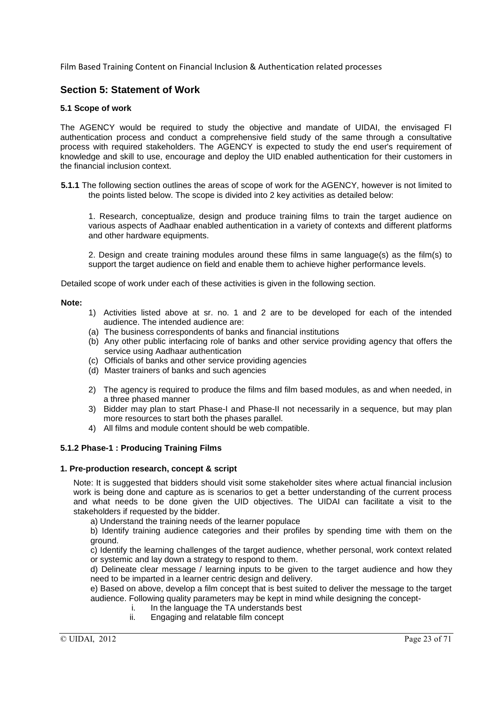### **Section 5: Statement of Work**

#### **5.1 Scope of work**

The AGENCY would be required to study the objective and mandate of UIDAI, the envisaged FI authentication process and conduct a comprehensive field study of the same through a consultative process with required stakeholders. The AGENCY is expected to study the end user's requirement of knowledge and skill to use, encourage and deploy the UID enabled authentication for their customers in the financial inclusion context.

**5.1.1** The following section outlines the areas of scope of work for the AGENCY, however is not limited to the points listed below. The scope is divided into 2 key activities as detailed below:

1. Research, conceptualize, design and produce training films to train the target audience on various aspects of Aadhaar enabled authentication in a variety of contexts and different platforms and other hardware equipments.

2. Design and create training modules around these films in same language(s) as the film(s) to support the target audience on field and enable them to achieve higher performance levels.

Detailed scope of work under each of these activities is given in the following section.

#### **Note:**

- 1) Activities listed above at sr. no. 1 and 2 are to be developed for each of the intended audience. The intended audience are:
- (a) The business correspondents of banks and financial institutions
- (b) Any other public interfacing role of banks and other service providing agency that offers the service using Aadhaar authentication
- (c) Officials of banks and other service providing agencies
- (d) Master trainers of banks and such agencies
- 2) The agency is required to produce the films and film based modules, as and when needed, in a three phased manner
- 3) Bidder may plan to start Phase-I and Phase-II not necessarily in a sequence, but may plan more resources to start both the phases parallel.
- 4) All films and module content should be web compatible.

#### **5.1.2 Phase-1 : Producing Training Films**

#### **1. Pre-production research, concept & script**

Note: It is suggested that bidders should visit some stakeholder sites where actual financial inclusion work is being done and capture as is scenarios to get a better understanding of the current process and what needs to be done given the UID objectives. The UIDAI can facilitate a visit to the stakeholders if requested by the bidder.

a) Understand the training needs of the learner populace

b) Identify training audience categories and their profiles by spending time with them on the ground.

c) Identify the learning challenges of the target audience, whether personal, work context related or systemic and lay down a strategy to respond to them.

d) Delineate clear message / learning inputs to be given to the target audience and how they need to be imparted in a learner centric design and delivery.

e) Based on above, develop a film concept that is best suited to deliver the message to the target audience. Following quality parameters may be kept in mind while designing the concept-

- i. In the language the TA understands best
- ii. Engaging and relatable film concept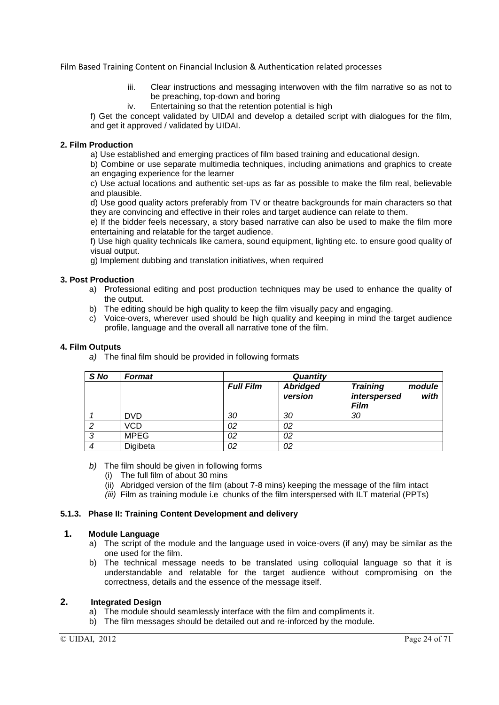- iii. Clear instructions and messaging interwoven with the film narrative so as not to be preaching, top-down and boring
- iv. Entertaining so that the retention potential is high

f) Get the concept validated by UIDAI and develop a detailed script with dialogues for the film, and get it approved / validated by UIDAI.

#### **2. Film Production**

a) Use established and emerging practices of film based training and educational design.

b) Combine or use separate multimedia techniques, including animations and graphics to create an engaging experience for the learner

c) Use actual locations and authentic set-ups as far as possible to make the film real, believable and plausible.

d) Use good quality actors preferably from TV or theatre backgrounds for main characters so that they are convincing and effective in their roles and target audience can relate to them.

e) If the bidder feels necessary, a story based narrative can also be used to make the film more entertaining and relatable for the target audience.

f) Use high quality technicals like camera, sound equipment, lighting etc. to ensure good quality of visual output.

g) Implement dubbing and translation initiatives, when required

#### **3. Post Production**

- a) Professional editing and post production techniques may be used to enhance the quality of the output.
- b) The editing should be high quality to keep the film visually pacy and engaging.
- c) Voice-overs, wherever used should be high quality and keeping in mind the target audience profile, language and the overall all narrative tone of the film.

#### **4. Film Outputs**

*a)* The final film should be provided in following formats

| S No   | <b>Format</b> | Quantity         |                            |                                                                  |  |
|--------|---------------|------------------|----------------------------|------------------------------------------------------------------|--|
|        |               | <b>Full Film</b> | <b>Abridged</b><br>version | <b>Training</b><br>module<br>with<br>interspersed<br><b>Film</b> |  |
|        | <b>DVD</b>    | 30               | 30                         | 30                                                               |  |
|        | VCD           | 02               | 02                         |                                                                  |  |
| ≏<br>J | <b>MPEG</b>   | 02               | 02                         |                                                                  |  |
|        | Digibeta      | 02               | 02                         |                                                                  |  |

#### *b)* The film should be given in following forms

- (i) The full film of about 30 mins
- (ii) Abridged version of the film (about 7-8 mins) keeping the message of the film intact
- *(iii)* Film as training module i.e chunks of the film interspersed with ILT material (PPTs)

#### **5.1.3. Phase II: Training Content Development and delivery**

#### **1. Module Language**

- a) The script of the module and the language used in voice-overs (if any) may be similar as the one used for the film.
- b) The technical message needs to be translated using colloquial language so that it is understandable and relatable for the target audience without compromising on the correctness, details and the essence of the message itself.

#### **2. Integrated Design**

- a) The module should seamlessly interface with the film and compliments it.
- b) The film messages should be detailed out and re-inforced by the module.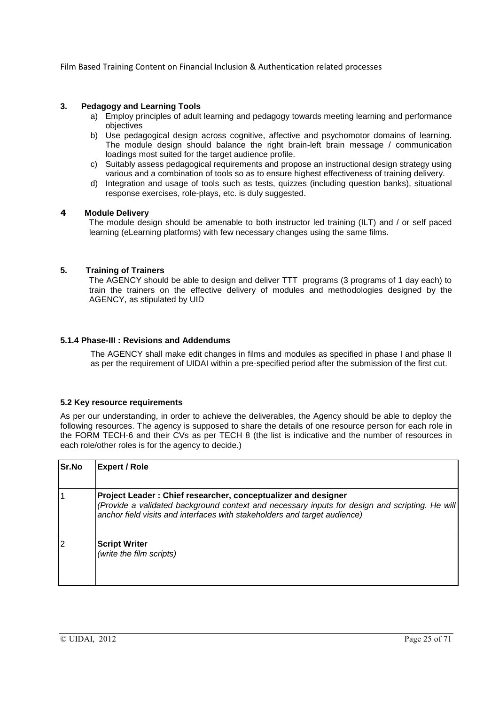#### **3. Pedagogy and Learning Tools**

- a) Employ principles of adult learning and pedagogy towards meeting learning and performance objectives
- b) Use pedagogical design across cognitive, affective and psychomotor domains of learning. The module design should balance the right brain-left brain message / communication loadings most suited for the target audience profile.
- c) Suitably assess pedagogical requirements and propose an instructional design strategy using various and a combination of tools so as to ensure highest effectiveness of training delivery.
- d) Integration and usage of tools such as tests, quizzes (including question banks), situational response exercises, role-plays, etc. is duly suggested.

#### **4 Module Delivery**

The module design should be amenable to both instructor led training (ILT) and / or self paced learning (eLearning platforms) with few necessary changes using the same films.

#### **5. Training of Trainers**

The AGENCY should be able to design and deliver TTT programs (3 programs of 1 day each) to train the trainers on the effective delivery of modules and methodologies designed by the AGENCY, as stipulated by UID

#### **5.1.4 Phase-III : Revisions and Addendums**

The AGENCY shall make edit changes in films and modules as specified in phase I and phase II as per the requirement of UIDAI within a pre-specified period after the submission of the first cut.

#### **5.2 Key resource requirements**

As per our understanding, in order to achieve the deliverables, the Agency should be able to deploy the following resources. The agency is supposed to share the details of one resource person for each role in the FORM TECH-6 and their CVs as per TECH 8 (the list is indicative and the number of resources in each role/other roles is for the agency to decide.)

| Sr.No          | Expert / Role                                                                                                                                                                                                                                |
|----------------|----------------------------------------------------------------------------------------------------------------------------------------------------------------------------------------------------------------------------------------------|
|                | Project Leader: Chief researcher, conceptualizer and designer<br>(Provide a validated background context and necessary inputs for design and scripting. He will<br>anchor field visits and interfaces with stakeholders and target audience) |
| $\overline{2}$ | <b>Script Writer</b><br>(write the film scripts)                                                                                                                                                                                             |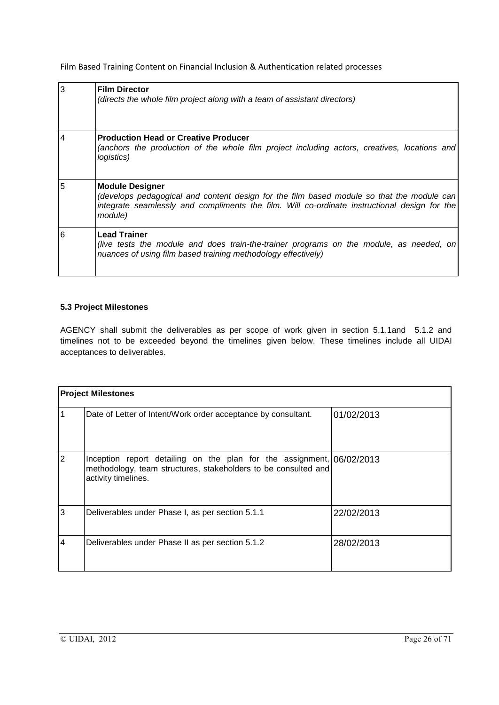| $\overline{3}$ | <b>Film Director</b><br>(directs the whole film project along with a team of assistant directors)                                                                                                                               |
|----------------|---------------------------------------------------------------------------------------------------------------------------------------------------------------------------------------------------------------------------------|
| $\overline{4}$ | <b>Production Head or Creative Producer</b><br>(anchors the production of the whole film project including actors, creatives, locations and)<br>logistics)                                                                      |
| 5              | <b>Module Designer</b><br>(develops pedagogical and content design for the film based module so that the module can)<br>integrate seamlessly and compliments the film. Will co-ordinate instructional design for the<br>module) |
| 6              | <b>Lead Trainer</b><br>(live tests the module and does train-the-trainer programs on the module, as needed, on<br>nuances of using film based training methodology effectively)                                                 |

### **5.3 Project Milestones**

AGENCY shall submit the deliverables as per scope of work given in section 5.1.1and 5.1.2 and timelines not to be exceeded beyond the timelines given below. These timelines include all UIDAI acceptances to deliverables.

|                | <b>Project Milestones</b>                                                                                                                                      |            |
|----------------|----------------------------------------------------------------------------------------------------------------------------------------------------------------|------------|
| $\mathbf{1}$   | Date of Letter of Intent/Work order acceptance by consultant.                                                                                                  | 01/02/2013 |
| $\overline{2}$ | Inception report detailing on the plan for the assignment, 06/02/2013<br>methodology, team structures, stakeholders to be consulted and<br>activity timelines. |            |
| 3              | Deliverables under Phase I, as per section 5.1.1                                                                                                               | 22/02/2013 |
| $\overline{4}$ | Deliverables under Phase II as per section 5.1.2                                                                                                               | 28/02/2013 |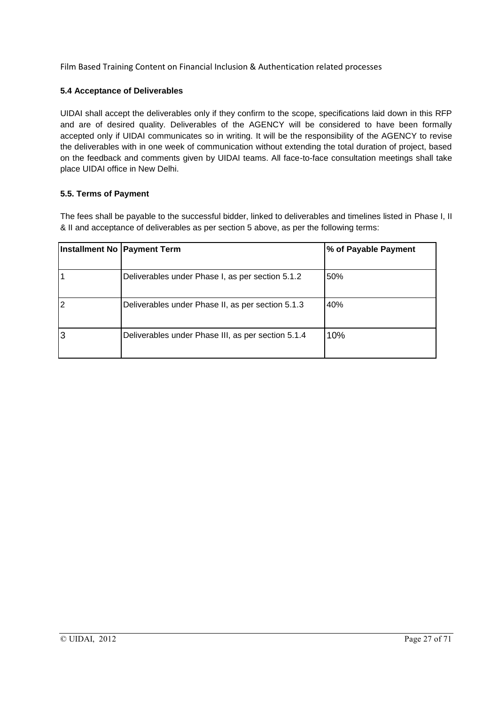#### **5.4 Acceptance of Deliverables**

UIDAI shall accept the deliverables only if they confirm to the scope, specifications laid down in this RFP and are of desired quality. Deliverables of the AGENCY will be considered to have been formally accepted only if UIDAI communicates so in writing. It will be the responsibility of the AGENCY to revise the deliverables with in one week of communication without extending the total duration of project, based on the feedback and comments given by UIDAI teams. All face-to-face consultation meetings shall take place UIDAI office in New Delhi.

#### **5.5. Terms of Payment**

The fees shall be payable to the successful bidder, linked to deliverables and timelines listed in Phase I, II & II and acceptance of deliverables as per section 5 above, as per the following terms:

| Installment No   Payment Term |                                                    | % of Payable Payment |
|-------------------------------|----------------------------------------------------|----------------------|
|                               | Deliverables under Phase I, as per section 5.1.2   | 50%                  |
| $\overline{2}$                | Deliverables under Phase II, as per section 5.1.3  | 40%                  |
| 3                             | Deliverables under Phase III, as per section 5.1.4 | 10%                  |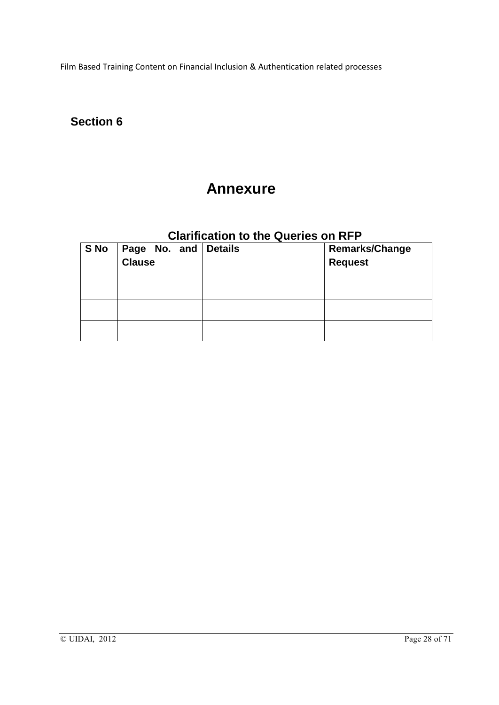## **Section 6**

## **Annexure**

## **Clarification to the Queries on RFP**

| S No | Page No. and Details Clause | <b>Remarks/Change</b><br><b>Request</b> |
|------|-----------------------------|-----------------------------------------|
|      |                             |                                         |
|      |                             |                                         |
|      |                             |                                         |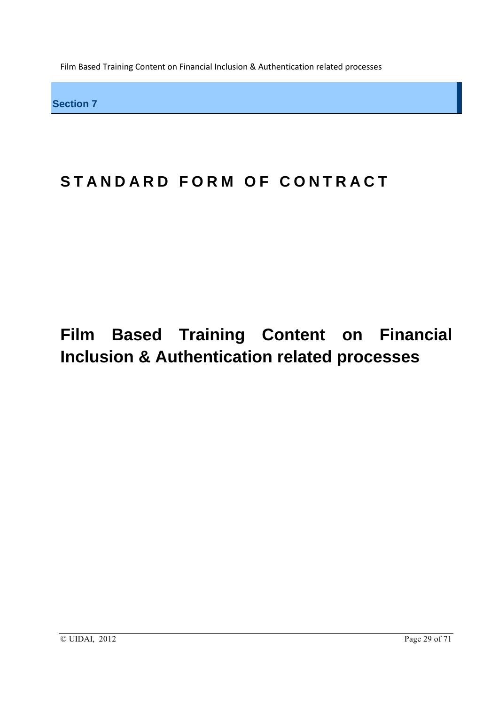**Section 7**

# STANDARD FORM OF CONTRACT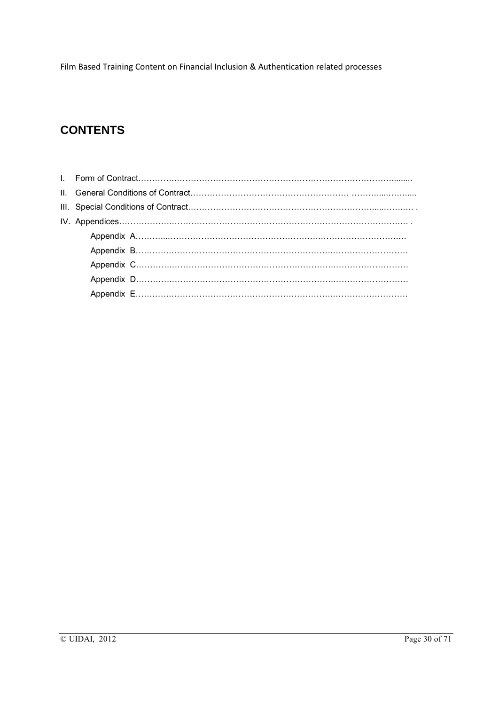## **CONTENTS**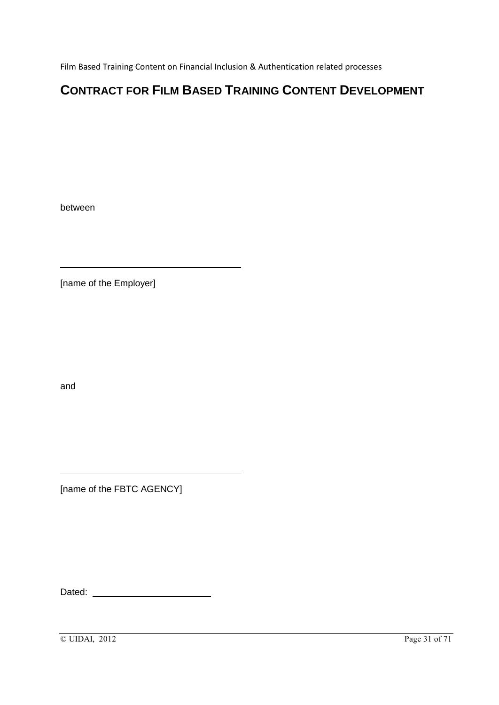## **CONTRACT FOR FILM BASED TRAINING CONTENT DEVELOPMENT**

between

[name of the Employer]

and

[name of the FBTC AGENCY]

Dated: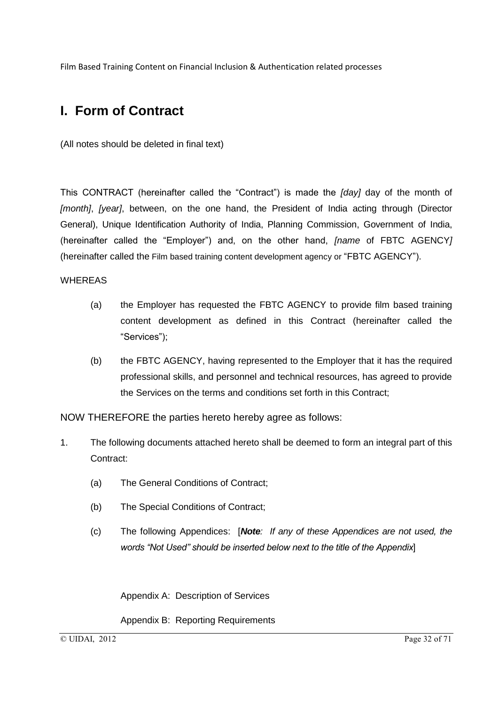## **I. Form of Contract**

(All notes should be deleted in final text)

This CONTRACT (hereinafter called the "Contract") is made the *[day]* day of the month of *[month]*, *[year]*, between, on the one hand, the President of India acting through (Director General), Unique Identification Authority of India, Planning Commission, Government of India, (hereinafter called the "Employer") and, on the other hand, *[name* of FBTC AGENCY*]* (hereinafter called the Film based training content development agency or "FBTC AGENCY").

### **WHEREAS**

- (a) the Employer has requested the FBTC AGENCY to provide film based training content development as defined in this Contract (hereinafter called the "Services");
- (b) the FBTC AGENCY, having represented to the Employer that it has the required professional skills, and personnel and technical resources, has agreed to provide the Services on the terms and conditions set forth in this Contract;

NOW THEREFORE the parties hereto hereby agree as follows:

- 1. The following documents attached hereto shall be deemed to form an integral part of this Contract:
	- (a) The General Conditions of Contract;
	- (b) The Special Conditions of Contract;
	- (c) The following Appendices: [*Note: If any of these Appendices are not used, the words "Not Used" should be inserted below next to the title of the Appendix*]

Appendix A: Description of Services

Appendix B: Reporting Requirements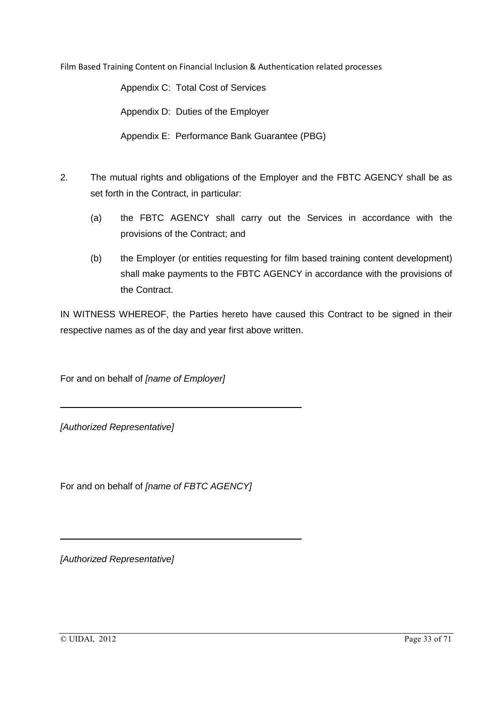Appendix C: Total Cost of Services

Appendix D: Duties of the Employer

Appendix E: Performance Bank Guarantee (PBG)

- 2. The mutual rights and obligations of the Employer and the FBTC AGENCY shall be as set forth in the Contract, in particular:
	- (a) the FBTC AGENCY shall carry out the Services in accordance with the provisions of the Contract; and
	- (b) the Employer (or entities requesting for film based training content development) shall make payments to the FBTC AGENCY in accordance with the provisions of the Contract.

IN WITNESS WHEREOF, the Parties hereto have caused this Contract to be signed in their respective names as of the day and year first above written.

For and on behalf of *[name of Employer]*

*[Authorized Representative]*

For and on behalf of *[name of FBTC AGENCY]*

*[Authorized Representative]*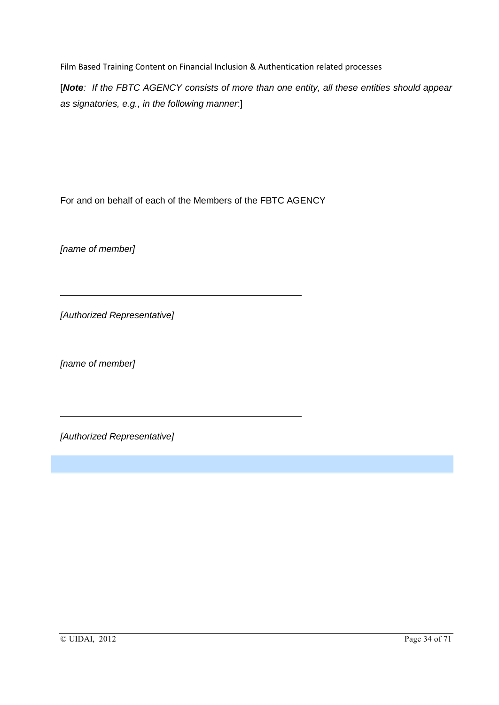[*Note: If the FBTC AGENCY consists of more than one entity, all these entities should appear as signatories, e.g., in the following manner*:]

For and on behalf of each of the Members of the FBTC AGENCY

*[name of member]*

*[Authorized Representative]*

*[name of member]*

*[Authorized Representative]*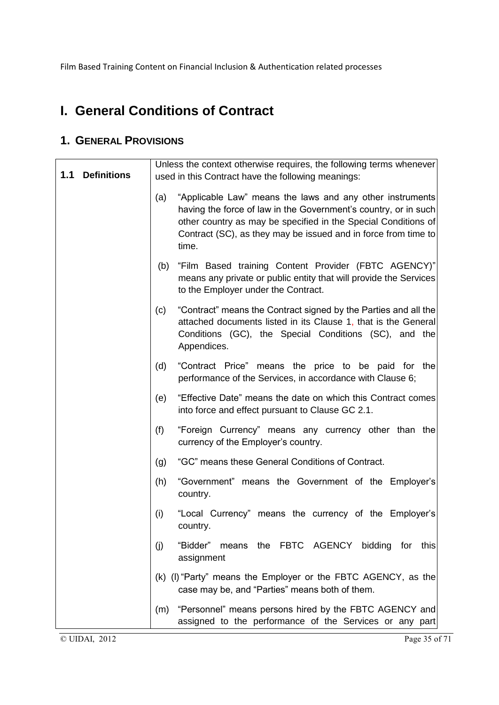# **I. General Conditions of Contract**

## **1. GENERAL PROVISIONS**

| 1.1 | <b>Definitions</b> | Unless the context otherwise requires, the following terms whenever                                                                                                                                                                                                              |
|-----|--------------------|----------------------------------------------------------------------------------------------------------------------------------------------------------------------------------------------------------------------------------------------------------------------------------|
|     |                    | used in this Contract have the following meanings:                                                                                                                                                                                                                               |
|     |                    | "Applicable Law" means the laws and any other instruments<br>(a)<br>having the force of law in the Government's country, or in such<br>other country as may be specified in the Special Conditions of<br>Contract (SC), as they may be issued and in force from time to<br>time. |
|     |                    | "Film Based training Content Provider (FBTC AGENCY)"<br>(b)<br>means any private or public entity that will provide the Services<br>to the Employer under the Contract.                                                                                                          |
|     |                    | "Contract" means the Contract signed by the Parties and all the<br>(c)<br>attached documents listed in its Clause 1, that is the General<br>Conditions (GC), the Special Conditions (SC), and the<br>Appendices.                                                                 |
|     |                    | "Contract Price" means the price to be paid for the<br>(d)<br>performance of the Services, in accordance with Clause 6;                                                                                                                                                          |
|     |                    | "Effective Date" means the date on which this Contract comes<br>(e)<br>into force and effect pursuant to Clause GC 2.1.                                                                                                                                                          |
|     |                    | (f)<br>"Foreign Currency" means any currency other than the<br>currency of the Employer's country.                                                                                                                                                                               |
|     |                    | "GC" means these General Conditions of Contract.<br>(g)                                                                                                                                                                                                                          |
|     |                    | "Government" means the Government of the Employer's<br>(h)<br>country.                                                                                                                                                                                                           |
|     |                    | (i)<br>"Local Currency" means the currency of the Employer's<br>country.                                                                                                                                                                                                         |
|     |                    | means the FBTC AGENCY bidding for this<br>"Bidder"<br>(j)<br>assignment                                                                                                                                                                                                          |
|     |                    | (k) (I) "Party" means the Employer or the FBTC AGENCY, as the<br>case may be, and "Parties" means both of them.                                                                                                                                                                  |
|     |                    | "Personnel" means persons hired by the FBTC AGENCY and<br>(m)<br>assigned to the performance of the Services or any part                                                                                                                                                         |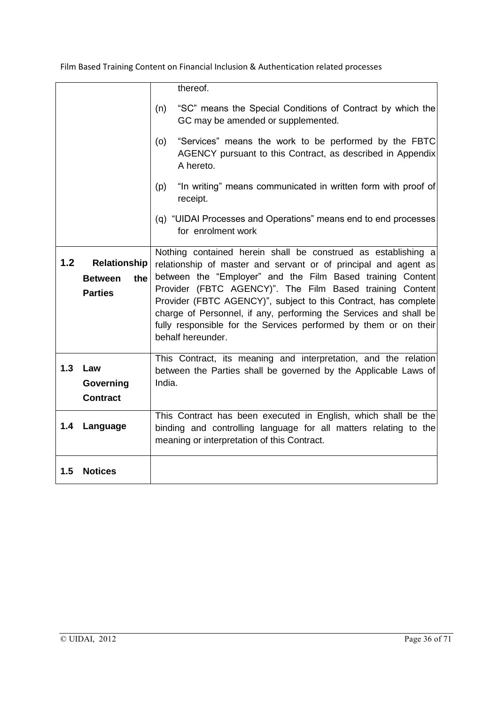|     |                       | thereof.                                                                                                                                |
|-----|-----------------------|-----------------------------------------------------------------------------------------------------------------------------------------|
|     |                       | "SC" means the Special Conditions of Contract by which the<br>(n)<br>GC may be amended or supplemented.                                 |
|     |                       | "Services" means the work to be performed by the FBTC<br>(o)<br>AGENCY pursuant to this Contract, as described in Appendix<br>A hereto. |
|     |                       | "In writing" means communicated in written form with proof of<br>(p)<br>receipt.                                                        |
|     |                       | (q) "UIDAI Processes and Operations" means end to end processes<br>for enrolment work                                                   |
| 1.2 | Relationship          | Nothing contained herein shall be construed as establishing a                                                                           |
|     |                       | relationship of master and servant or of principal and agent as<br>between the "Employer" and the Film Based training Content           |
|     | the<br><b>Between</b> | Provider (FBTC AGENCY)". The Film Based training Content                                                                                |
|     | <b>Parties</b>        | Provider (FBTC AGENCY)", subject to this Contract, has complete                                                                         |
|     |                       | charge of Personnel, if any, performing the Services and shall be                                                                       |
|     |                       | fully responsible for the Services performed by them or on their                                                                        |
|     |                       | behalf hereunder.                                                                                                                       |
|     |                       | This Contract, its meaning and interpretation, and the relation                                                                         |
| 1.3 | Law                   | between the Parties shall be governed by the Applicable Laws of                                                                         |
|     | Governing             | India.                                                                                                                                  |
|     | <b>Contract</b>       |                                                                                                                                         |
|     |                       | This Contract has been executed in English, which shall be the                                                                          |
| 1.4 | Language              | binding and controlling language for all matters relating to the                                                                        |
|     |                       | meaning or interpretation of this Contract.                                                                                             |
| 1.5 | <b>Notices</b>        |                                                                                                                                         |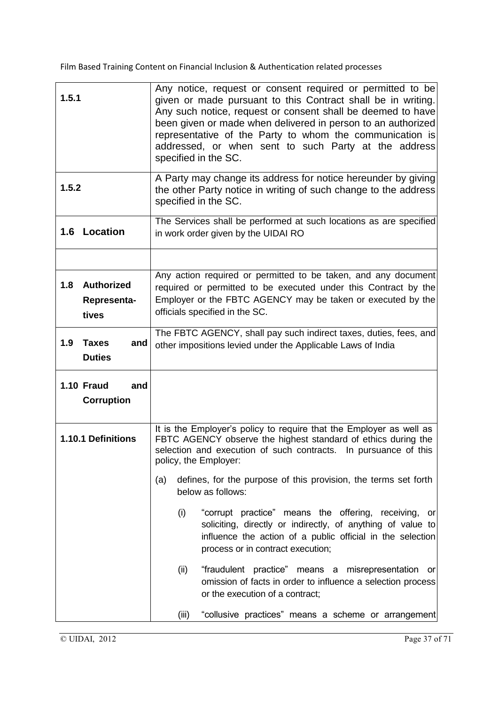| 1.5.1                                  | Any notice, request or consent required or permitted to be<br>given or made pursuant to this Contract shall be in writing.<br>Any such notice, request or consent shall be deemed to have<br>been given or made when delivered in person to an authorized<br>representative of the Party to whom the communication is<br>addressed, or when sent to such Party at the address<br>specified in the SC. |
|----------------------------------------|-------------------------------------------------------------------------------------------------------------------------------------------------------------------------------------------------------------------------------------------------------------------------------------------------------------------------------------------------------------------------------------------------------|
| 1.5.2                                  | A Party may change its address for notice hereunder by giving<br>the other Party notice in writing of such change to the address<br>specified in the SC.                                                                                                                                                                                                                                              |
| 1.6<br>Location                        | The Services shall be performed at such locations as are specified<br>in work order given by the UIDAI RO                                                                                                                                                                                                                                                                                             |
| 1.8 Authorized<br>Representa-<br>tives | Any action required or permitted to be taken, and any document<br>required or permitted to be executed under this Contract by the<br>Employer or the FBTC AGENCY may be taken or executed by the<br>officials specified in the SC.                                                                                                                                                                    |
| 1.9<br><b>Taxes</b><br><b>Duties</b>   | The FBTC AGENCY, shall pay such indirect taxes, duties, fees, and<br>and<br>other impositions levied under the Applicable Laws of India                                                                                                                                                                                                                                                               |
| 1.10 Fraud<br><b>Corruption</b>        | and                                                                                                                                                                                                                                                                                                                                                                                                   |
| 1.10.1 Definitions                     | It is the Employer's policy to require that the Employer as well as<br>FBTC AGENCY observe the highest standard of ethics during the<br>selection and execution of such contracts. In pursuance of this<br>policy, the Employer:<br>defines, for the purpose of this provision, the terms set forth<br>(a)                                                                                            |
|                                        | below as follows:<br>(i)<br>"corrupt practice" means the offering, receiving, or<br>soliciting, directly or indirectly, of anything of value to<br>influence the action of a public official in the selection<br>process or in contract execution;                                                                                                                                                    |
|                                        | (ii)<br>"fraudulent practice" means a misrepresentation<br>- or<br>omission of facts in order to influence a selection process<br>or the execution of a contract;                                                                                                                                                                                                                                     |
|                                        | "collusive practices" means a scheme or arrangement<br>(iii)                                                                                                                                                                                                                                                                                                                                          |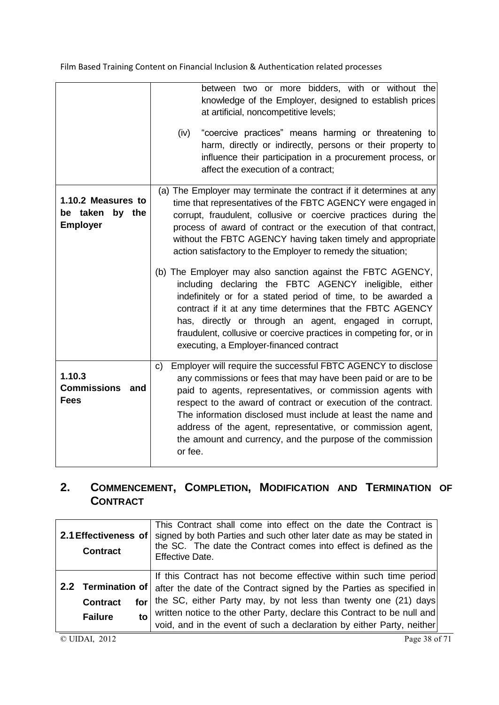|                                                             | between two or more bidders, with or without the<br>knowledge of the Employer, designed to establish prices<br>at artificial, noncompetitive levels;<br>"coercive practices" means harming or threatening to<br>(iv)<br>harm, directly or indirectly, persons or their property to<br>influence their participation in a procurement process, or<br>affect the execution of a contract;                                                                                                                                                                                                                                                                                                                                                                                                                                                     |
|-------------------------------------------------------------|---------------------------------------------------------------------------------------------------------------------------------------------------------------------------------------------------------------------------------------------------------------------------------------------------------------------------------------------------------------------------------------------------------------------------------------------------------------------------------------------------------------------------------------------------------------------------------------------------------------------------------------------------------------------------------------------------------------------------------------------------------------------------------------------------------------------------------------------|
| 1.10.2 Measures to<br>be taken<br>by the<br><b>Employer</b> | (a) The Employer may terminate the contract if it determines at any<br>time that representatives of the FBTC AGENCY were engaged in<br>corrupt, fraudulent, collusive or coercive practices during the<br>process of award of contract or the execution of that contract,<br>without the FBTC AGENCY having taken timely and appropriate<br>action satisfactory to the Employer to remedy the situation;<br>(b) The Employer may also sanction against the FBTC AGENCY,<br>including declaring the FBTC AGENCY ineligible, either<br>indefinitely or for a stated period of time, to be awarded a<br>contract if it at any time determines that the FBTC AGENCY<br>has, directly or through an agent, engaged in corrupt,<br>fraudulent, collusive or coercive practices in competing for, or in<br>executing, a Employer-financed contract |
| 1.10.3<br><b>Commissions</b><br>and<br><b>Fees</b>          | Employer will require the successful FBTC AGENCY to disclose<br>c)<br>any commissions or fees that may have been paid or are to be<br>paid to agents, representatives, or commission agents with<br>respect to the award of contract or execution of the contract.<br>The information disclosed must include at least the name and<br>address of the agent, representative, or commission agent,<br>the amount and currency, and the purpose of the commission<br>or fee.                                                                                                                                                                                                                                                                                                                                                                   |

## **2. COMMENCEMENT, COMPLETION, MODIFICATION AND TERMINATION OF CONTRACT**

| 2.1 Effectiveness of<br><b>Contract</b> |                        | This Contract shall come into effect on the date the Contract is<br>signed by both Parties and such other later date as may be stated in<br>the SC. The date the Contract comes into effect is defined as the<br>Effective Date. |
|-----------------------------------------|------------------------|----------------------------------------------------------------------------------------------------------------------------------------------------------------------------------------------------------------------------------|
|                                         |                        | If this Contract has not become effective within such time period<br>2.2 Termination of after the date of the Contract signed by the Parties as specified in                                                                     |
|                                         | <b>Contract</b><br>for | the SC, either Party may, by not less than twenty one (21) days                                                                                                                                                                  |
|                                         | to<br><b>Failure</b>   | written notice to the other Party, declare this Contract to be null and<br>void, and in the event of such a declaration by either Party, neither                                                                                 |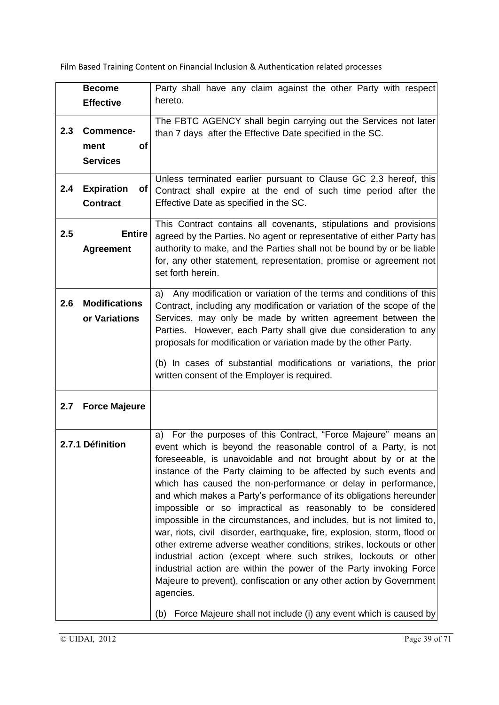|     | <b>Become</b>             | Party shall have any claim against the other Party with respect                                                                   |
|-----|---------------------------|-----------------------------------------------------------------------------------------------------------------------------------|
|     | <b>Effective</b>          | hereto.                                                                                                                           |
|     |                           |                                                                                                                                   |
| 2.3 | <b>Commence-</b>          | The FBTC AGENCY shall begin carrying out the Services not later                                                                   |
|     |                           | than 7 days after the Effective Date specified in the SC.                                                                         |
|     | ment<br><b>of</b>         |                                                                                                                                   |
|     | <b>Services</b>           |                                                                                                                                   |
|     |                           | Unless terminated earlier pursuant to Clause GC 2.3 hereof, this                                                                  |
| 2.4 | <b>Expiration</b><br>of l | Contract shall expire at the end of such time period after the                                                                    |
|     | <b>Contract</b>           | Effective Date as specified in the SC.                                                                                            |
|     |                           | This Contract contains all covenants, stipulations and provisions                                                                 |
| 2.5 | <b>Entire</b>             | agreed by the Parties. No agent or representative of either Party has                                                             |
|     | <b>Agreement</b>          | authority to make, and the Parties shall not be bound by or be liable                                                             |
|     |                           | for, any other statement, representation, promise or agreement not                                                                |
|     |                           | set forth herein.                                                                                                                 |
|     |                           | Any modification or variation of the terms and conditions of this<br>a)                                                           |
| 2.6 | <b>Modifications</b>      | Contract, including any modification or variation of the scope of the                                                             |
|     | or Variations             | Services, may only be made by written agreement between the                                                                       |
|     |                           | Parties. However, each Party shall give due consideration to any                                                                  |
|     |                           | proposals for modification or variation made by the other Party.                                                                  |
|     |                           |                                                                                                                                   |
|     |                           | (b) In cases of substantial modifications or variations, the prior                                                                |
|     |                           | written consent of the Employer is required.                                                                                      |
|     |                           |                                                                                                                                   |
| 2.7 | <b>Force Majeure</b>      |                                                                                                                                   |
|     |                           |                                                                                                                                   |
|     |                           | a) For the purposes of this Contract, "Force Majeure" means an                                                                    |
|     | 2.7.1 Définition          | event which is beyond the reasonable control of a Party, is not                                                                   |
|     |                           | foreseeable, is unavoidable and not brought about by or at the                                                                    |
|     |                           | instance of the Party claiming to be affected by such events and                                                                  |
|     |                           | which has caused the non-performance or delay in performance,                                                                     |
|     |                           | and which makes a Party's performance of its obligations hereunder<br>impossible or so impractical as reasonably to be considered |
|     |                           | impossible in the circumstances, and includes, but is not limited to,                                                             |
|     |                           | war, riots, civil disorder, earthquake, fire, explosion, storm, flood or                                                          |
|     |                           | other extreme adverse weather conditions, strikes, lockouts or other                                                              |
|     |                           | industrial action (except where such strikes, lockouts or other                                                                   |
|     |                           | industrial action are within the power of the Party invoking Force                                                                |
|     |                           | Majeure to prevent), confiscation or any other action by Government                                                               |
|     |                           | agencies.                                                                                                                         |
|     |                           | Force Majeure shall not include (i) any event which is caused by<br>(b)                                                           |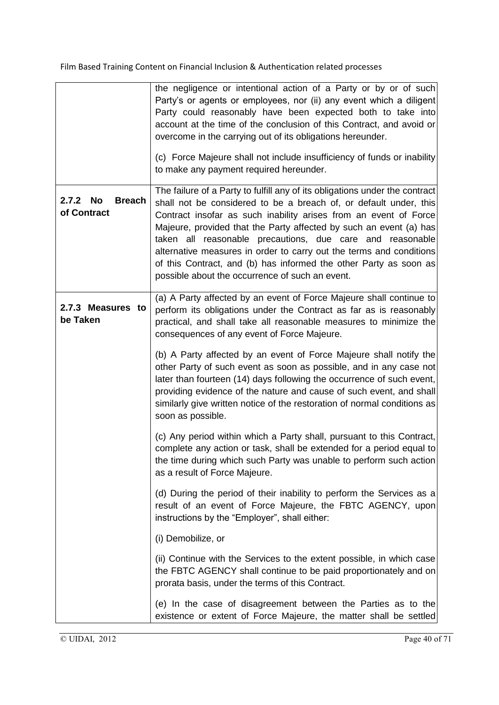|                                             | the negligence or intentional action of a Party or by or of such<br>Party's or agents or employees, nor (ii) any event which a diligent<br>Party could reasonably have been expected both to take into<br>account at the time of the conclusion of this Contract, and avoid or<br>overcome in the carrying out of its obligations hereunder.<br>(c) Force Majeure shall not include insufficiency of funds or inability<br>to make any payment required hereunder.                                                                                     |
|---------------------------------------------|--------------------------------------------------------------------------------------------------------------------------------------------------------------------------------------------------------------------------------------------------------------------------------------------------------------------------------------------------------------------------------------------------------------------------------------------------------------------------------------------------------------------------------------------------------|
| No<br><b>Breach</b><br>2.7.2<br>of Contract | The failure of a Party to fulfill any of its obligations under the contract<br>shall not be considered to be a breach of, or default under, this<br>Contract insofar as such inability arises from an event of Force<br>Majeure, provided that the Party affected by such an event (a) has<br>taken all reasonable precautions, due care and reasonable<br>alternative measures in order to carry out the terms and conditions<br>of this Contract, and (b) has informed the other Party as soon as<br>possible about the occurrence of such an event. |
| 2.7.3 Measures to<br>be Taken               | (a) A Party affected by an event of Force Majeure shall continue to<br>perform its obligations under the Contract as far as is reasonably<br>practical, and shall take all reasonable measures to minimize the<br>consequences of any event of Force Majeure.                                                                                                                                                                                                                                                                                          |
|                                             | (b) A Party affected by an event of Force Majeure shall notify the<br>other Party of such event as soon as possible, and in any case not<br>later than fourteen (14) days following the occurrence of such event,<br>providing evidence of the nature and cause of such event, and shall<br>similarly give written notice of the restoration of normal conditions as<br>soon as possible.                                                                                                                                                              |
|                                             | (c) Any period within which a Party shall, pursuant to this Contract,<br>complete any action or task, shall be extended for a period equal to<br>the time during which such Party was unable to perform such action<br>as a result of Force Majeure.                                                                                                                                                                                                                                                                                                   |
|                                             | (d) During the period of their inability to perform the Services as a<br>result of an event of Force Majeure, the FBTC AGENCY, upon<br>instructions by the "Employer", shall either:                                                                                                                                                                                                                                                                                                                                                                   |
|                                             | (i) Demobilize, or                                                                                                                                                                                                                                                                                                                                                                                                                                                                                                                                     |
|                                             | (ii) Continue with the Services to the extent possible, in which case<br>the FBTC AGENCY shall continue to be paid proportionately and on<br>prorata basis, under the terms of this Contract.                                                                                                                                                                                                                                                                                                                                                          |
|                                             | (e) In the case of disagreement between the Parties as to the<br>existence or extent of Force Majeure, the matter shall be settled                                                                                                                                                                                                                                                                                                                                                                                                                     |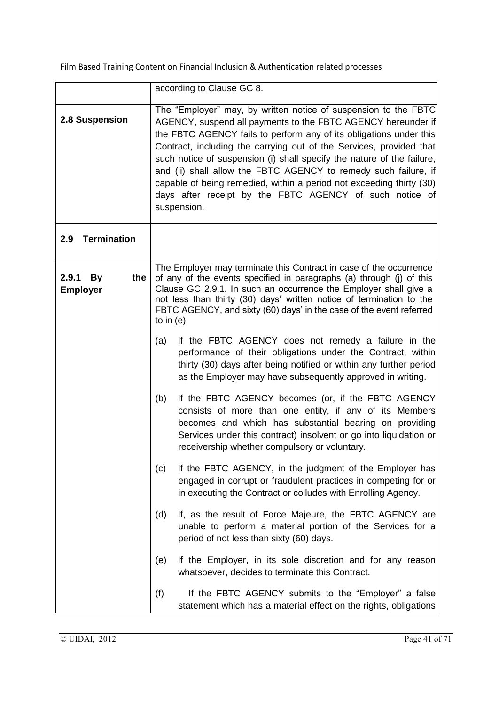|                                              | according to Clause GC 8.                                                                                                                                                                                                                                                                                                                                                                                                                                                                                                                                                   |
|----------------------------------------------|-----------------------------------------------------------------------------------------------------------------------------------------------------------------------------------------------------------------------------------------------------------------------------------------------------------------------------------------------------------------------------------------------------------------------------------------------------------------------------------------------------------------------------------------------------------------------------|
| 2.8 Suspension                               | The "Employer" may, by written notice of suspension to the FBTC<br>AGENCY, suspend all payments to the FBTC AGENCY hereunder if<br>the FBTC AGENCY fails to perform any of its obligations under this<br>Contract, including the carrying out of the Services, provided that<br>such notice of suspension (i) shall specify the nature of the failure,<br>and (ii) shall allow the FBTC AGENCY to remedy such failure, if<br>capable of being remedied, within a period not exceeding thirty (30)<br>days after receipt by the FBTC AGENCY of such notice of<br>suspension. |
| <b>Termination</b><br>2.9                    |                                                                                                                                                                                                                                                                                                                                                                                                                                                                                                                                                                             |
| the<br>2.9.1<br><b>By</b><br><b>Employer</b> | The Employer may terminate this Contract in case of the occurrence<br>of any of the events specified in paragraphs (a) through (j) of this<br>Clause GC 2.9.1. In such an occurrence the Employer shall give a<br>not less than thirty (30) days' written notice of termination to the<br>FBTC AGENCY, and sixty (60) days' in the case of the event referred<br>to in $(e)$ .                                                                                                                                                                                              |
|                                              | If the FBTC AGENCY does not remedy a failure in the<br>(a)<br>performance of their obligations under the Contract, within<br>thirty (30) days after being notified or within any further period<br>as the Employer may have subsequently approved in writing.                                                                                                                                                                                                                                                                                                               |
|                                              | If the FBTC AGENCY becomes (or, if the FBTC AGENCY<br>(b)<br>consists of more than one entity, if any of its Members<br>becomes and which has substantial bearing on providing<br>Services under this contract) insolvent or go into liquidation or<br>receivership whether compulsory or voluntary.                                                                                                                                                                                                                                                                        |
|                                              | If the FBTC AGENCY, in the judgment of the Employer has<br>(c)<br>engaged in corrupt or fraudulent practices in competing for or<br>in executing the Contract or colludes with Enrolling Agency.                                                                                                                                                                                                                                                                                                                                                                            |
|                                              | If, as the result of Force Majeure, the FBTC AGENCY are<br>(d)<br>unable to perform a material portion of the Services for a<br>period of not less than sixty (60) days.                                                                                                                                                                                                                                                                                                                                                                                                    |
|                                              | If the Employer, in its sole discretion and for any reason<br>(e)<br>whatsoever, decides to terminate this Contract.                                                                                                                                                                                                                                                                                                                                                                                                                                                        |
|                                              | (f)<br>If the FBTC AGENCY submits to the "Employer" a false<br>statement which has a material effect on the rights, obligations                                                                                                                                                                                                                                                                                                                                                                                                                                             |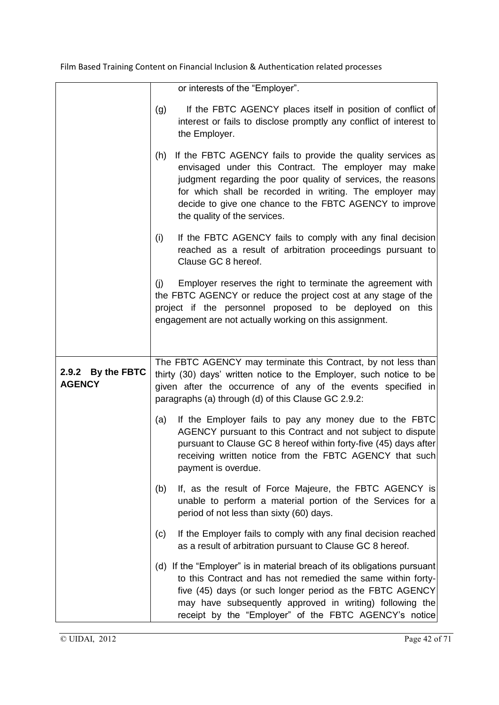|                                    | or interests of the "Employer".                                                                                                                                                                                                                                                                                                                   |
|------------------------------------|---------------------------------------------------------------------------------------------------------------------------------------------------------------------------------------------------------------------------------------------------------------------------------------------------------------------------------------------------|
|                                    | If the FBTC AGENCY places itself in position of conflict of<br>(g)<br>interest or fails to disclose promptly any conflict of interest to<br>the Employer.                                                                                                                                                                                         |
|                                    | If the FBTC AGENCY fails to provide the quality services as<br>(h)<br>envisaged under this Contract. The employer may make<br>judgment regarding the poor quality of services, the reasons<br>for which shall be recorded in writing. The employer may<br>decide to give one chance to the FBTC AGENCY to improve<br>the quality of the services. |
|                                    | If the FBTC AGENCY fails to comply with any final decision<br>(i)<br>reached as a result of arbitration proceedings pursuant to<br>Clause GC 8 hereof.                                                                                                                                                                                            |
|                                    | Employer reserves the right to terminate the agreement with<br>(i)<br>the FBTC AGENCY or reduce the project cost at any stage of the<br>project if the personnel proposed to be deployed on this<br>engagement are not actually working on this assignment.                                                                                       |
| 2.9.2 By the FBTC<br><b>AGENCY</b> | The FBTC AGENCY may terminate this Contract, by not less than<br>thirty (30) days' written notice to the Employer, such notice to be<br>given after the occurrence of any of the events specified in<br>paragraphs (a) through (d) of this Clause GC 2.9.2:                                                                                       |
|                                    | If the Employer fails to pay any money due to the FBTC<br>(a)<br>AGENCY pursuant to this Contract and not subject to dispute<br>pursuant to Clause GC 8 hereof within forty-five (45) days after<br>receiving written notice from the FBTC AGENCY that such<br>payment is overdue.                                                                |
|                                    | If, as the result of Force Majeure, the FBTC AGENCY is<br>(b)<br>unable to perform a material portion of the Services for a<br>period of not less than sixty (60) days.                                                                                                                                                                           |
|                                    | If the Employer fails to comply with any final decision reached<br>(c)<br>as a result of arbitration pursuant to Clause GC 8 hereof.                                                                                                                                                                                                              |
|                                    | (d) If the "Employer" is in material breach of its obligations pursuant<br>to this Contract and has not remedied the same within forty-<br>five (45) days (or such longer period as the FBTC AGENCY<br>may have subsequently approved in writing) following the<br>receipt by the "Employer" of the FBTC AGENCY's notice                          |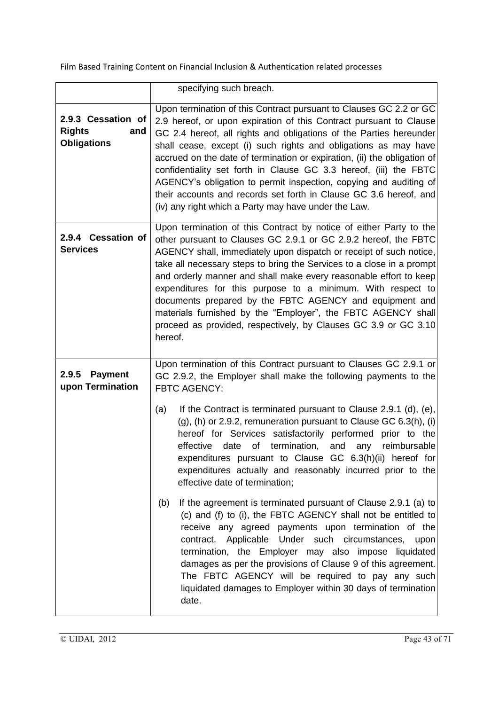|                                                                  | specifying such breach.                                                                                                                                                                                                                                                                                                                                                                                                                                                                                                                                                                                                                                                                                                                                                                                                                                                                                                                                                                                                                                                                                                |
|------------------------------------------------------------------|------------------------------------------------------------------------------------------------------------------------------------------------------------------------------------------------------------------------------------------------------------------------------------------------------------------------------------------------------------------------------------------------------------------------------------------------------------------------------------------------------------------------------------------------------------------------------------------------------------------------------------------------------------------------------------------------------------------------------------------------------------------------------------------------------------------------------------------------------------------------------------------------------------------------------------------------------------------------------------------------------------------------------------------------------------------------------------------------------------------------|
| 2.9.3 Cessation of<br><b>Rights</b><br>and<br><b>Obligations</b> | Upon termination of this Contract pursuant to Clauses GC 2.2 or GC<br>2.9 hereof, or upon expiration of this Contract pursuant to Clause<br>GC 2.4 hereof, all rights and obligations of the Parties hereunder<br>shall cease, except (i) such rights and obligations as may have<br>accrued on the date of termination or expiration, (ii) the obligation of<br>confidentiality set forth in Clause GC 3.3 hereof, (iii) the FBTC<br>AGENCY's obligation to permit inspection, copying and auditing of<br>their accounts and records set forth in Clause GC 3.6 hereof, and<br>(iv) any right which a Party may have under the Law.                                                                                                                                                                                                                                                                                                                                                                                                                                                                                   |
| 2.9.4 Cessation of<br><b>Services</b>                            | Upon termination of this Contract by notice of either Party to the<br>other pursuant to Clauses GC 2.9.1 or GC 2.9.2 hereof, the FBTC<br>AGENCY shall, immediately upon dispatch or receipt of such notice,<br>take all necessary steps to bring the Services to a close in a prompt<br>and orderly manner and shall make every reasonable effort to keep<br>expenditures for this purpose to a minimum. With respect to<br>documents prepared by the FBTC AGENCY and equipment and<br>materials furnished by the "Employer", the FBTC AGENCY shall<br>proceed as provided, respectively, by Clauses GC 3.9 or GC 3.10<br>hereof.                                                                                                                                                                                                                                                                                                                                                                                                                                                                                      |
| 2.9.5<br><b>Payment</b><br>upon Termination                      | Upon termination of this Contract pursuant to Clauses GC 2.9.1 or<br>GC 2.9.2, the Employer shall make the following payments to the<br><b>FBTC AGENCY:</b><br>If the Contract is terminated pursuant to Clause 2.9.1 (d), (e),<br>(a)<br>$(g)$ , (h) or 2.9.2, remuneration pursuant to Clause GC 6.3(h), (i)<br>hereof for Services satisfactorily performed prior to the<br>effective date of termination,<br>and<br>reimbursable<br>any<br>expenditures pursuant to Clause GC 6.3(h)(ii) hereof for<br>expenditures actually and reasonably incurred prior to the<br>effective date of termination;<br>If the agreement is terminated pursuant of Clause 2.9.1 (a) to<br>(b)<br>(c) and (f) to (i), the FBTC AGENCY shall not be entitled to<br>receive any agreed payments upon termination of the<br>contract. Applicable Under such circumstances,<br>upon<br>termination, the Employer may also impose liquidated<br>damages as per the provisions of Clause 9 of this agreement.<br>The FBTC AGENCY will be required to pay any such<br>liquidated damages to Employer within 30 days of termination<br>date. |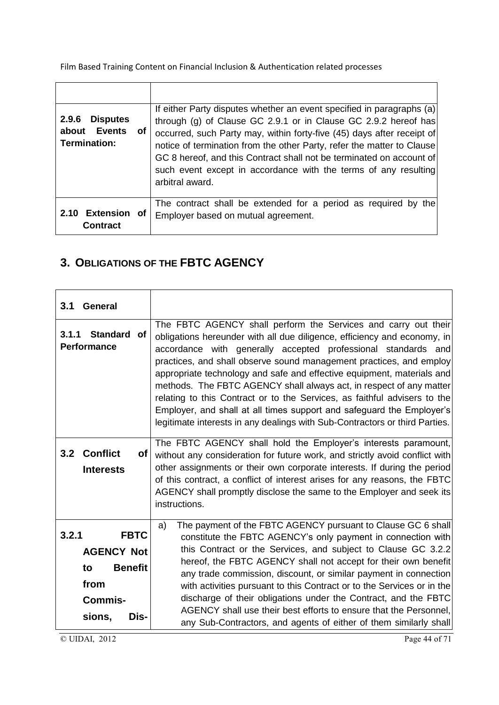| <b>Disputes</b><br>2.9.6<br><b>Events</b><br>about<br>of<br>Termination: | If either Party disputes whether an event specified in paragraphs (a)<br>through (g) of Clause GC 2.9.1 or in Clause GC 2.9.2 hereof has<br>occurred, such Party may, within forty-five (45) days after receipt of<br>notice of termination from the other Party, refer the matter to Clause<br>GC 8 hereof, and this Contract shall not be terminated on account of<br>such event except in accordance with the terms of any resulting<br>arbitral award. |
|--------------------------------------------------------------------------|------------------------------------------------------------------------------------------------------------------------------------------------------------------------------------------------------------------------------------------------------------------------------------------------------------------------------------------------------------------------------------------------------------------------------------------------------------|
| <b>Extension of</b><br>2.10<br><b>Contract</b>                           | The contract shall be extended for a period as required by the<br>Employer based on mutual agreement.                                                                                                                                                                                                                                                                                                                                                      |

## **3. OBLIGATIONS OF THE FBTC AGENCY**

| 3.1<br><b>General</b>                                                                                         |                                                                                                                                                                                                                                                                                                                                                                                                                                                                                                                                                                                                                                                                          |
|---------------------------------------------------------------------------------------------------------------|--------------------------------------------------------------------------------------------------------------------------------------------------------------------------------------------------------------------------------------------------------------------------------------------------------------------------------------------------------------------------------------------------------------------------------------------------------------------------------------------------------------------------------------------------------------------------------------------------------------------------------------------------------------------------|
| Standard of<br>3.1.1<br><b>Performance</b>                                                                    | The FBTC AGENCY shall perform the Services and carry out their<br>obligations hereunder with all due diligence, efficiency and economy, in<br>accordance with generally accepted professional standards and<br>practices, and shall observe sound management practices, and employ<br>appropriate technology and safe and effective equipment, materials and<br>methods. The FBTC AGENCY shall always act, in respect of any matter<br>relating to this Contract or to the Services, as faithful advisers to the<br>Employer, and shall at all times support and safeguard the Employer's<br>legitimate interests in any dealings with Sub-Contractors or third Parties. |
| <b>Conflict</b><br>3.2<br>of<br><b>Interests</b>                                                              | The FBTC AGENCY shall hold the Employer's interests paramount,<br>without any consideration for future work, and strictly avoid conflict with<br>other assignments or their own corporate interests. If during the period<br>of this contract, a conflict of interest arises for any reasons, the FBTC<br>AGENCY shall promptly disclose the same to the Employer and seek its<br>instructions.                                                                                                                                                                                                                                                                          |
| 3.2.1<br><b>FBTC</b><br><b>AGENCY Not</b><br><b>Benefit</b><br>to<br>from<br><b>Commis-</b><br>sions,<br>Dis- | The payment of the FBTC AGENCY pursuant to Clause GC 6 shall<br>a)<br>constitute the FBTC AGENCY's only payment in connection with<br>this Contract or the Services, and subject to Clause GC 3.2.2<br>hereof, the FBTC AGENCY shall not accept for their own benefit<br>any trade commission, discount, or similar payment in connection<br>with activities pursuant to this Contract or to the Services or in the<br>discharge of their obligations under the Contract, and the FBTC<br>AGENCY shall use their best efforts to ensure that the Personnel,<br>any Sub-Contractors, and agents of either of them similarly shall                                         |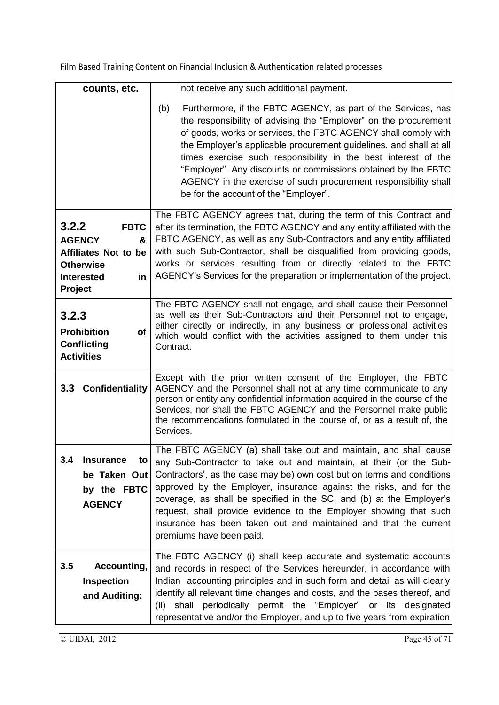| counts, etc.                                                                                                                        | not receive any such additional payment.                                                                                                                                                                                                                                                                                                                                                                                                                                                                                            |
|-------------------------------------------------------------------------------------------------------------------------------------|-------------------------------------------------------------------------------------------------------------------------------------------------------------------------------------------------------------------------------------------------------------------------------------------------------------------------------------------------------------------------------------------------------------------------------------------------------------------------------------------------------------------------------------|
|                                                                                                                                     | Furthermore, if the FBTC AGENCY, as part of the Services, has<br>(b)<br>the responsibility of advising the "Employer" on the procurement<br>of goods, works or services, the FBTC AGENCY shall comply with<br>the Employer's applicable procurement guidelines, and shall at all<br>times exercise such responsibility in the best interest of the<br>"Employer". Any discounts or commissions obtained by the FBTC<br>AGENCY in the exercise of such procurement responsibility shall<br>be for the account of the "Employer".     |
| 3.2.2<br><b>FBTC</b><br><b>AGENCY</b><br>&<br><b>Affiliates Not to be</b><br><b>Otherwise</b><br><b>Interested</b><br>in<br>Project | The FBTC AGENCY agrees that, during the term of this Contract and<br>after its termination, the FBTC AGENCY and any entity affiliated with the<br>FBTC AGENCY, as well as any Sub-Contractors and any entity affiliated<br>with such Sub-Contractor, shall be disqualified from providing goods,<br>works or services resulting from or directly related to the FBTC<br>AGENCY's Services for the preparation or implementation of the project.                                                                                     |
| 3.2.3<br><b>Prohibition</b><br>οf<br><b>Conflicting</b><br><b>Activities</b>                                                        | The FBTC AGENCY shall not engage, and shall cause their Personnel<br>as well as their Sub-Contractors and their Personnel not to engage,<br>either directly or indirectly, in any business or professional activities<br>which would conflict with the activities assigned to them under this<br>Contract.                                                                                                                                                                                                                          |
| 3.3 Confidentiality                                                                                                                 | Except with the prior written consent of the Employer, the FBTC<br>AGENCY and the Personnel shall not at any time communicate to any<br>person or entity any confidential information acquired in the course of the<br>Services, nor shall the FBTC AGENCY and the Personnel make public<br>the recommendations formulated in the course of, or as a result of, the<br>Services.                                                                                                                                                    |
| 3.4<br><b>Insurance</b><br>to<br>be Taken Out<br>by the FBTC<br><b>AGENCY</b>                                                       | The FBTC AGENCY (a) shall take out and maintain, and shall cause<br>any Sub-Contractor to take out and maintain, at their (or the Sub-<br>Contractors', as the case may be) own cost but on terms and conditions<br>approved by the Employer, insurance against the risks, and for the<br>coverage, as shall be specified in the SC; and (b) at the Employer's<br>request, shall provide evidence to the Employer showing that such<br>insurance has been taken out and maintained and that the current<br>premiums have been paid. |
| 3.5<br>Accounting,<br><b>Inspection</b><br>and Auditing:                                                                            | The FBTC AGENCY (i) shall keep accurate and systematic accounts<br>and records in respect of the Services hereunder, in accordance with<br>Indian accounting principles and in such form and detail as will clearly<br>identify all relevant time changes and costs, and the bases thereof, and<br>shall periodically permit the "Employer" or its designated<br>(ii)<br>representative and/or the Employer, and up to five years from expiration                                                                                   |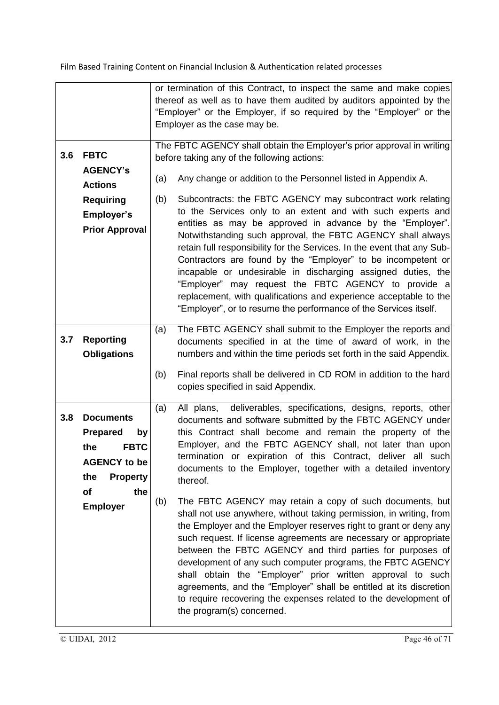|     |                                                                                                                                                  | or termination of this Contract, to inspect the same and make copies<br>thereof as well as to have them audited by auditors appointed by the<br>"Employer" or the Employer, if so required by the "Employer" or the                                                                                                                                                                                                                                                                                                                                                                                                                                                                                                                                                                                                         |
|-----|--------------------------------------------------------------------------------------------------------------------------------------------------|-----------------------------------------------------------------------------------------------------------------------------------------------------------------------------------------------------------------------------------------------------------------------------------------------------------------------------------------------------------------------------------------------------------------------------------------------------------------------------------------------------------------------------------------------------------------------------------------------------------------------------------------------------------------------------------------------------------------------------------------------------------------------------------------------------------------------------|
|     |                                                                                                                                                  | Employer as the case may be.                                                                                                                                                                                                                                                                                                                                                                                                                                                                                                                                                                                                                                                                                                                                                                                                |
| 3.6 | <b>FBTC</b><br><b>AGENCY's</b>                                                                                                                   | The FBTC AGENCY shall obtain the Employer's prior approval in writing<br>before taking any of the following actions:<br>(a)<br>Any change or addition to the Personnel listed in Appendix A.                                                                                                                                                                                                                                                                                                                                                                                                                                                                                                                                                                                                                                |
|     | <b>Actions</b><br><b>Requiring</b><br><b>Employer's</b><br><b>Prior Approval</b>                                                                 | Subcontracts: the FBTC AGENCY may subcontract work relating<br>(b)<br>to the Services only to an extent and with such experts and<br>entities as may be approved in advance by the "Employer".<br>Notwithstanding such approval, the FBTC AGENCY shall always<br>retain full responsibility for the Services. In the event that any Sub-<br>Contractors are found by the "Employer" to be incompetent or<br>incapable or undesirable in discharging assigned duties, the<br>"Employer" may request the FBTC AGENCY to provide a<br>replacement, with qualifications and experience acceptable to the<br>"Employer", or to resume the performance of the Services itself.                                                                                                                                                    |
| 3.7 | <b>Reporting</b><br><b>Obligations</b>                                                                                                           | The FBTC AGENCY shall submit to the Employer the reports and<br>(a)<br>documents specified in at the time of award of work, in the<br>numbers and within the time periods set forth in the said Appendix.<br>Final reports shall be delivered in CD ROM in addition to the hard<br>(b)<br>copies specified in said Appendix.                                                                                                                                                                                                                                                                                                                                                                                                                                                                                                |
| 3.8 | <b>Documents</b><br><b>Prepared</b><br>by<br><b>FBTC</b><br>the<br><b>AGENCY to be</b><br>the<br><b>Property</b><br>of<br>the<br><b>Employer</b> | deliverables, specifications, designs, reports, other<br>All plans,<br>(a)<br>documents and software submitted by the FBTC AGENCY under<br>this Contract shall become and remain the property of the<br>Employer, and the FBTC AGENCY shall, not later than upon<br>termination or expiration of this Contract, deliver all such<br>documents to the Employer, together with a detailed inventory<br>thereof.<br>The FBTC AGENCY may retain a copy of such documents, but<br>(b)<br>shall not use anywhere, without taking permission, in writing, from<br>the Employer and the Employer reserves right to grant or deny any<br>such request. If license agreements are necessary or appropriate<br>between the FBTC AGENCY and third parties for purposes of<br>development of any such computer programs, the FBTC AGENCY |
|     |                                                                                                                                                  | shall obtain the "Employer" prior written approval to such<br>agreements, and the "Employer" shall be entitled at its discretion<br>to require recovering the expenses related to the development of<br>the program(s) concerned.                                                                                                                                                                                                                                                                                                                                                                                                                                                                                                                                                                                           |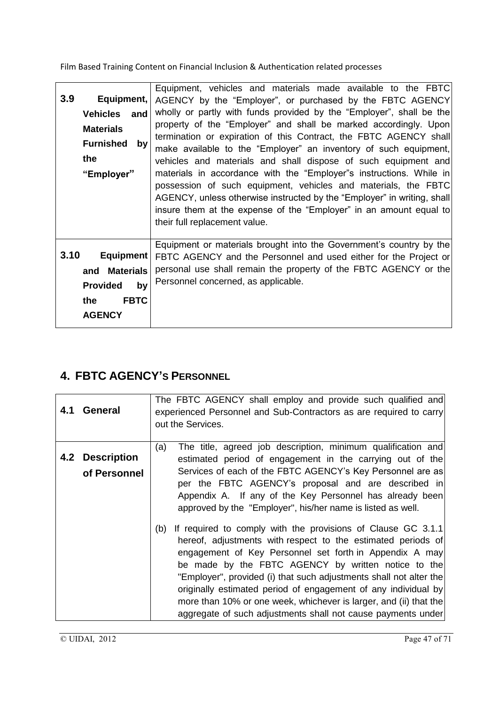| 3.9  | Equipment,<br><b>Vehicles</b> and<br><b>Materials</b><br><b>Furnished</b><br>by<br>the<br>"Employer" | Equipment, vehicles and materials made available to the FBTC<br>AGENCY by the "Employer", or purchased by the FBTC AGENCY<br>wholly or partly with funds provided by the "Employer", shall be the<br>property of the "Employer" and shall be marked accordingly. Upon<br>termination or expiration of this Contract, the FBTC AGENCY shall<br>make available to the "Employer" an inventory of such equipment,<br>vehicles and materials and shall dispose of such equipment and<br>materials in accordance with the "Employer"s instructions. While in<br>possession of such equipment, vehicles and materials, the FBTC<br>AGENCY, unless otherwise instructed by the "Employer" in writing, shall<br>insure them at the expense of the "Employer" in an amount equal to<br>their full replacement value. |
|------|------------------------------------------------------------------------------------------------------|-------------------------------------------------------------------------------------------------------------------------------------------------------------------------------------------------------------------------------------------------------------------------------------------------------------------------------------------------------------------------------------------------------------------------------------------------------------------------------------------------------------------------------------------------------------------------------------------------------------------------------------------------------------------------------------------------------------------------------------------------------------------------------------------------------------|
| 3.10 | <b>Equipment</b><br>and Materials<br><b>Provided</b><br>by<br><b>FBTC</b><br>the<br><b>AGENCY</b>    | Equipment or materials brought into the Government's country by the<br>FBTC AGENCY and the Personnel and used either for the Project or<br>personal use shall remain the property of the FBTC AGENCY or the<br>Personnel concerned, as applicable.                                                                                                                                                                                                                                                                                                                                                                                                                                                                                                                                                          |

## **4. FBTC AGENCY'S PERSONNEL**

| 4.1 | <b>General</b>                         | The FBTC AGENCY shall employ and provide such qualified and<br>experienced Personnel and Sub-Contractors as are required to carry<br>out the Services.                                                                                                                                                                                                                                                                                                                                                                             |
|-----|----------------------------------------|------------------------------------------------------------------------------------------------------------------------------------------------------------------------------------------------------------------------------------------------------------------------------------------------------------------------------------------------------------------------------------------------------------------------------------------------------------------------------------------------------------------------------------|
|     | <b>4.2 Description</b><br>of Personnel | The title, agreed job description, minimum qualification and<br>(a)<br>estimated period of engagement in the carrying out of the<br>Services of each of the FBTC AGENCY's Key Personnel are as<br>per the FBTC AGENCY's proposal and are described in<br>Appendix A. If any of the Key Personnel has already been<br>approved by the "Employer", his/her name is listed as well.                                                                                                                                                   |
|     |                                        | If required to comply with the provisions of Clause GC 3.1.1<br>(b)<br>hereof, adjustments with respect to the estimated periods of<br>engagement of Key Personnel set forth in Appendix A may<br>be made by the FBTC AGENCY by written notice to the<br>"Employer", provided (i) that such adjustments shall not alter the<br>originally estimated period of engagement of any individual by<br>more than 10% or one week, whichever is larger, and (ii) that the<br>aggregate of such adjustments shall not cause payments under |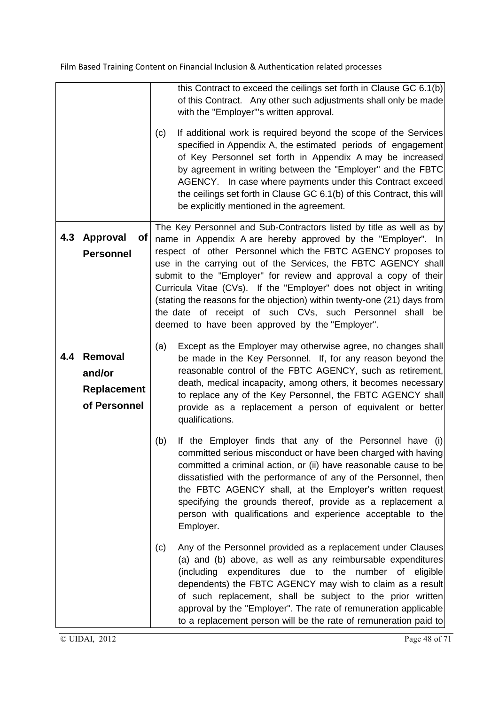|     |                                                         | this Contract to exceed the ceilings set forth in Clause GC 6.1(b)<br>of this Contract. Any other such adjustments shall only be made<br>with the "Employer"'s written approval.<br>If additional work is required beyond the scope of the Services<br>(c)<br>specified in Appendix A, the estimated periods of engagement<br>of Key Personnel set forth in Appendix A may be increased<br>by agreement in writing between the "Employer" and the FBTC<br>AGENCY. In case where payments under this Contract exceed<br>the ceilings set forth in Clause GC 6.1(b) of this Contract, this will<br>be explicitly mentioned in the agreement. |
|-----|---------------------------------------------------------|--------------------------------------------------------------------------------------------------------------------------------------------------------------------------------------------------------------------------------------------------------------------------------------------------------------------------------------------------------------------------------------------------------------------------------------------------------------------------------------------------------------------------------------------------------------------------------------------------------------------------------------------|
| 4.3 | <b>Approval</b><br><b>of</b><br><b>Personnel</b>        | The Key Personnel and Sub-Contractors listed by title as well as by<br>name in Appendix A are hereby approved by the "Employer". In<br>respect of other Personnel which the FBTC AGENCY proposes to<br>use in the carrying out of the Services, the FBTC AGENCY shall<br>submit to the "Employer" for review and approval a copy of their<br>Curricula Vitae (CVs). If the "Employer" does not object in writing<br>(stating the reasons for the objection) within twenty-one (21) days from<br>the date of receipt of such CVs, such Personnel shall be<br>deemed to have been approved by the "Employer".                                |
| 4.4 | Removal<br>and/or<br><b>Replacement</b><br>of Personnel | Except as the Employer may otherwise agree, no changes shall<br>(a)<br>be made in the Key Personnel. If, for any reason beyond the<br>reasonable control of the FBTC AGENCY, such as retirement,<br>death, medical incapacity, among others, it becomes necessary<br>to replace any of the Key Personnel, the FBTC AGENCY shall<br>provide as a replacement a person of equivalent or better<br>qualifications.                                                                                                                                                                                                                            |
|     |                                                         | If the Employer finds that any of the Personnel have (i)<br>(b)<br>committed serious misconduct or have been charged with having<br>committed a criminal action, or (ii) have reasonable cause to be<br>dissatisfied with the performance of any of the Personnel, then<br>the FBTC AGENCY shall, at the Employer's written request<br>specifying the grounds thereof, provide as a replacement a<br>person with qualifications and experience acceptable to the<br>Employer.                                                                                                                                                              |
|     |                                                         | Any of the Personnel provided as a replacement under Clauses<br>(c)<br>(a) and (b) above, as well as any reimbursable expenditures<br>(including expenditures due to the number of eligible<br>dependents) the FBTC AGENCY may wish to claim as a result<br>of such replacement, shall be subject to the prior written<br>approval by the "Employer". The rate of remuneration applicable<br>to a replacement person will be the rate of remuneration paid to                                                                                                                                                                              |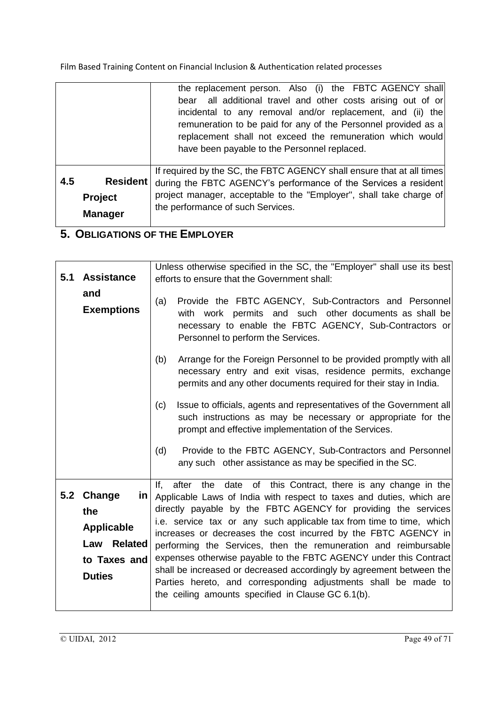|     |                                                     | the replacement person. Also (i) the FBTC AGENCY shall<br>bear all additional travel and other costs arising out of or<br>incidental to any removal and/or replacement, and (ii) the<br>remuneration to be paid for any of the Personnel provided as a<br>replacement shall not exceed the remuneration which would<br>have been payable to the Personnel replaced. |
|-----|-----------------------------------------------------|---------------------------------------------------------------------------------------------------------------------------------------------------------------------------------------------------------------------------------------------------------------------------------------------------------------------------------------------------------------------|
| 4.5 | <b>Resident</b><br><b>Project</b><br><b>Manager</b> | If required by the SC, the FBTC AGENCY shall ensure that at all times<br>during the FBTC AGENCY's performance of the Services a resident<br>project manager, acceptable to the "Employer", shall take charge of<br>the performance of such Services.                                                                                                                |

## **5. OBLIGATIONS OF THE EMPLOYER**

|     |                       | Unless otherwise specified in the SC, the "Employer" shall use its best     |
|-----|-----------------------|-----------------------------------------------------------------------------|
| 5.1 | <b>Assistance</b>     | efforts to ensure that the Government shall:                                |
|     |                       |                                                                             |
|     | and                   | Provide the FBTC AGENCY, Sub-Contractors and Personnel<br>(a)               |
|     | <b>Exemptions</b>     | with work permits and such other documents as shall be                      |
|     |                       | necessary to enable the FBTC AGENCY, Sub-Contractors or                     |
|     |                       | Personnel to perform the Services.                                          |
|     |                       |                                                                             |
|     |                       | (b)<br>Arrange for the Foreign Personnel to be provided promptly with all   |
|     |                       | necessary entry and exit visas, residence permits, exchange                 |
|     |                       | permits and any other documents required for their stay in India.           |
|     |                       |                                                                             |
|     |                       | Issue to officials, agents and representatives of the Government all<br>(c) |
|     |                       | such instructions as may be necessary or appropriate for the                |
|     |                       | prompt and effective implementation of the Services.                        |
|     |                       | Provide to the FBTC AGENCY, Sub-Contractors and Personnel<br>(d)            |
|     |                       | any such other assistance as may be specified in the SC.                    |
|     |                       |                                                                             |
|     |                       | date of this Contract, there is any change in the<br>lf.<br>after the       |
| 5.2 | Change<br>in I        | Applicable Laws of India with respect to taxes and duties, which are        |
|     | the                   | directly payable by the FBTC AGENCY for providing the services              |
|     |                       | i.e. service tax or any such applicable tax from time to time, which        |
|     | <b>Applicable</b>     | increases or decreases the cost incurred by the FBTC AGENCY in              |
|     | Law<br><b>Related</b> | performing the Services, then the remuneration and reimbursable             |
|     | to Taxes and          | expenses otherwise payable to the FBTC AGENCY under this Contract           |
|     | <b>Duties</b>         | shall be increased or decreased accordingly by agreement between the        |
|     |                       | Parties hereto, and corresponding adjustments shall be made to              |
|     |                       | the ceiling amounts specified in Clause GC 6.1(b).                          |
|     |                       |                                                                             |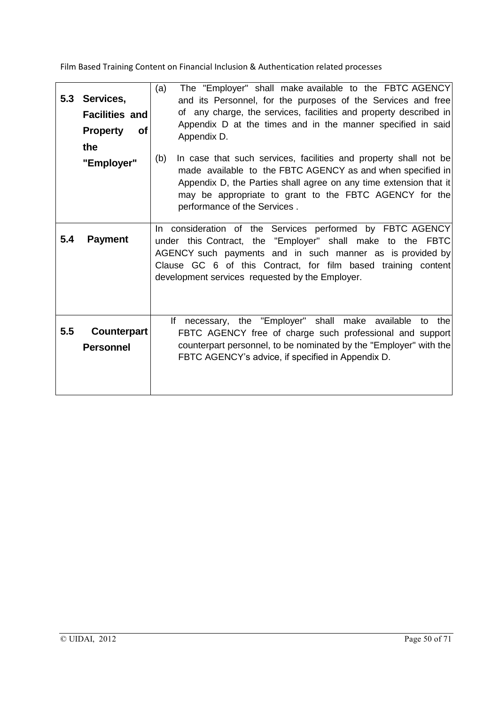| 5.3 | Services,<br><b>Facilities and</b><br><b>Property</b><br><b>of</b><br>the<br>"Employer" | The "Employer" shall make available to the FBTC AGENCY<br>(a)<br>and its Personnel, for the purposes of the Services and free<br>of any charge, the services, facilities and property described in<br>Appendix D at the times and in the manner specified in said<br>Appendix D.<br>(b)<br>In case that such services, facilities and property shall not be<br>made available to the FBTC AGENCY as and when specified in<br>Appendix D, the Parties shall agree on any time extension that it<br>may be appropriate to grant to the FBTC AGENCY for the<br>performance of the Services. |
|-----|-----------------------------------------------------------------------------------------|------------------------------------------------------------------------------------------------------------------------------------------------------------------------------------------------------------------------------------------------------------------------------------------------------------------------------------------------------------------------------------------------------------------------------------------------------------------------------------------------------------------------------------------------------------------------------------------|
| 5.4 | <b>Payment</b>                                                                          | In consideration of the Services performed by FBTC AGENCY<br>under this Contract, the "Employer" shall make to the FBTC<br>AGENCY such payments and in such manner as is provided by<br>Clause GC 6 of this Contract, for film based training content<br>development services requested by the Employer.                                                                                                                                                                                                                                                                                 |
| 5.5 | Counterpart<br><b>Personnel</b>                                                         | lf<br>necessary, the "Employer" shall make available<br>to the<br>FBTC AGENCY free of charge such professional and support<br>counterpart personnel, to be nominated by the "Employer" with the<br>FBTC AGENCY's advice, if specified in Appendix D.                                                                                                                                                                                                                                                                                                                                     |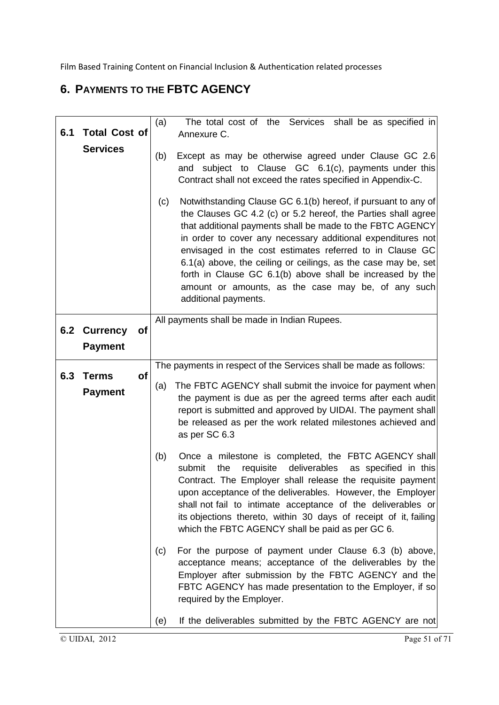## **6. PAYMENTS TO THE FBTC AGENCY**

|     |                                                | The total cost of the Services shall be as specified in<br>(a)                                                                                                                                                                                                                                                                                                                                                                                                                                                                              |
|-----|------------------------------------------------|---------------------------------------------------------------------------------------------------------------------------------------------------------------------------------------------------------------------------------------------------------------------------------------------------------------------------------------------------------------------------------------------------------------------------------------------------------------------------------------------------------------------------------------------|
| 6.1 | <b>Total Cost of</b>                           | Annexure C.                                                                                                                                                                                                                                                                                                                                                                                                                                                                                                                                 |
|     | <b>Services</b>                                | Except as may be otherwise agreed under Clause GC 2.6<br>(b)<br>subject to Clause GC 6.1(c), payments under this<br>and<br>Contract shall not exceed the rates specified in Appendix-C.                                                                                                                                                                                                                                                                                                                                                     |
|     |                                                | Notwithstanding Clause GC 6.1(b) hereof, if pursuant to any of<br>(c)<br>the Clauses GC 4.2 (c) or 5.2 hereof, the Parties shall agree<br>that additional payments shall be made to the FBTC AGENCY<br>in order to cover any necessary additional expenditures not<br>envisaged in the cost estimates referred to in Clause GC<br>6.1(a) above, the ceiling or ceilings, as the case may be, set<br>forth in Clause GC 6.1(b) above shall be increased by the<br>amount or amounts, as the case may be, of any such<br>additional payments. |
| 6.2 | <b>Currency</b><br><b>of</b><br><b>Payment</b> | All payments shall be made in Indian Rupees.                                                                                                                                                                                                                                                                                                                                                                                                                                                                                                |
|     |                                                | The payments in respect of the Services shall be made as follows:                                                                                                                                                                                                                                                                                                                                                                                                                                                                           |
| 6.3 | <b>Terms</b><br><b>of</b><br><b>Payment</b>    | The FBTC AGENCY shall submit the invoice for payment when<br>(a)<br>the payment is due as per the agreed terms after each audit<br>report is submitted and approved by UIDAI. The payment shall<br>be released as per the work related milestones achieved and<br>as per SC 6.3                                                                                                                                                                                                                                                             |
|     |                                                | Once a milestone is completed, the FBTC AGENCY shall<br>(b)<br>the<br>deliverables<br>submit<br>requisite<br>as specified in this<br>Contract. The Employer shall release the requisite payment<br>upon acceptance of the deliverables. However, the Employer<br>shall not fail to intimate acceptance of the deliverables or<br>its objections thereto, within 30 days of receipt of it, failing<br>which the FBTC AGENCY shall be paid as per GC 6.                                                                                       |
|     |                                                | For the purpose of payment under Clause 6.3 (b) above,<br>(c)<br>acceptance means; acceptance of the deliverables by the<br>Employer after submission by the FBTC AGENCY and the<br>FBTC AGENCY has made presentation to the Employer, if so<br>required by the Employer.                                                                                                                                                                                                                                                                   |
|     |                                                | If the deliverables submitted by the FBTC AGENCY are not<br>(e)                                                                                                                                                                                                                                                                                                                                                                                                                                                                             |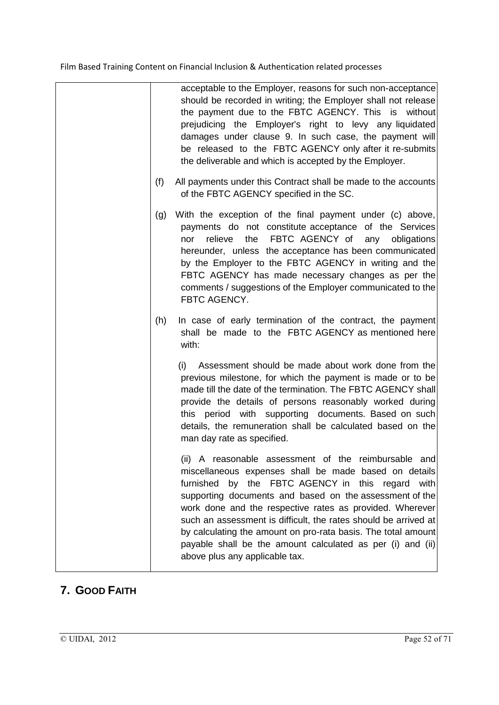|     | acceptable to the Employer, reasons for such non-acceptance<br>should be recorded in writing; the Employer shall not release<br>the payment due to the FBTC AGENCY. This is without<br>prejudicing the Employer's right to levy any liquidated<br>damages under clause 9. In such case, the payment will<br>be released to the FBTC AGENCY only after it re-submits<br>the deliverable and which is accepted by the Employer.                                                                                                   |
|-----|---------------------------------------------------------------------------------------------------------------------------------------------------------------------------------------------------------------------------------------------------------------------------------------------------------------------------------------------------------------------------------------------------------------------------------------------------------------------------------------------------------------------------------|
| (f) | All payments under this Contract shall be made to the accounts<br>of the FBTC AGENCY specified in the SC.                                                                                                                                                                                                                                                                                                                                                                                                                       |
| (g) | With the exception of the final payment under (c) above,<br>payments do not constitute acceptance of the Services<br>the<br>FBTC AGENCY of<br>relieve<br>any obligations<br>nor<br>hereunder, unless the acceptance has been communicated<br>by the Employer to the FBTC AGENCY in writing and the<br>FBTC AGENCY has made necessary changes as per the<br>comments / suggestions of the Employer communicated to the<br>FBTC AGENCY.                                                                                           |
| (h) | In case of early termination of the contract, the payment<br>shall be made to the FBTC AGENCY as mentioned here<br>with:                                                                                                                                                                                                                                                                                                                                                                                                        |
|     | Assessment should be made about work done from the<br>(i)<br>previous milestone, for which the payment is made or to be<br>made till the date of the termination. The FBTC AGENCY shall<br>provide the details of persons reasonably worked during<br>this period with supporting documents. Based on such<br>details, the remuneration shall be calculated based on the<br>man day rate as specified.                                                                                                                          |
|     | (ii) A reasonable assessment of the reimbursable and<br>miscellaneous expenses shall be made based on details<br>furnished<br>by the FBTC AGENCY in this regard with<br>supporting documents and based on the assessment of the<br>work done and the respective rates as provided. Wherever<br>such an assessment is difficult, the rates should be arrived at<br>by calculating the amount on pro-rata basis. The total amount<br>payable shall be the amount calculated as per (i) and (ii)<br>above plus any applicable tax. |

## **7. GOOD FAITH**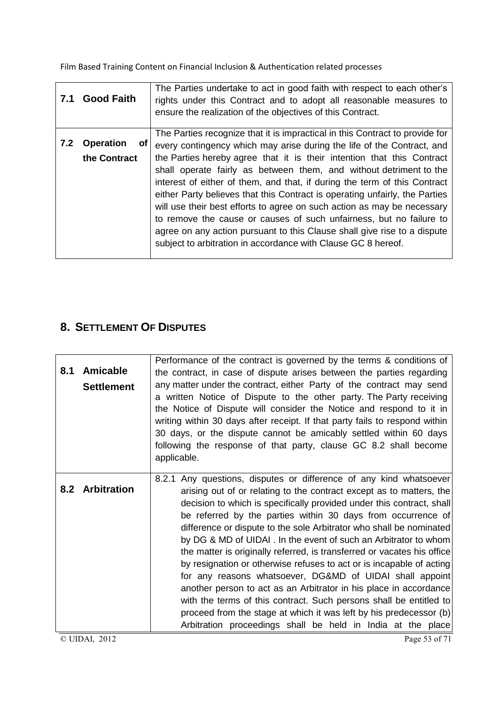| 7.1 | <b>Good Faith</b>                      | The Parties undertake to act in good faith with respect to each other's<br>rights under this Contract and to adopt all reasonable measures to<br>ensure the realization of the objectives of this Contract.                                                                                                                                                                                                                                                                                                                                                                                                                                                                                                                                                       |
|-----|----------------------------------------|-------------------------------------------------------------------------------------------------------------------------------------------------------------------------------------------------------------------------------------------------------------------------------------------------------------------------------------------------------------------------------------------------------------------------------------------------------------------------------------------------------------------------------------------------------------------------------------------------------------------------------------------------------------------------------------------------------------------------------------------------------------------|
| 7.2 | <b>Operation</b><br>of<br>the Contract | The Parties recognize that it is impractical in this Contract to provide for<br>every contingency which may arise during the life of the Contract, and<br>the Parties hereby agree that it is their intention that this Contract<br>shall operate fairly as between them, and without detriment to the<br>interest of either of them, and that, if during the term of this Contract<br>either Party believes that this Contract is operating unfairly, the Parties<br>will use their best efforts to agree on such action as may be necessary<br>to remove the cause or causes of such unfairness, but no failure to<br>agree on any action pursuant to this Clause shall give rise to a dispute<br>subject to arbitration in accordance with Clause GC 8 hereof. |

## **8. SETTLEMENT OF DISPUTES**

| 8.1 | <b>Amicable</b><br><b>Settlement</b> | Performance of the contract is governed by the terms & conditions of<br>the contract, in case of dispute arises between the parties regarding<br>any matter under the contract, either Party of the contract may send<br>a written Notice of Dispute to the other party. The Party receiving<br>the Notice of Dispute will consider the Notice and respond to it in<br>writing within 30 days after receipt. If that party fails to respond within<br>30 days, or the dispute cannot be amicably settled within 60 days<br>following the response of that party, clause GC 8.2 shall become<br>applicable.                                                                                                                                                                                                                                                                                                                    |
|-----|--------------------------------------|-------------------------------------------------------------------------------------------------------------------------------------------------------------------------------------------------------------------------------------------------------------------------------------------------------------------------------------------------------------------------------------------------------------------------------------------------------------------------------------------------------------------------------------------------------------------------------------------------------------------------------------------------------------------------------------------------------------------------------------------------------------------------------------------------------------------------------------------------------------------------------------------------------------------------------|
| 8.2 | <b>Arbitration</b>                   | 8.2.1 Any questions, disputes or difference of any kind whatsoever<br>arising out of or relating to the contract except as to matters, the<br>decision to which is specifically provided under this contract, shall<br>be referred by the parties within 30 days from occurrence of<br>difference or dispute to the sole Arbitrator who shall be nominated<br>by DG & MD of UIDAI . In the event of such an Arbitrator to whom<br>the matter is originally referred, is transferred or vacates his office<br>by resignation or otherwise refuses to act or is incapable of acting<br>for any reasons whatsoever, DG&MD of UIDAI shall appoint<br>another person to act as an Arbitrator in his place in accordance<br>with the terms of this contract. Such persons shall be entitled to<br>proceed from the stage at which it was left by his predecessor (b)<br>Arbitration proceedings shall be held in India at the place |
|     | © UIDAI, 2012                        | Page 53 of 71                                                                                                                                                                                                                                                                                                                                                                                                                                                                                                                                                                                                                                                                                                                                                                                                                                                                                                                 |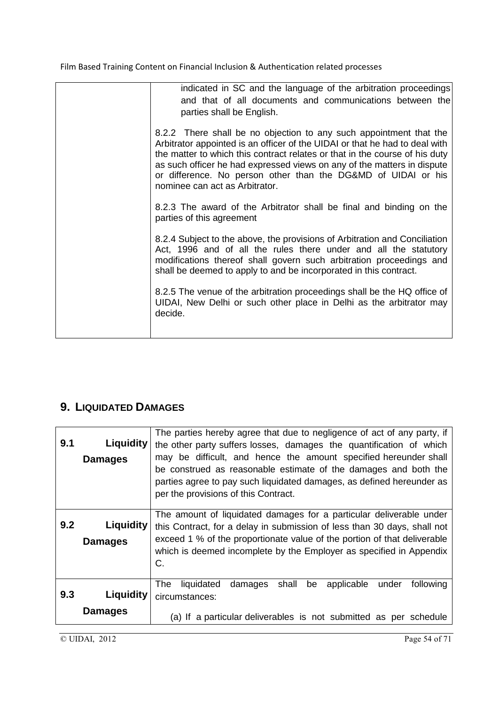| indicated in SC and the language of the arbitration proceedings<br>and that of all documents and communications between the<br>parties shall be English.                                                                                                                                                                                                                                                       |
|----------------------------------------------------------------------------------------------------------------------------------------------------------------------------------------------------------------------------------------------------------------------------------------------------------------------------------------------------------------------------------------------------------------|
| 8.2.2 There shall be no objection to any such appointment that the<br>Arbitrator appointed is an officer of the UIDAI or that he had to deal with<br>the matter to which this contract relates or that in the course of his duty<br>as such officer he had expressed views on any of the matters in dispute<br>or difference. No person other than the DG&MD of UIDAI or his<br>nominee can act as Arbitrator. |
| 8.2.3 The award of the Arbitrator shall be final and binding on the<br>parties of this agreement                                                                                                                                                                                                                                                                                                               |
| 8.2.4 Subject to the above, the provisions of Arbitration and Conciliation<br>Act, 1996 and of all the rules there under and all the statutory<br>modifications thereof shall govern such arbitration proceedings and<br>shall be deemed to apply to and be incorporated in this contract.                                                                                                                     |
| 8.2.5 The venue of the arbitration proceedings shall be the HQ office of<br>UIDAI, New Delhi or such other place in Delhi as the arbitrator may<br>decide.                                                                                                                                                                                                                                                     |
|                                                                                                                                                                                                                                                                                                                                                                                                                |

## **9. LIQUIDATED DAMAGES**

| 9.1 | Liquidity<br><b>Damages</b>        | The parties hereby agree that due to negligence of act of any party, if<br>the other party suffers losses, damages the quantification of which<br>may be difficult, and hence the amount specified hereunder shall<br>be construed as reasonable estimate of the damages and both the<br>parties agree to pay such liquidated damages, as defined hereunder as<br>per the provisions of this Contract. |
|-----|------------------------------------|--------------------------------------------------------------------------------------------------------------------------------------------------------------------------------------------------------------------------------------------------------------------------------------------------------------------------------------------------------------------------------------------------------|
| 9.2 | Liquidity<br><b>Damages</b>        | The amount of liquidated damages for a particular deliverable under<br>this Contract, for a delay in submission of less than 30 days, shall not<br>exceed 1 % of the proportionate value of the portion of that deliverable<br>which is deemed incomplete by the Employer as specified in Appendix<br>C.                                                                                               |
| 9.3 | <b>Liquidity</b><br><b>Damages</b> | The l<br>liquidated<br>shall<br>be<br>applicable<br>following<br>damages<br>under<br>circumstances:<br>(a) If a particular deliverables is not submitted as per schedule                                                                                                                                                                                                                               |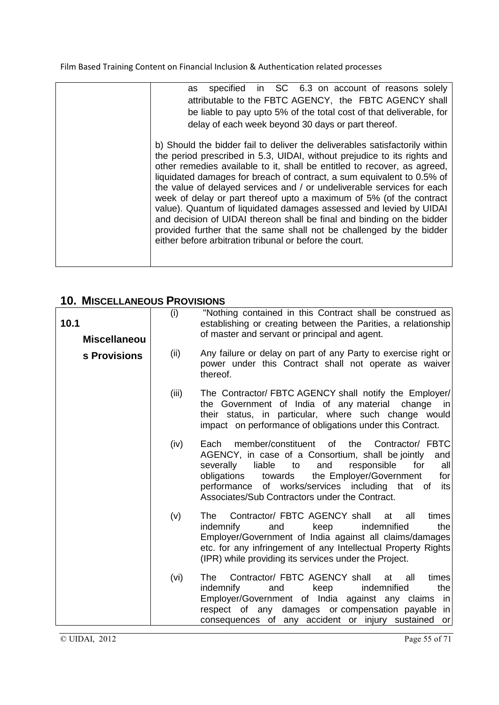## **10. MISCELLANEOUS PROVISIONS**

| 10.1<br><b>Miscellaneou</b> | (i)                                                                                                                                                                                                                                                                                                                                             | "Nothing contained in this Contract shall be construed as<br>establishing or creating between the Parities, a relationship<br>of master and servant or principal and agent.                                                                                                                       |  |  |  |  |  |  |
|-----------------------------|-------------------------------------------------------------------------------------------------------------------------------------------------------------------------------------------------------------------------------------------------------------------------------------------------------------------------------------------------|---------------------------------------------------------------------------------------------------------------------------------------------------------------------------------------------------------------------------------------------------------------------------------------------------|--|--|--|--|--|--|
| s Provisions                | (ii)                                                                                                                                                                                                                                                                                                                                            | Any failure or delay on part of any Party to exercise right or<br>power under this Contract shall not operate as waiver<br>thereof.                                                                                                                                                               |  |  |  |  |  |  |
|                             | (iii)                                                                                                                                                                                                                                                                                                                                           | The Contractor/ FBTC AGENCY shall notify the Employer/<br>the Government of India of any material<br>change<br>in.<br>their status, in particular, where such change would<br>impact on performance of obligations under this Contract.                                                           |  |  |  |  |  |  |
|                             | member/constituent<br>the<br>Contractor/ FBTC<br>(iv)<br>of<br>Each<br>AGENCY, in case of a Consortium, shall be jointly<br>liable<br>and<br>responsible<br>severally<br>to<br>for<br>the Employer/Government<br>obligations<br>towards<br>of works/services including that of<br>performance<br>Associates/Sub Contractors under the Contract. |                                                                                                                                                                                                                                                                                                   |  |  |  |  |  |  |
|                             | (v)                                                                                                                                                                                                                                                                                                                                             | Contractor/ FBTC AGENCY shall<br>all<br>times<br>The<br>at<br>indemnified<br>the<br>indemnify<br>and<br>keep<br>Employer/Government of India against all claims/damages<br>etc. for any infringement of any Intellectual Property Rights<br>(IPR) while providing its services under the Project. |  |  |  |  |  |  |
|                             | (vi)                                                                                                                                                                                                                                                                                                                                            | Contractor/ FBTC AGENCY shall<br>The<br>all<br>at<br>times<br>keep<br>indemnified<br>the<br>indemnify<br>and<br>Employer/Government of India against any claims<br>in<br>respect of any damages or compensation payable in<br>consequences of any accident or injury sustained<br>or              |  |  |  |  |  |  |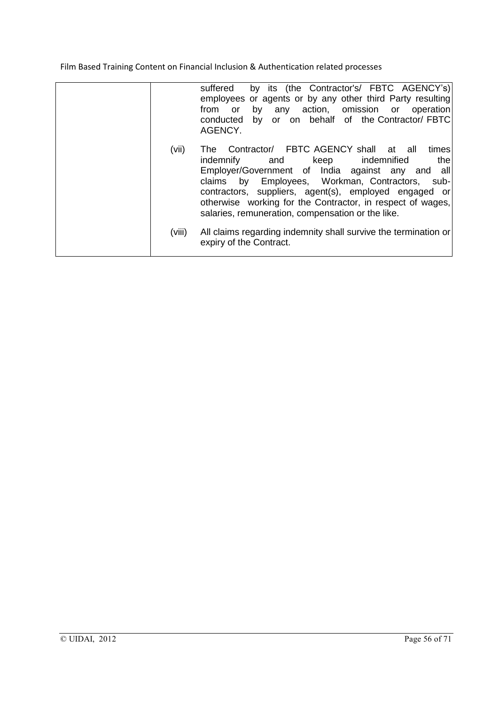|        | by its (the Contractor's/ FBTC AGENCY's)<br>suffered<br>employees or agents or by any other third Party resulting<br>any action, omission or operation<br>by<br>from<br>or<br>conducted by or on behalf of the Contractor/FBTC<br>AGENCY.                                                                                                                                              |
|--------|----------------------------------------------------------------------------------------------------------------------------------------------------------------------------------------------------------------------------------------------------------------------------------------------------------------------------------------------------------------------------------------|
| (vii)  | Contractor/ FBTC AGENCY shall at all<br>times<br>The<br>the<br>keep indemnified<br>indemnify<br>and<br>Employer/Government of India against any and all<br>claims by Employees, Workman, Contractors, sub-<br>contractors, suppliers, agent(s), employed engaged or<br>otherwise working for the Contractor, in respect of wages,<br>salaries, remuneration, compensation or the like. |
| (viii) | All claims regarding indemnity shall survive the termination or<br>expiry of the Contract.                                                                                                                                                                                                                                                                                             |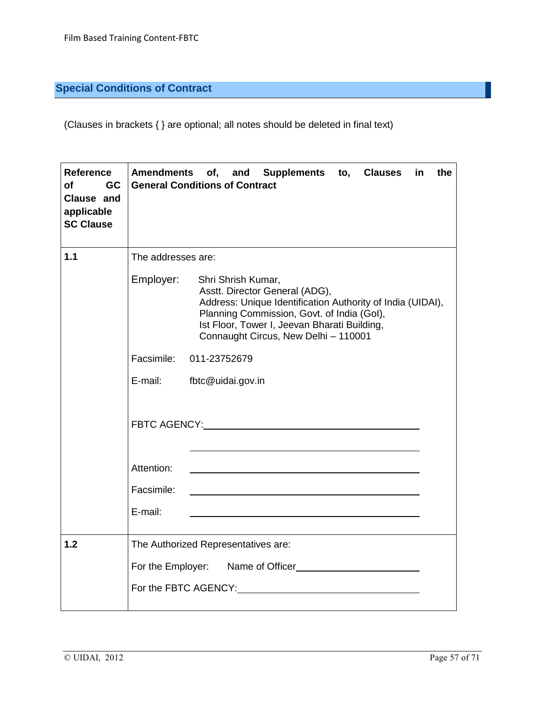## **Special Conditions of Contract**

(Clauses in brackets { } are optional; all notes should be deleted in final text)

| <b>Reference</b><br>of<br>GC<br>Clause and<br>applicable<br><b>SC Clause</b> |                                                                                                                                                                                                                                                                       | Amendments of, and Supplements to, Clauses in<br>the<br><b>General Conditions of Contract</b>                                                                                                                                  |  |  |  |  |  |  |  |
|------------------------------------------------------------------------------|-----------------------------------------------------------------------------------------------------------------------------------------------------------------------------------------------------------------------------------------------------------------------|--------------------------------------------------------------------------------------------------------------------------------------------------------------------------------------------------------------------------------|--|--|--|--|--|--|--|
| 1.1                                                                          | The addresses are:                                                                                                                                                                                                                                                    |                                                                                                                                                                                                                                |  |  |  |  |  |  |  |
|                                                                              | Employer:<br>Shri Shrish Kumar,<br>Asstt. Director General (ADG),<br>Address: Unique Identification Authority of India (UIDAI),<br>Planning Commission, Govt. of India (Gol),<br>Ist Floor, Tower I, Jeevan Bharati Building,<br>Connaught Circus, New Delhi - 110001 |                                                                                                                                                                                                                                |  |  |  |  |  |  |  |
|                                                                              |                                                                                                                                                                                                                                                                       | Facsimile: 011-23752679                                                                                                                                                                                                        |  |  |  |  |  |  |  |
|                                                                              | E-mail:                                                                                                                                                                                                                                                               | fbtc@uidai.gov.in                                                                                                                                                                                                              |  |  |  |  |  |  |  |
|                                                                              |                                                                                                                                                                                                                                                                       |                                                                                                                                                                                                                                |  |  |  |  |  |  |  |
|                                                                              | Attention:                                                                                                                                                                                                                                                            |                                                                                                                                                                                                                                |  |  |  |  |  |  |  |
|                                                                              | Facsimile:                                                                                                                                                                                                                                                            |                                                                                                                                                                                                                                |  |  |  |  |  |  |  |
|                                                                              | E-mail:                                                                                                                                                                                                                                                               |                                                                                                                                                                                                                                |  |  |  |  |  |  |  |
| 1.2                                                                          |                                                                                                                                                                                                                                                                       | The Authorized Representatives are:                                                                                                                                                                                            |  |  |  |  |  |  |  |
|                                                                              | For the Employer: Name of Officer                                                                                                                                                                                                                                     |                                                                                                                                                                                                                                |  |  |  |  |  |  |  |
|                                                                              |                                                                                                                                                                                                                                                                       | For the FBTC AGENCY: Next Assembly a series of the series of the series of the series of the series of the series of the series of the series of the series of the series of the series of the series of the series of the ser |  |  |  |  |  |  |  |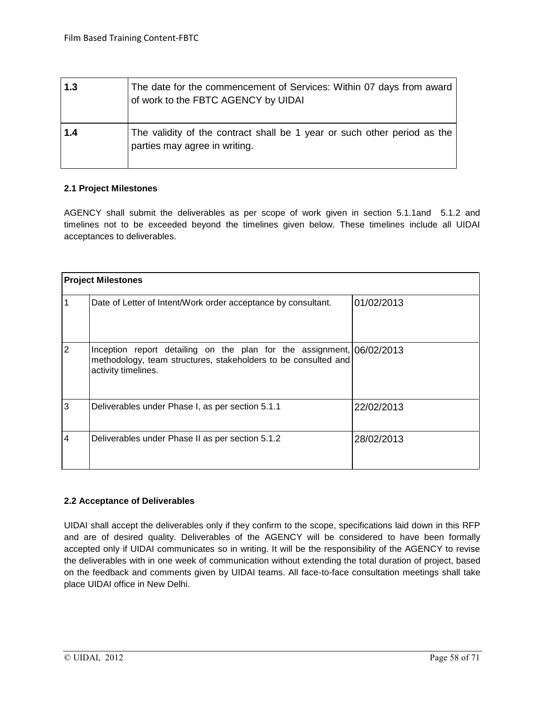| 1.3 | The date for the commencement of Services: Within 07 days from award<br>of work to the FBTC AGENCY by UIDAI |
|-----|-------------------------------------------------------------------------------------------------------------|
| 1.4 | The validity of the contract shall be 1 year or such other period as the<br>parties may agree in writing.   |

#### **2.1 Project Milestones**

AGENCY shall submit the deliverables as per scope of work given in section 5.1.1and 5.1.2 and timelines not to be exceeded beyond the timelines given below. These timelines include all UIDAI acceptances to deliverables.

| <b>Project Milestones</b> |                                                                                                                                                                |            |  |  |  |  |  |
|---------------------------|----------------------------------------------------------------------------------------------------------------------------------------------------------------|------------|--|--|--|--|--|
|                           | Date of Letter of Intent/Work order acceptance by consultant.                                                                                                  | 01/02/2013 |  |  |  |  |  |
| 2                         | Inception report detailing on the plan for the assignment, 06/02/2013<br>methodology, team structures, stakeholders to be consulted and<br>activity timelines. |            |  |  |  |  |  |
| 3                         | Deliverables under Phase I, as per section 5.1.1                                                                                                               | 22/02/2013 |  |  |  |  |  |
| 4                         | Deliverables under Phase II as per section 5.1.2                                                                                                               | 28/02/2013 |  |  |  |  |  |

#### **2.2 Acceptance of Deliverables**

UIDAI shall accept the deliverables only if they confirm to the scope, specifications laid down in this RFP and are of desired quality. Deliverables of the AGENCY will be considered to have been formally accepted only if UIDAI communicates so in writing. It will be the responsibility of the AGENCY to revise the deliverables with in one week of communication without extending the total duration of project, based on the feedback and comments given by UIDAI teams. All face-to-face consultation meetings shall take place UIDAI office in New Delhi.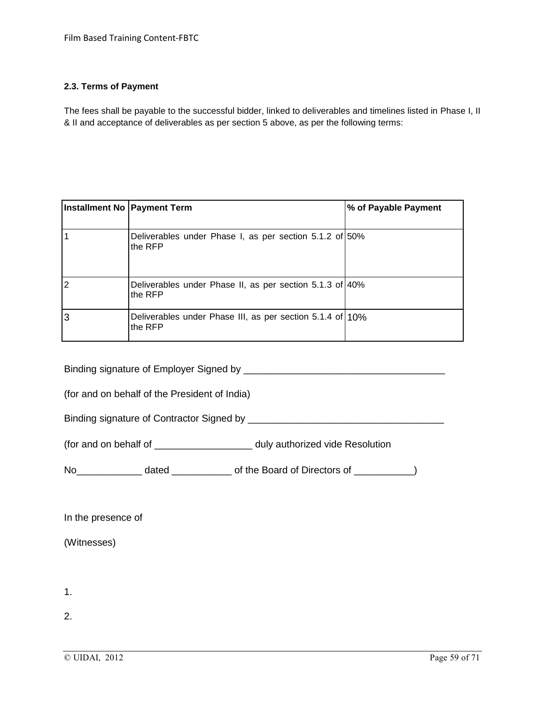#### **2.3. Terms of Payment**

The fees shall be payable to the successful bidder, linked to deliverables and timelines listed in Phase I, II & II and acceptance of deliverables as per section 5 above, as per the following terms:

|   | Installment No   Payment Term                                        | % of Payable Payment |
|---|----------------------------------------------------------------------|----------------------|
|   | Deliverables under Phase I, as per section 5.1.2 of 50%<br>the RFP   |                      |
| 2 | Deliverables under Phase II, as per section 5.1.3 of 40%<br>the RFP  |                      |
| 3 | Deliverables under Phase III, as per section 5.1.4 of 10%<br>the RFP |                      |

Binding signature of Employer Signed by \_\_\_\_\_\_\_\_\_\_\_\_\_\_\_\_\_\_\_\_\_\_\_\_\_\_\_\_\_\_\_\_\_\_\_\_\_

(for and on behalf of the President of India)

Binding signature of Contractor Signed by \_\_\_\_\_\_\_\_\_\_\_\_\_\_\_\_\_\_\_\_\_\_\_\_\_\_\_\_\_\_\_\_\_\_\_\_

(for and on behalf of \_\_\_\_\_\_\_\_\_\_\_\_\_\_\_\_\_\_ duly authorized vide Resolution

No\_\_\_\_\_\_\_\_\_\_\_\_ dated \_\_\_\_\_\_\_\_\_\_\_ of the Board of Directors of \_\_\_\_\_\_\_\_\_\_\_)

In the presence of

(Witnesses)

1.

2.

 $\overline{Q}$  UIDAI, 2012 Page 59 of 71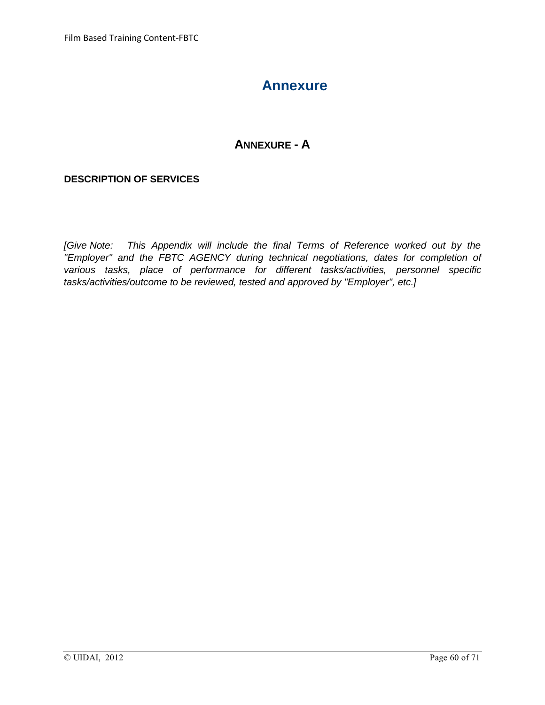## **Annexure**

## **ANNEXURE - A**

### **DESCRIPTION OF SERVICES**

*[Give Note: This Appendix will include the final Terms of Reference worked out by the "Employer" and the FBTC AGENCY during technical negotiations, dates for completion of various tasks, place of performance for different tasks/activities, personnel specific tasks/activities/outcome to be reviewed, tested and approved by "Employer", etc.]*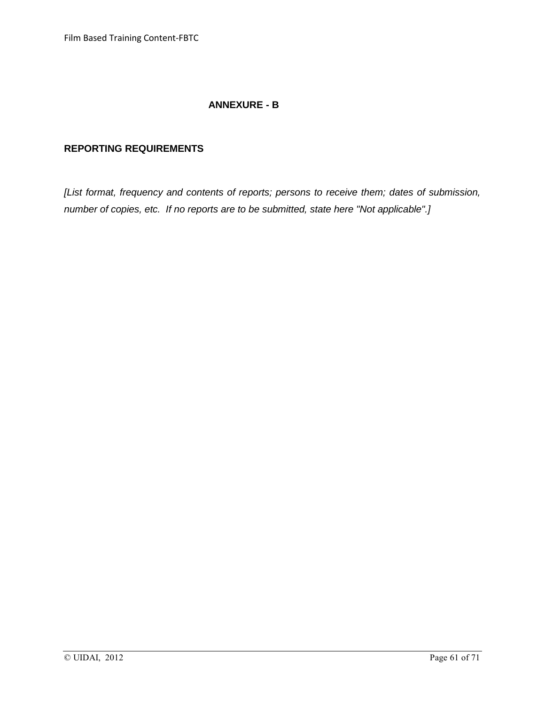## **ANNEXURE - B**

### **REPORTING REQUIREMENTS**

*[List format, frequency and contents of reports; persons to receive them; dates of submission, number of copies, etc. If no reports are to be submitted, state here "Not applicable".]*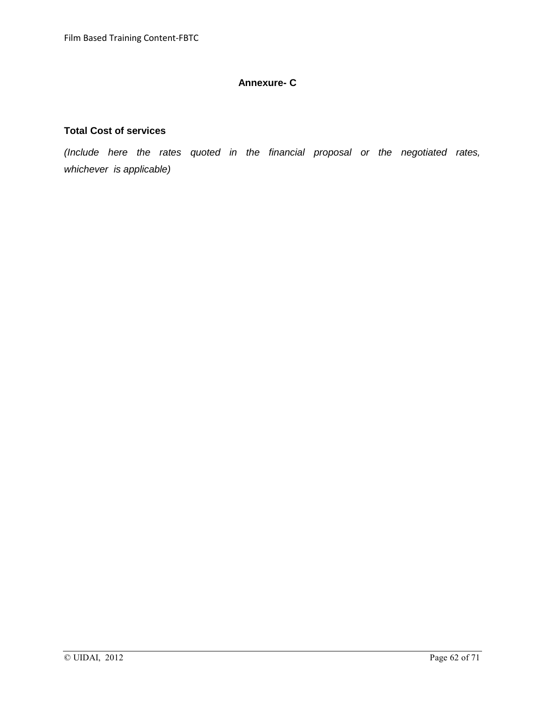### **Annexure- C**

#### **Total Cost of services**

*(Include here the rates quoted in the financial proposal or the negotiated rates, whichever is applicable)*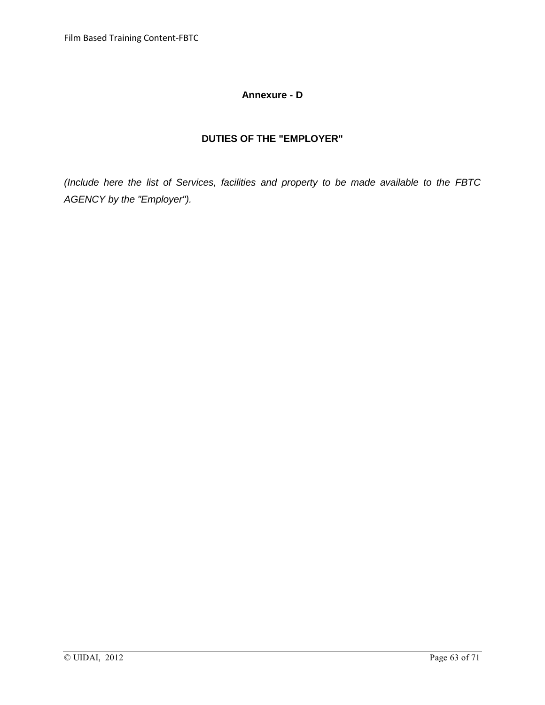### **Annexure - D**

## **DUTIES OF THE "EMPLOYER"**

*(Include here the list of Services, facilities and property to be made available to the FBTC AGENCY by the "Employer").*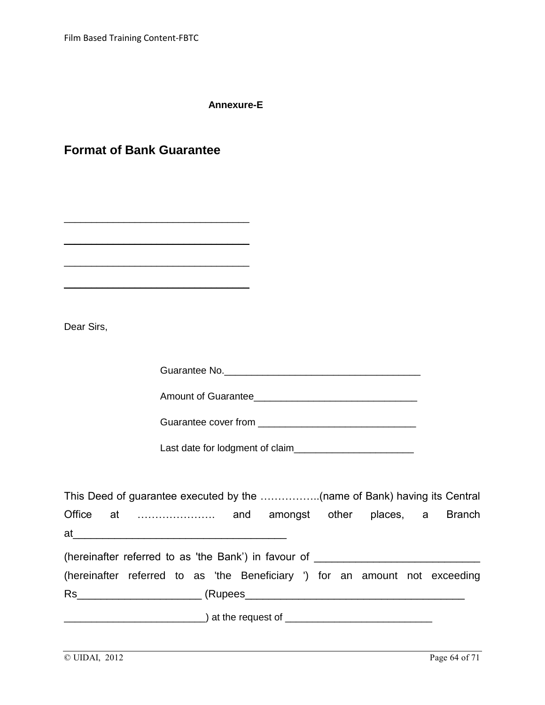**Annexure-E**

|  |  |  | <b>Format of Bank Guarantee</b> |
|--|--|--|---------------------------------|
|--|--|--|---------------------------------|

\_\_\_\_\_\_\_\_\_\_\_\_\_\_\_\_\_\_\_\_\_\_\_\_\_\_\_\_\_\_\_\_\_\_

\_\_\_\_\_\_\_\_\_\_\_\_\_\_\_\_\_\_\_\_\_\_\_\_\_\_\_\_\_\_\_\_\_\_

\_\_\_\_\_\_\_\_\_\_\_\_\_\_\_\_\_\_\_\_\_\_\_\_\_\_\_\_\_\_\_\_\_\_

\_\_\_\_\_\_\_\_\_\_\_\_\_\_\_\_\_\_\_\_\_\_\_\_\_\_\_\_\_\_\_\_\_\_

Dear Sirs,

Guarantee No.\_\_\_\_\_\_\_\_\_\_\_\_\_\_\_\_\_\_\_\_\_\_\_\_\_\_\_\_\_\_\_\_\_\_\_\_

Amount of Guarantee\_\_\_\_\_\_\_\_\_\_\_\_\_\_\_\_\_\_\_\_\_\_\_\_\_\_\_\_\_\_

Guarantee cover from \_\_\_\_\_\_\_\_\_\_\_\_\_\_\_\_\_\_\_\_\_\_\_\_\_\_\_\_\_

Last date for lodgment of claim\_\_\_\_\_\_\_\_\_\_\_\_\_\_\_\_\_\_\_\_\_\_

|  | Office at  and amongst other places, a Branch                                            |  |  |  |  |  |
|--|------------------------------------------------------------------------------------------|--|--|--|--|--|
|  |                                                                                          |  |  |  |  |  |
|  | (hereinafter referred to as 'the Bank') in favour of ___________________________         |  |  |  |  |  |
|  | (hereinafter referred to as 'the Beneficiary ') for an amount not exceeding              |  |  |  |  |  |
|  |                                                                                          |  |  |  |  |  |
|  | <u>___________________________</u> ) at the request of _________________________________ |  |  |  |  |  |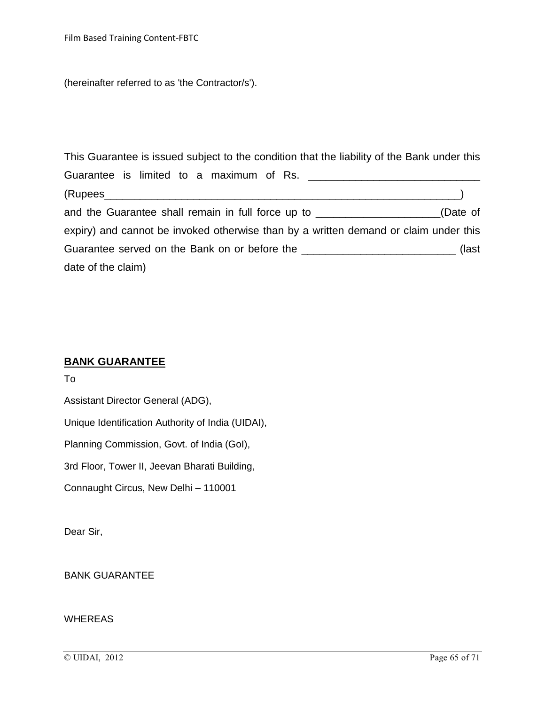(hereinafter referred to as 'the Contractor/s').

This Guarantee is issued subject to the condition that the liability of the Bank under this Guarantee is limited to a maximum of Rs. \_\_\_\_\_\_\_\_\_\_\_\_\_\_\_\_\_\_\_\_\_\_\_\_\_\_\_\_\_ (Rupees\_\_\_\_\_\_\_\_\_\_\_\_\_\_\_\_\_\_\_\_\_\_\_\_\_\_\_\_\_\_\_\_\_\_\_\_\_\_\_\_\_\_\_\_\_\_\_\_\_\_\_\_\_\_\_\_\_\_\_\_) and the Guarantee shall remain in full force up to \_\_\_\_\_\_\_\_\_\_\_\_\_\_\_\_\_\_\_\_\_(Date of expiry) and cannot be invoked otherwise than by a written demand or claim under this Guarantee served on the Bank on or before the \_\_\_\_\_\_\_\_\_\_\_\_\_\_\_\_\_\_\_\_\_\_\_\_\_\_\_\_\_\_\_\_(last date of the claim)

### **BANK GUARANTEE**

To

Assistant Director General (ADG),

Unique Identification Authority of India (UIDAI),

Planning Commission, Govt. of India (GoI),

3rd Floor, Tower II, Jeevan Bharati Building,

Connaught Circus, New Delhi – 110001

Dear Sir,

BANK GUARANTEE

#### WHEREAS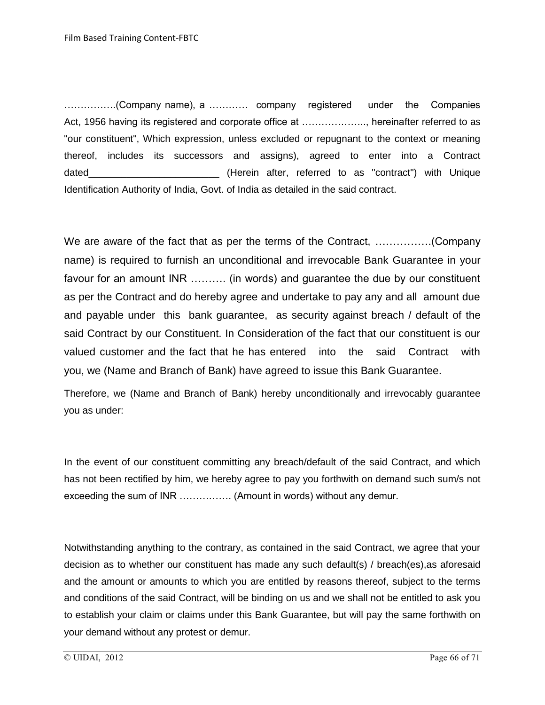…………….(Company name), a ………… company registered under the Companies Act, 1956 having its registered and corporate office at ……………….., hereinafter referred to as "our constituent", Which expression, unless excluded or repugnant to the context or meaning thereof, includes its successors and assigns), agreed to enter into a Contract dated **dated Example 2** (Herein after, referred to as "contract") with Unique Identification Authority of India, Govt. of India as detailed in the said contract.

We are aware of the fact that as per the terms of the Contract, …………….(Company name) is required to furnish an unconditional and irrevocable Bank Guarantee in your favour for an amount INR ………. (in words) and guarantee the due by our constituent as per the Contract and do hereby agree and undertake to pay any and all amount due and payable under this bank guarantee, as security against breach / default of the said Contract by our Constituent. In Consideration of the fact that our constituent is our valued customer and the fact that he has entered into the said Contract with you, we (Name and Branch of Bank) have agreed to issue this Bank Guarantee.

Therefore, we (Name and Branch of Bank) hereby unconditionally and irrevocably guarantee you as under:

In the event of our constituent committing any breach/default of the said Contract, and which has not been rectified by him, we hereby agree to pay you forthwith on demand such sum/s not exceeding the sum of INR ……………. (Amount in words) without any demur.

Notwithstanding anything to the contrary, as contained in the said Contract, we agree that your decision as to whether our constituent has made any such default(s) / breach(es),as aforesaid and the amount or amounts to which you are entitled by reasons thereof, subject to the terms and conditions of the said Contract, will be binding on us and we shall not be entitled to ask you to establish your claim or claims under this Bank Guarantee, but will pay the same forthwith on your demand without any protest or demur.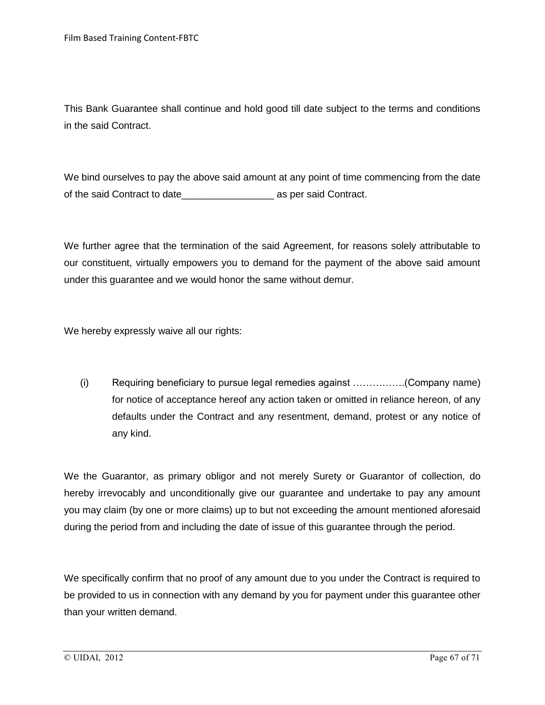This Bank Guarantee shall continue and hold good till date subject to the terms and conditions in the said Contract.

We bind ourselves to pay the above said amount at any point of time commencing from the date of the said Contract to date\_\_\_\_\_\_\_\_\_\_\_\_\_\_\_\_\_ as per said Contract.

We further agree that the termination of the said Agreement, for reasons solely attributable to our constituent, virtually empowers you to demand for the payment of the above said amount under this guarantee and we would honor the same without demur.

We hereby expressly waive all our rights:

(i) Requiring beneficiary to pursue legal remedies against …………….(Company name) for notice of acceptance hereof any action taken or omitted in reliance hereon, of any defaults under the Contract and any resentment, demand, protest or any notice of any kind.

We the Guarantor, as primary obligor and not merely Surety or Guarantor of collection, do hereby irrevocably and unconditionally give our guarantee and undertake to pay any amount you may claim (by one or more claims) up to but not exceeding the amount mentioned aforesaid during the period from and including the date of issue of this guarantee through the period.

We specifically confirm that no proof of any amount due to you under the Contract is required to be provided to us in connection with any demand by you for payment under this guarantee other than your written demand.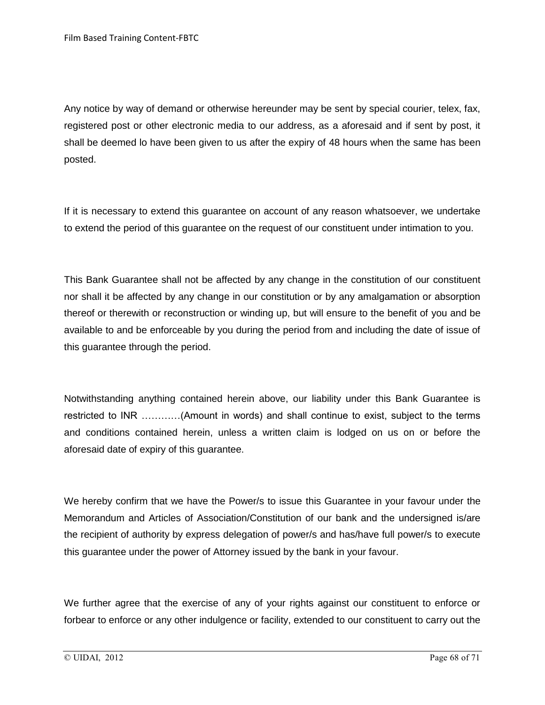Any notice by way of demand or otherwise hereunder may be sent by special courier, telex, fax, registered post or other electronic media to our address, as a aforesaid and if sent by post, it shall be deemed lo have been given to us after the expiry of 48 hours when the same has been posted.

If it is necessary to extend this guarantee on account of any reason whatsoever, we undertake to extend the period of this guarantee on the request of our constituent under intimation to you.

This Bank Guarantee shall not be affected by any change in the constitution of our constituent nor shall it be affected by any change in our constitution or by any amalgamation or absorption thereof or therewith or reconstruction or winding up, but will ensure to the benefit of you and be available to and be enforceable by you during the period from and including the date of issue of this guarantee through the period.

Notwithstanding anything contained herein above, our liability under this Bank Guarantee is restricted to INR …………(Amount in words) and shall continue to exist, subject to the terms and conditions contained herein, unless a written claim is lodged on us on or before the aforesaid date of expiry of this guarantee.

We hereby confirm that we have the Power/s to issue this Guarantee in your favour under the Memorandum and Articles of Association/Constitution of our bank and the undersigned is/are the recipient of authority by express delegation of power/s and has/have full power/s to execute this guarantee under the power of Attorney issued by the bank in your favour.

We further agree that the exercise of any of your rights against our constituent to enforce or forbear to enforce or any other indulgence or facility, extended to our constituent to carry out the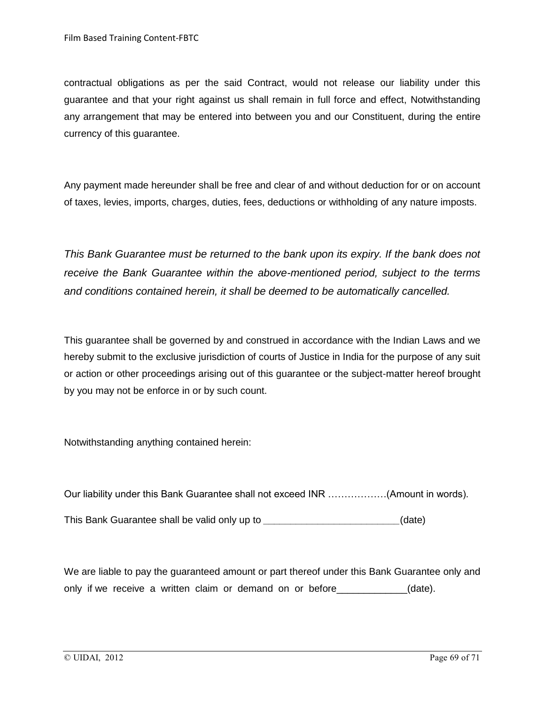contractual obligations as per the said Contract, would not release our liability under this guarantee and that your right against us shall remain in full force and effect, Notwithstanding any arrangement that may be entered into between you and our Constituent, during the entire currency of this guarantee.

Any payment made hereunder shall be free and clear of and without deduction for or on account of taxes, levies, imports, charges, duties, fees, deductions or withholding of any nature imposts.

*This Bank Guarantee must be returned to the bank upon its expiry. If the bank does not receive the Bank Guarantee within the above-mentioned period, subject to the terms and conditions contained herein, it shall be deemed to be automatically cancelled.*

This guarantee shall be governed by and construed in accordance with the Indian Laws and we hereby submit to the exclusive jurisdiction of courts of Justice in India for the purpose of any suit or action or other proceedings arising out of this guarantee or the subject-matter hereof brought by you may not be enforce in or by such count.

Notwithstanding anything contained herein:

Our liability under this Bank Guarantee shall not exceed INR ………………(Amount in words).

This Bank Guarantee shall be valid only up to *\_\_\_\_\_\_\_\_\_\_\_\_\_\_\_\_\_\_\_\_\_\_\_\_\_*(date)

We are liable to pay the guaranteed amount or part thereof under this Bank Guarantee only and only if we receive a written claim or demand on or before \_\_\_\_\_\_\_\_\_\_\_(date).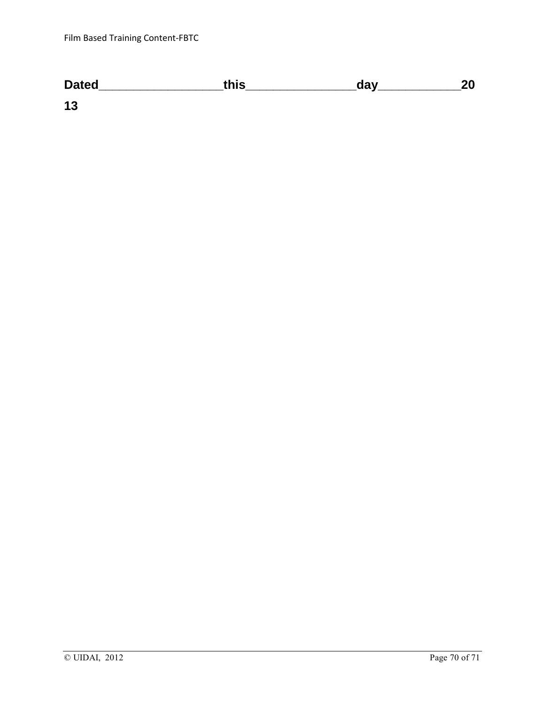| <b>Dated</b> | this | day |  |
|--------------|------|-----|--|
| 13           |      |     |  |